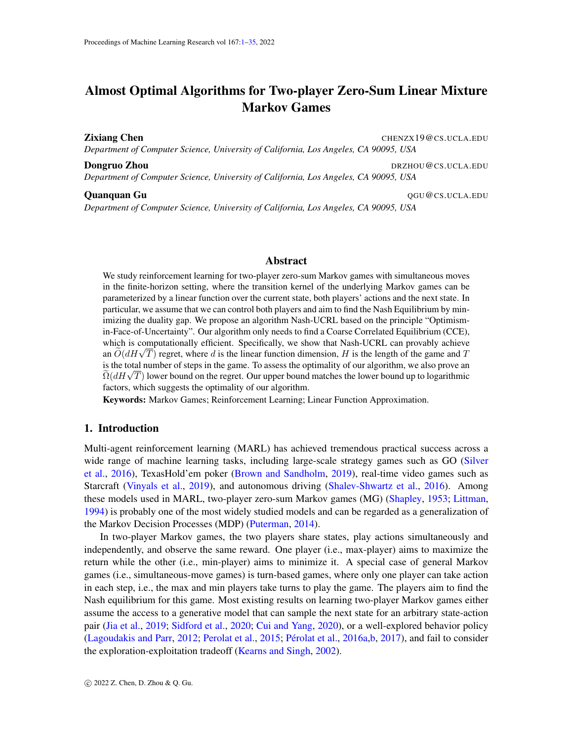# <span id="page-0-0"></span>Almost Optimal Algorithms for Two-player Zero-Sum Linear Mixture Markov Games

Zixiang Chen CHENZX19@CS.UCLA.EDU

*Department of Computer Science, University of California, Los Angeles, CA 90095, USA*

**Dongruo Zhou** Dragues **Dragues 2018 DRZHOU@CS.UCLA.EDU** 

*Department of Computer Science, University of California, Los Angeles, CA 90095, USA*

#### **Ouanquan Gu** Quantum Gunden Cuantum Cuantum Cuantum Cuantum Cuantum Cuantum Cuantum Cuantum Cuantum Cuantum Cuantum Cuantum Cuantum Cuantum Cuantum Cuantum Cuantum Cuantum Cuantum Cuantum Cuantum Cuantum Cuantum Cuantum C

*Department of Computer Science, University of California, Los Angeles, CA 90095, USA*

### Abstract

We study reinforcement learning for two-player zero-sum Markov games with simultaneous moves in the finite-horizon setting, where the transition kernel of the underlying Markov games can be parameterized by a linear function over the current state, both players' actions and the next state. In particular, we assume that we can control both players and aim to find the Nash Equilibrium by minimizing the duality gap. We propose an algorithm Nash-UCRL based on the principle "Optimismin-Face-of-Uncertainty". Our algorithm only needs to find a Coarse Correlated Equilibrium (CCE), which is computationally efficient. Specifically, we show that Nash-UCRL can provably achieve which is computationally efficient. Specifically, we show that Nash-UCRL can provably achieve<br>an  $\widetilde{O}(dH\sqrt{T})$  regret, where d is the linear function dimension, H is the length of the game and T is the total number of steps in the game. To assess the optimality of our algorithm, we also prove an Is the total number of steps in the game. To assess the optimality of our algorithm, we also prove an  $\tilde{\Omega}(dH\sqrt{T})$  lower bound on the regret. Our upper bound matches the lower bound up to logarithmic factors, which suggests the optimality of our algorithm.

Keywords: Markov Games; Reinforcement Learning; Linear Function Approximation.

# 1. Introduction

Multi-agent reinforcement learning (MARL) has achieved tremendous practical success across a wide range of machine learning tasks, including large-scale strategy games such as GO [\(Silver](#page-15-0) [et al.,](#page-15-0) [2016\)](#page-15-0), TexasHold'em poker [\(Brown and Sandholm,](#page-12-0) [2019\)](#page-12-0), real-time video games such as Starcraft [\(Vinyals et al.,](#page-15-1) [2019\)](#page-15-1), and autonomous driving [\(Shalev-Shwartz et al.,](#page-14-0) [2016\)](#page-14-0). Among these models used in MARL, two-player zero-sum Markov games (MG) [\(Shapley,](#page-14-1) [1953;](#page-14-1) [Littman,](#page-13-0) [1994\)](#page-13-0) is probably one of the most widely studied models and can be regarded as a generalization of the Markov Decision Processes (MDP) [\(Puterman,](#page-14-2) [2014\)](#page-14-2).

In two-player Markov games, the two players share states, play actions simultaneously and independently, and observe the same reward. One player (i.e., max-player) aims to maximize the return while the other (i.e., min-player) aims to minimize it. A special case of general Markov games (i.e., simultaneous-move games) is turn-based games, where only one player can take action in each step, i.e., the max and min players take turns to play the game. The players aim to find the Nash equilibrium for this game. Most existing results on learning two-player Markov games either assume the access to a generative model that can sample the next state for an arbitrary state-action pair [\(Jia et al.,](#page-13-1) [2019;](#page-13-1) [Sidford et al.,](#page-14-3) [2020;](#page-14-3) [Cui and Yang,](#page-13-2) [2020\)](#page-13-2), or a well-explored behavior policy [\(Lagoudakis and Parr,](#page-13-3) [2012;](#page-13-3) [Perolat et al.,](#page-14-4) [2015;](#page-14-4) Pérolat et al., [2016a,](#page-14-5)[b,](#page-14-6) [2017\)](#page-14-7), and fail to consider the exploration-exploitation tradeoff [\(Kearns and Singh,](#page-13-4) [2002\)](#page-13-4).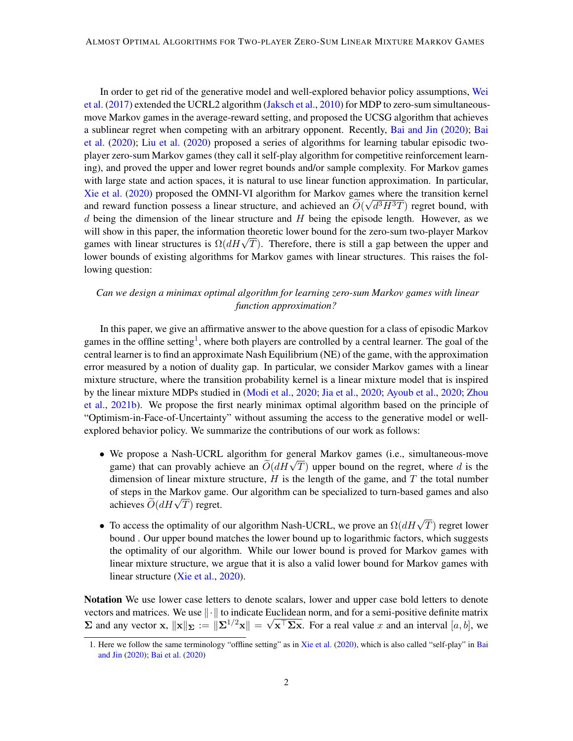In order to get rid of the generative model and well-explored behavior policy assumptions, [Wei](#page-15-2) [et al.](#page-15-2) [\(2017\)](#page-15-2) extended the UCRL2 algorithm [\(Jaksch et al.,](#page-13-5) [2010\)](#page-13-5) for MDP to zero-sum simultaneousmove Markov games in the average-reward setting, and proposed the UCSG algorithm that achieves a sublinear regret when competing with an arbitrary opponent. Recently, [Bai and Jin](#page-12-1) [\(2020\)](#page-12-1); [Bai](#page-12-2) [et al.](#page-12-2) [\(2020\)](#page-12-2); [Liu et al.](#page-14-8) [\(2020\)](#page-14-8) proposed a series of algorithms for learning tabular episodic twoplayer zero-sum Markov games (they call it self-play algorithm for competitive reinforcement learning), and proved the upper and lower regret bounds and/or sample complexity. For Markov games with large state and action spaces, it is natural to use linear function approximation. In particular, [Xie et al.](#page-15-3) [\(2020\)](#page-15-3) proposed the OMNI-VI algorithm for Markov games where the transition kernel and reward function possess a linear structure, and achieved an  $O(\sqrt{d^3H^3T})$  regret bound, with  $d$  being the dimension of the linear structure and  $H$  being the episode length. However, as we will show in this paper, the information theoretic lower bound for the zero-sum two-player Markov will show in this paper, the information theoretic lower bound for the zero-sum two-player Markov games with linear structures is  $\Omega(dH\sqrt{T})$ . Therefore, there is still a gap between the upper and lower bounds of existing algorithms for Markov games with linear structures. This raises the following question:

# *Can we design a minimax optimal algorithm for learning zero-sum Markov games with linear function approximation?*

In this paper, we give an affirmative answer to the above question for a class of episodic Markov games in the offline setting<sup>[1](#page-1-0)</sup>, where both players are controlled by a central learner. The goal of the central learner is to find an approximate Nash Equilibrium (NE) of the game, with the approximation error measured by a notion of duality gap. In particular, we consider Markov games with a linear mixture structure, where the transition probability kernel is a linear mixture model that is inspired by the linear mixture MDPs studied in [\(Modi et al.,](#page-14-9) [2020;](#page-14-9) [Jia et al.,](#page-13-6) [2020;](#page-13-6) [Ayoub et al.,](#page-12-3) [2020;](#page-12-3) [Zhou](#page-15-4) [et al.,](#page-15-4) [2021b\)](#page-15-4). We propose the first nearly minimax optimal algorithm based on the principle of "Optimism-in-Face-of-Uncertainty" without assuming the access to the generative model or wellexplored behavior policy. We summarize the contributions of our work as follows:

- We propose a Nash-UCRL algorithm for general Markov games (i.e., simultaneous-move we propose a Nash-OCKL algorithm for general Markov games (i.e., simultaneous-move<br>game) that can provably achieve an  $\tilde{O}(dH\sqrt{T})$  upper bound on the regret, where d is the dimension of linear mixture structure,  $H$  is the length of the game, and  $T$  the total number of steps in the Markov game. Our algorithm can be specialized to turn-based games and also or steps in the Markov game<br>achieves  $\widetilde{O}(dH\sqrt{T})$  regret.
- To access the optimality of our algorithm Nash-UCRL, we prove an  $\Omega(dH\sqrt{T})$  regret lower bound . Our upper bound matches the lower bound up to logarithmic factors, which suggests the optimality of our algorithm. While our lower bound is proved for Markov games with linear mixture structure, we argue that it is also a valid lower bound for Markov games with linear structure [\(Xie et al.,](#page-15-3) [2020\)](#page-15-3).

Notation We use lower case letters to denote scalars, lower and upper case bold letters to denote vectors and matrices. We use  $\|\cdot\|$  to indicate Euclidean norm, and for a semi-positive definite matrix  $\Sigma$  and any vector x,  $\|\mathbf{x}\|_{\Sigma} := \|\Sigma^{1/2}\mathbf{x}\| = \sqrt{\mathbf{x}^{\top}\Sigma\mathbf{x}}$ . For a real value x and an interval  $[a, b]$ , we

<span id="page-1-0"></span><sup>1.</sup> Here we follow the same terminology "offline setting" as in [Xie et al.](#page-15-3) [\(2020\)](#page-15-3), which is also called "self-play" in [Bai](#page-12-1) [and Jin](#page-12-1) [\(2020\)](#page-12-1); [Bai et al.](#page-12-2) [\(2020\)](#page-12-2)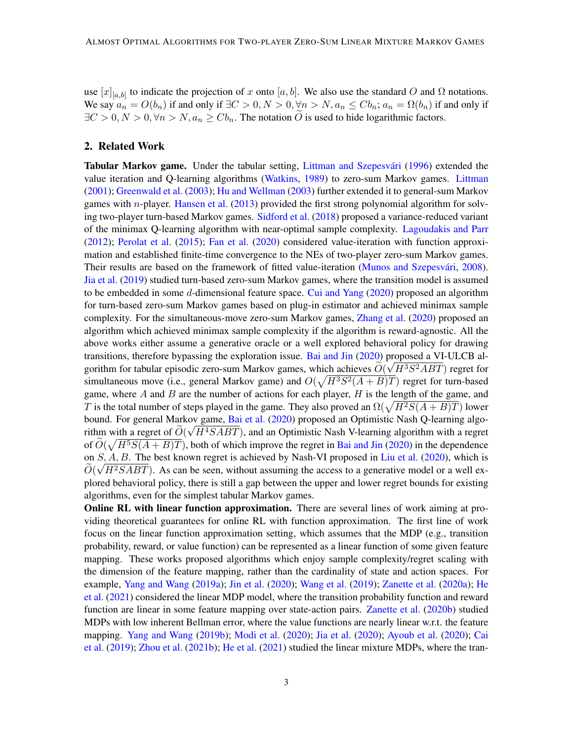use  $[x]_{[a,b]}$  to indicate the projection of x onto  $[a,b]$ . We also use the standard O and  $\Omega$  notations. We say  $a_n = O(b_n)$  if and only if  $\exists C > 0, N > 0, \forall n > N, a_n \leq Cb_n$ ;  $a_n = \Omega(b_n)$  if and only if  $\exists C > 0, N > 0, \forall n > N, a_n \ge Cb_n$ . The notation O is used to hide logarithmic factors.

# 2. Related Work

Tabular Markov game. Under the tabular setting, Littman and Szepesvári [\(1996\)](#page-14-10) extended the value iteration and Q-learning algorithms [\(Watkins,](#page-15-5) [1989\)](#page-15-5) to zero-sum Markov games. [Littman](#page-13-7) [\(2001\)](#page-13-7); [Greenwald et al.](#page-13-8) [\(2003\)](#page-13-8); [Hu and Wellman](#page-13-9) [\(2003\)](#page-13-9) further extended it to general-sum Markov games with *n*-player. [Hansen et al.](#page-13-10)  $(2013)$  provided the first strong polynomial algorithm for solving two-player turn-based Markov games. [Sidford et al.](#page-14-11) [\(2018\)](#page-14-11) proposed a variance-reduced variant of the minimax Q-learning algorithm with near-optimal sample complexity. [Lagoudakis and Parr](#page-13-3) [\(2012\)](#page-13-3); [Perolat et al.](#page-14-4) [\(2015\)](#page-14-4); [Fan et al.](#page-13-11) [\(2020\)](#page-13-11) considered value-iteration with function approximation and established finite-time convergence to the NEs of two-player zero-sum Markov games. Their results are based on the framework of fitted value-iteration (Munos and Szepesvári, [2008\)](#page-14-12). [Jia et al.](#page-13-1) [\(2019\)](#page-13-1) studied turn-based zero-sum Markov games, where the transition model is assumed to be embedded in some d-dimensional feature space. [Cui and Yang](#page-13-2) [\(2020\)](#page-13-2) proposed an algorithm for turn-based zero-sum Markov games based on plug-in estimator and achieved minimax sample complexity. For the simultaneous-move zero-sum Markov games, [Zhang et al.](#page-15-6) [\(2020\)](#page-15-6) proposed an algorithm which achieved minimax sample complexity if the algorithm is reward-agnostic. All the above works either assume a generative oracle or a well explored behavioral policy for drawing transitions, therefore bypassing the exploration issue. [Bai and Jin](#page-12-1)  $(2020)$  proposed a VI-ULCB algorithm for tabular episodic zero-sum Markov games, which achieves  $\ddot{O}(\sqrt{H^3S^2ABT})$  regret for simultaneous move (i.e., general Markov game) and  $O(\sqrt{H^3S^2(A+B)T})$  regret for turn-based game, where A and B are the number of actions for each player,  $H$  is the length of the game, and T is the total number of steps played in the game. They also proved an  $\Omega(\sqrt{H^2S(A+B)T})$  lower bound. For general Markov game, [Bai et al.](#page-12-2) [\(2020\)](#page-12-2) proposed an Optimistic Nash Q-learning algorithm with a regret of  $O(\sqrt{H^4SABT})$ , and an Optimistic Nash V-learning algorithm with a regret of  $\tilde{O}(\sqrt{H^5S(A+B)T})$ , both of which improve the regret in [Bai and Jin](#page-12-1) [\(2020\)](#page-12-1) in the dependence on  $S, A, B$ . The best known regret is achieved by Nash-VI proposed in [Liu et al.](#page-14-8) [\(2020\)](#page-14-8), which is  $O(\sqrt{H^2SABT})$ . As can be seen, without assuming the access to a generative model or a well explored behavioral policy, there is still a gap between the upper and lower regret bounds for existing algorithms, even for the simplest tabular Markov games.

**Online RL with linear function approximation.** There are several lines of work aiming at providing theoretical guarantees for online RL with function approximation. The first line of work focus on the linear function approximation setting, which assumes that the MDP (e.g., transition probability, reward, or value function) can be represented as a linear function of some given feature mapping. These works proposed algorithms which enjoy sample complexity/regret scaling with the dimension of the feature mapping, rather than the cardinality of state and action spaces. For example, [Yang and Wang](#page-15-7) [\(2019a\)](#page-15-7); [Jin et al.](#page-13-12) [\(2020\)](#page-13-12); [Wang et al.](#page-15-8) [\(2019\)](#page-15-8); [Zanette et al.](#page-15-9) [\(2020a\)](#page-15-9); [He](#page-13-13) [et al.](#page-13-13) [\(2021\)](#page-13-13) considered the linear MDP model, where the transition probability function and reward function are linear in some feature mapping over state-action pairs. [Zanette et al.](#page-15-10) [\(2020b\)](#page-15-10) studied MDPs with low inherent Bellman error, where the value functions are nearly linear w.r.t. the feature mapping. [Yang and Wang](#page-15-11) [\(2019b\)](#page-15-11); [Modi et al.](#page-14-9) [\(2020\)](#page-14-9); [Jia et al.](#page-13-6) [\(2020\)](#page-13-6); [Ayoub et al.](#page-12-3) [\(2020\)](#page-12-3); [Cai](#page-13-14) [et al.](#page-13-14) [\(2019\)](#page-13-14); [Zhou et al.](#page-15-4) [\(2021b\)](#page-15-4); [He et al.](#page-13-13) [\(2021\)](#page-13-13) studied the linear mixture MDPs, where the tran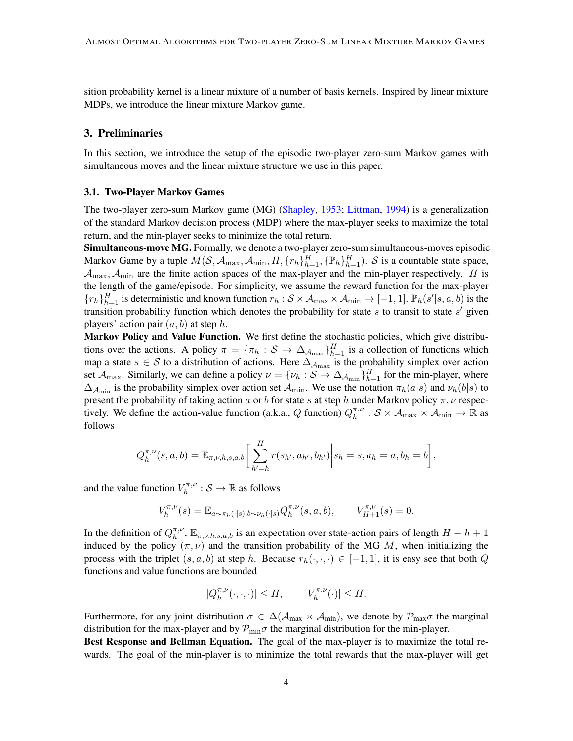sition probability kernel is a linear mixture of a number of basis kernels. Inspired by linear mixture MDPs, we introduce the linear mixture Markov game.

# 3. Preliminaries

In this section, we introduce the setup of the episodic two-player zero-sum Markov games with simultaneous moves and the linear mixture structure we use in this paper.

### 3.1. Two-Player Markov Games

The two-player zero-sum Markov game (MG) [\(Shapley,](#page-14-1) [1953;](#page-14-1) [Littman,](#page-13-0) [1994\)](#page-13-0) is a generalization of the standard Markov decision process (MDP) where the max-player seeks to maximize the total return, and the min-player seeks to minimize the total return.

Simultaneous-move MG. Formally, we denote a two-player zero-sum simultaneous-moves episodic Markov Game by a tuple  $M(S, A_{\max}, A_{\min}, H, \{r_h\}_{h=1}^H, {\{\mathbb{P}_h\}}_{h=1}^H)$ . S is a countable state space,  $\mathcal{A}_{\text{max}}$ ,  $\mathcal{A}_{\text{min}}$  are the finite action spaces of the max-player and the min-player respectively. H is the length of the game/episode. For simplicity, we assume the reward function for the max-player  ${r_h}_{h=1}^H$  is deterministic and known function  $r_h : S \times A_{\text{max}} \times A_{\text{min}} \rightarrow [-1, 1]$ .  $\mathbb{P}_h(s'|s, a, b)$  is the transition probability function which denotes the probability for state  $s$  to transit to state  $s'$  given players' action pair  $(a, b)$  at step h.

Markov Policy and Value Function. We first define the stochastic policies, which give distributions over the actions. A policy  $\pi = \{\pi_h : S \to \Delta_{\mathcal{A}_{\text{max}}}\}_{h=1}^H$  is a collection of functions which map a state  $s \in S$  to a distribution of actions. Here  $\Delta_{A_{\text{max}}}$  is the probability simplex over action set  $\mathcal{A}_{\max}$ . Similarly, we can define a policy  $\nu = \{\nu_h : \mathcal{S} \to \Delta_{\mathcal{A}_{\min}}\}_{h=1}^H$  for the min-player, where  $\Delta_{\mathcal{A}_{\rm min}}$  is the probability simplex over action set  $\mathcal{A}_{\rm min}$ . We use the notation  $\pi_h(a|s)$  and  $\nu_h(b|s)$  to present the probability of taking action a or b for state s at step h under Markov policy  $\pi$ ,  $\nu$  respectively. We define the action-value function (a.k.a., Q function)  $Q_h^{\pi,\nu}$  $\frac{\pi,\nu}{h} : \mathcal{S} \times \mathcal{A}_{\text{max}} \times \mathcal{A}_{\text{min}} \to \mathbb{R}$  as follows

$$
Q_h^{\pi,\nu}(s,a,b) = \mathbb{E}_{\pi,\nu,h,s,a,b} \bigg[ \sum_{h'=h}^H r(s_{h'},a_{h'},b_{h'}) \bigg| s_h = s, a_h = a, b_h = b \bigg],
$$

and the value function  $V_h^{\pi,\nu}$  $h^{\pi,\nu}_h : \mathcal{S} \to \mathbb{R}$  as follows

$$
V_h^{\pi,\nu}(s) = \mathbb{E}_{a \sim \pi_h(\cdot|s), b \sim \nu_h(\cdot|s)} Q_h^{\pi,\nu}(s, a, b), \qquad V_{H+1}^{\pi,\nu}(s) = 0.
$$

In the definition of  $Q_h^{\pi,\nu}$  $h_h^{\pi,\nu}$ ,  $\mathbb{E}_{\pi,\nu,h,s,a,b}$  is an expectation over state-action pairs of length  $H - h + 1$ induced by the policy  $(\pi, \nu)$  and the transition probability of the MG M, when initializing the process with the triplet  $(s, a, b)$  at step h. Because  $r_h(\cdot, \cdot, \cdot) \in [-1, 1]$ , it is easy see that both Q functions and value functions are bounded

$$
|Q_{h}^{\pi,\nu}(\cdot,\cdot,\cdot)|\leq H,\qquad |V_{h}^{\pi,\nu}(\cdot)|\leq H.
$$

Furthermore, for any joint distribution  $\sigma \in \Delta(\mathcal{A}_{max} \times \mathcal{A}_{min})$ , we denote by  $\mathcal{P}_{max}\sigma$  the marginal distribution for the max-player and by  $\mathcal{P}_{\text{min}}\sigma$  the marginal distribution for the min-player.

Best Response and Bellman Equation. The goal of the max-player is to maximize the total rewards. The goal of the min-player is to minimize the total rewards that the max-player will get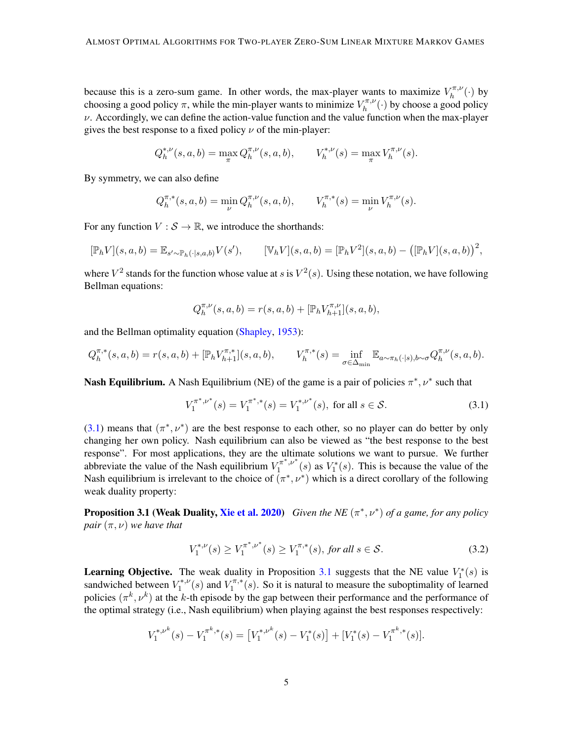because this is a zero-sum game. In other words, the max-player wants to maximize  $V_h^{\pi,\nu}$  $h^{\pi,\nu}(\cdot)$  by choosing a good policy  $\pi$ , while the min-player wants to minimize  $V_h^{\pi,\nu}$  $h_h^{\pi,\nu}(\cdot)$  by choose a good policy  $\nu$ . Accordingly, we can define the action-value function and the value function when the max-player gives the best response to a fixed policy  $\nu$  of the min-player:

$$
Q_h^{*,\nu}(s,a,b) = \max_{\pi} Q_h^{\pi,\nu}(s,a,b), \qquad V_h^{*,\nu}(s) = \max_{\pi} V_h^{\pi,\nu}(s).
$$

By symmetry, we can also define

$$
Q^{\pi,*}_{h}(s,a,b) = \min_{\nu} Q^{\pi,\nu}_{h}(s,a,b), \qquad V^{\pi,*}_{h}(s) = \min_{\nu} V^{\pi,\nu}_{h}(s).
$$

For any function  $V : \mathcal{S} \to \mathbb{R}$ , we introduce the shorthands:

$$
[\mathbb{P}_h V](s, a, b) = \mathbb{E}_{s' \sim \mathbb{P}_h(\cdot | s, a, b)} V(s'), \qquad [\mathbb{V}_h V](s, a, b) = [\mathbb{P}_h V^2](s, a, b) - ([\mathbb{P}_h V](s, a, b))^{2},
$$

where  $V^2$  stands for the function whose value at s is  $V^2(s)$ . Using these notation, we have following Bellman equations:

$$
Q_{h}^{\pi,\nu}(s,a,b) = r(s,a,b) + [\mathbb{P}_{h}V_{h+1}^{\pi,\nu}](s,a,b),
$$

and the Bellman optimality equation [\(Shapley,](#page-14-1) [1953\)](#page-14-1):

$$
Q_h^{\pi,*}(s, a, b) = r(s, a, b) + [\mathbb{P}_h V_{h+1}^{\pi,*}](s, a, b), \qquad V_h^{\pi,*}(s) = \inf_{\sigma \in \Delta_{\min}} \mathbb{E}_{a \sim \pi_h(\cdot | s), b \sim \sigma} Q_h^{\pi,\nu}(s, a, b).
$$

**Nash Equilibrium.** A Nash Equilibrium (NE) of the game is a pair of policies  $\pi^*$ ,  $\nu^*$  such that

<span id="page-4-0"></span>
$$
V_1^{\pi^*,\nu^*}(s) = V_1^{\pi^*,*}(s) = V_1^{*,\nu^*}(s), \text{ for all } s \in \mathcal{S}.
$$
 (3.1)

[\(3.1\)](#page-4-0) means that  $(\pi^*, \nu^*)$  are the best response to each other, so no player can do better by only changing her own policy. Nash equilibrium can also be viewed as "the best response to the best response". For most applications, they are the ultimate solutions we want to pursue. We further abbreviate the value of the Nash equilibrium  $V_1^{\pi^*, \nu^*}$  $V_1^{\pi^*,\nu^*}(s)$  as  $V_1^*(s)$ . This is because the value of the Nash equilibrium is irrelevant to the choice of  $(\pi^*, \nu^*)$  which is a direct corollary of the following weak duality property:

**Proposition 3.1 (Weak Duality, [Xie et al.](#page-15-3) [2020\)](#page-15-3)** *Given the NE*  $(\pi^*, \nu^*)$  *of a game, for any policy pair*  $(\pi, \nu)$  *we have that* 

<span id="page-4-1"></span>
$$
V_1^{*,\nu}(s) \ge V_1^{\pi^*,\nu^*}(s) \ge V_1^{\pi,*}(s), \text{ for all } s \in \mathcal{S}.
$$
 (3.2)

**Learning Objective.** The weak duality in Proposition [3.1](#page-4-1) suggests that the NE value  $V_1^*(s)$  is sandwiched between  $V_1^{*,\nu}$  $U_1^{*,\nu}(s)$  and  $V_1^{\pi,*}$  $\int_1^{\pi,*}(s)$ . So it is natural to measure the suboptimality of learned policies  $(\pi^k, \nu^k)$  at the k-th episode by the gap between their performance and the performance of the optimal strategy (i.e., Nash equilibrium) when playing against the best responses respectively:

$$
V_1^{*,\nu^k}(s) - V_1^{\pi^k,*}(s) = \left[V_1^{*,\nu^k}(s) - V_1^*(s)\right] + \left[V_1^*(s) - V_1^{\pi^k,*}(s)\right].
$$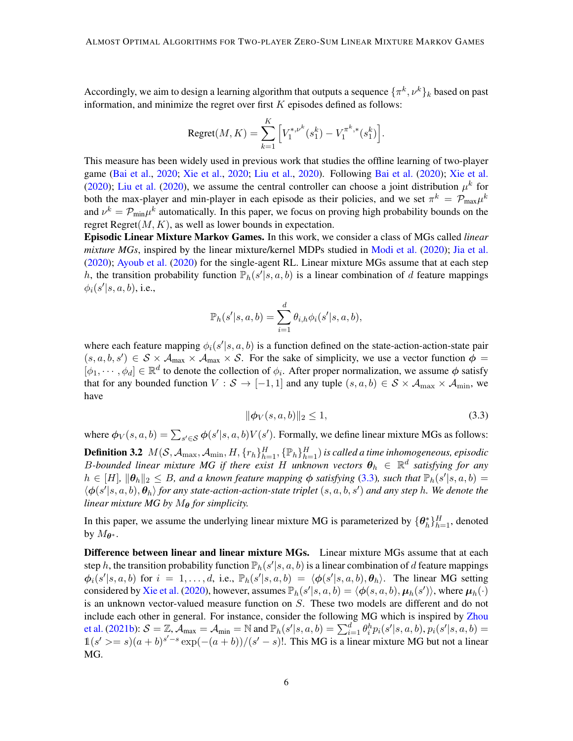Accordingly, we aim to design a learning algorithm that outputs a sequence  $\{\pi^k, \nu^k\}_k$  based on past information, and minimize the regret over first  $K$  episodes defined as follows:

Regret
$$
(M, K) = \sum_{k=1}^{K} \left[ V_1^{*, \nu^k}(s_1^k) - V_1^{\pi^k, *}(s_1^k) \right].
$$

This measure has been widely used in previous work that studies the offline learning of two-player game [\(Bai et al.,](#page-12-2) [2020;](#page-12-2) [Xie et al.,](#page-15-3) [2020;](#page-15-3) [Liu et al.,](#page-14-8) [2020\)](#page-14-8). Following [Bai et al.](#page-12-2) [\(2020\)](#page-12-2); [Xie et al.](#page-15-3) [\(2020\)](#page-14-8); [Liu et al.](#page-14-8) (2020), we assume the central controller can choose a joint distribution  $\mu^k$  for both the max-player and min-player in each episode as their policies, and we set  $\pi^k = \mathcal{P}_{\max} \mu^k$ and  $\nu^k = \mathcal{P}_{\text{min}} \mu^k$  automatically. In this paper, we focus on proving high probability bounds on the regret Regret $(M, K)$ , as well as lower bounds in expectation.

Episodic Linear Mixture Markov Games. In this work, we consider a class of MGs called *linear mixture MGs*, inspired by the linear mixture/kernel MDPs studied in [Modi et al.](#page-14-9) [\(2020\)](#page-14-9); [Jia et al.](#page-13-6) [\(2020\)](#page-13-6); [Ayoub et al.](#page-12-3) [\(2020\)](#page-12-3) for the single-agent RL. Linear mixture MGs assume that at each step h, the transition probability function  $\mathbb{P}_h(s'|s, a, b)$  is a linear combination of d feature mappings  $\phi_i(s'|s,a,b)$ , i.e.,

$$
\mathbb{P}_h(s'|s,a,b) = \sum_{i=1}^d \theta_{i,h} \phi_i(s'|s,a,b),
$$

where each feature mapping  $\phi_i(s'|s, a, b)$  is a function defined on the state-action-action-state pair  $(s, a, b, s') \in S \times A_{\text{max}} \times A_{\text{max}} \times S$ . For the sake of simplicity, we use a vector function  $\phi =$  $[\phi_1,\dots,\phi_d]\in\mathbb{R}^d$  to denote the collection of  $\phi_i$ . After proper normalization, we assume  $\phi$  satisfy that for any bounded function  $V : \mathcal{S} \to [-1,1]$  and any tuple  $(s, a, b) \in \mathcal{S} \times \mathcal{A}_{\text{max}} \times \mathcal{A}_{\text{min}}$ , we have

<span id="page-5-0"></span>
$$
\|\phi_V(s, a, b)\|_2 \le 1,\tag{3.3}
$$

where  $\phi_V(s, a, b) = \sum_{s' \in \mathcal{S}} \phi(s'|s, a, b) V(s')$ . Formally, we define linear mixture MGs as follows:

**Definition 3.2**  $M(\mathcal{S},\mathcal{A}_{\max},\mathcal{A}_{\min},H,\{r_h\}_{h=1}^H,\{\mathbb{P}_h\}_{h=1}^H)$  is called a time inhomogeneous, episodic B-bounded linear mixture MG if there exist H unknown vectors  $\theta_h$   $\in$   $\mathbb{R}^d$  satisfying for any  $h \in [H]$ ,  $\|\theta_h\|_2 \leq B$ , and a known feature mapping  $\phi$  satisfying [\(3.3\)](#page-5-0), such that  $\mathbb{P}_h(s'|s, a, b) =$  $\langle \phi(s'|s, a, b), \theta_h \rangle$  *for any state-action-action-state triplet*  $(s, a, b, s')$  *and any step* h. We denote the *linear mixture MG by*  $M_{\theta}$  *for simplicity.* 

In this paper, we assume the underlying linear mixture MG is parameterized by  $\{\theta_h^*\}_{h=1}^H$ , denoted by  $M_{\theta^*}$ .

**Difference between linear and linear mixture MGs.** Linear mixture MGs assume that at each step h, the transition probability function  $\mathbb{P}_h(s'|s, a, b)$  is a linear combination of d feature mappings  $\phi_i(s'|s, a, b)$  for  $i = 1, \ldots, d$ , i.e.,  $\mathbb{P}_h(s'|s, a, b) = \langle \phi(s'|s, a, b), \theta_h \rangle$ . The linear MG setting considered by [Xie et al.](#page-15-3) [\(2020\)](#page-15-3), however, assumes  $\mathbb{P}_h(s'|s,a,b) = \langle \bm{\phi}(s,a,b), \bm{\mu}_h(s')\rangle$ , where  $\bm{\mu}_h(\cdot)$ is an unknown vector-valued measure function on S. These two models are different and do not include each other in general. For instance, consider the following MG which is inspired by [Zhou](#page-15-4) [et al.](#page-15-4) [\(2021b\)](#page-15-4):  $\mathcal{S} = \mathbb{Z}$ ,  $\mathcal{A}_{\max} = \mathcal{A}_{\min} = \mathbb{N}$  and  $\mathbb{P}_h(s'|s, a, b) = \sum_{i=1}^d \theta_i^h p_i(s'|s, a, b), p_i(s'|s, a, b) =$  $\frac{1}{s}(s') = s(1-s)(a+b)^{s'-s} \exp(-(a+b))/(s'-s)!$ . This MG is a linear mixture MG but not a linear MG.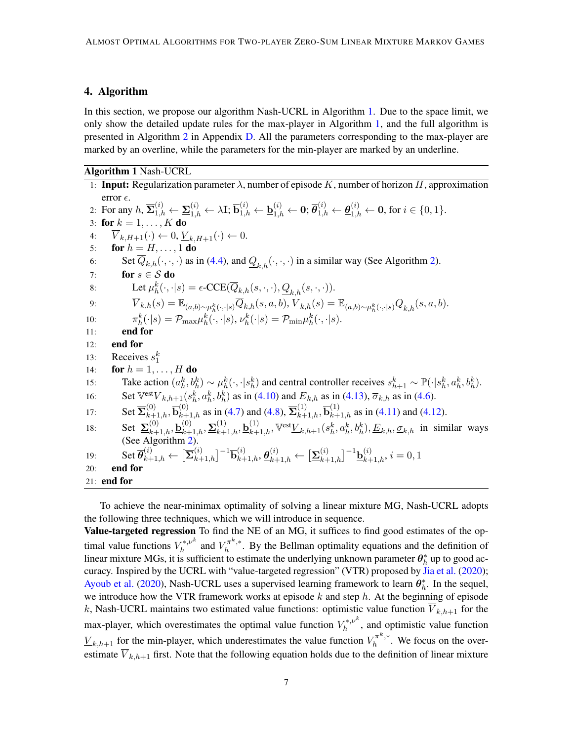# 4. Algorithm

In this section, we propose our algorithm Nash-UCRL in Algorithm [1.](#page-6-0) Due to the space limit, we only show the detailed update rules for the max-player in Algorithm [1,](#page-6-0) and the full algorithm is presented in Algorithm [2](#page-31-0) in Appendix [D.](#page-30-0) All the parameters corresponding to the max-player are marked by an overline, while the parameters for the min-player are marked by an underline.

# Algorithm 1 Nash-UCRL

<span id="page-6-2"></span><span id="page-6-1"></span><span id="page-6-0"></span>1: **Input:** Regularization parameter  $\lambda$ , number of episode K, number of horizon H, approximation error  $\epsilon$ . 2: For any  $h$ ,  $\overline{\Sigma}_{1,h}^{(i)} \leftarrow \underline{\Sigma}_{1,h}^{(i)} \leftarrow \lambda \mathbf{I}; \overline{\mathbf{b}}_{1,h}^{(i)} \leftarrow \underline{\mathbf{b}}_{1,h}^{(i)} \leftarrow \mathbf{0}; \overline{\theta}_{1,h}^{(i)} \leftarrow \underline{\theta}_{1,h}^{(i)} \leftarrow \mathbf{0}$ , for  $i \in \{0,1\}$ . 3: for  $k = 1, ..., K$  do 4:  $V_{k,H+1}(\cdot) \leftarrow 0, \underline{V}_{k,H+1}(\cdot) \leftarrow 0.$ 5: **for**  $h = H, \ldots, 1$  **do** 6: Set  $\overline{Q}_{k,h}(\cdot,\cdot,\cdot)$  as in [\(4.4\)](#page-7-0), and  $Q_{k,h}(\cdot,\cdot,\cdot)$  in a similar way (See Algorithm [2\)](#page-31-0). 7: for  $s \in S$  do 8: Let  $\mu_h^k(\cdot, \cdot | s) = \epsilon\text{-CCE}(\overline{Q}_{k,h}(s,\cdot, \cdot), \underline{Q}_{k,h}(s,\cdot, \cdot)).$  $\overline{V}_{k,h}(s) = \mathbb{E}_{(a,b)\sim \mu_h^k(\cdot,\cdot|s)}\overline{Q}_{k,h}(s,a,b), \underline{V}_{k,h}(s) = \mathbb{E}_{(a,b)\sim \mu_h^k(\cdot,\cdot|s)}\underline{Q}_{k,h}(s,a,b).$  $10:$  $k_h^k(\cdot|s) = \mathcal{P}_{\max} \mu_h^k(\cdot, \cdot|s), \nu_h^k(\cdot|s) = \mathcal{P}_{\min} \mu_h^k(\cdot, \cdot|s).$ 11: end for 12: end for 13: Receives  $s_1^k$ 14: **for**  $h = 1, ..., H$  **do** 15: Take action  $(a_h^k, b_h^k) \sim \mu_h^k(\cdot, \cdot | s_h^k)$  and central controller receives  $s_{h+1}^k \sim \mathbb{P}(\cdot | s_h^k, a_h^k, b_h^k)$ . 16: Set  $\overline{\nabla}_{k,h+1}(s_h^k, a_h^k, b_h^k)$  as in [\(4.10\)](#page-9-0) and  $\overline{E}_{k,h}$  as in [\(4.13\)](#page-9-1),  $\overline{\sigma}_{k,h}$  as in [\(4.6\)](#page-8-0). 17: Set  $\overline{\Sigma}_{k+1,h}^{(0)}$ ,  $\overline{\mathbf{b}}_{k+1,h}^{(0)}$  as in [\(4.7\)](#page-8-1) and [\(4.8\)](#page-8-2),  $\overline{\Sigma}_{k+1,h}^{(1)}$ ,  $\overline{\mathbf{b}}_{k+1,h}^{(1)}$  as in [\(4.11\)](#page-9-2) and [\(4.12\)](#page-9-3). 18: Set  $\sum_{k=1}^{(0)}$ ,  $\mathbf{b}_{k+1,h}^{(0)}$ ,  $\sum_{k=1}^{(1)}$ ,  $\mathbf{b}_{k+1,h}^{(1)}$ ,  $\nabla^{\text{est}}$  $\underline{V}_{k,h+1}(s_h^k, a_h^k, b_h^k)$ ,  $\underline{E}_{k,h}$ ,  $\underline{\sigma}_{k,h}$  in similar ways (See Algorithm [2\)](#page-31-0).  $\det \overline{\theta}_{k+1,h}^{(i)} \leftarrow \big[ \overline{\mathbf{\Sigma}}_{k+1,h}^{(i)} \big]^{-1} \overline{\mathbf{b}}_{k+1,h}^{(i)}, \boldsymbol{\theta}_{k+1,h}^{(i)} \leftarrow \big[ \underline{\mathbf{\Sigma}}_{k+1,h}^{(i)} \big]^{-1} \underline{\mathbf{b}}_{k+1,h}^{(i)}, i=0,1$ 20: end for 21: end for

To achieve the near-minimax optimality of solving a linear mixture MG, Nash-UCRL adopts the following three techniques, which we will introduce in sequence.

Value-targeted regression To find the NE of an MG, it suffices to find good estimates of the optimal value functions  $V_h^{*,\nu^k}$  $\bar{h}_h^{*,\nu^k}$  and  $V_h^{\pi^k,*}$  $h^{m^*}$ . By the Bellman optimality equations and the definition of linear mixture MGs, it is sufficient to estimate the underlying unknown parameter  $\theta_h^*$  up to good accuracy. Inspired by the UCRL with "value-targeted regression" (VTR) proposed by [Jia et al.](#page-13-6) [\(2020\)](#page-13-6); [Ayoub et al.](#page-12-3) [\(2020\)](#page-12-3), Nash-UCRL uses a supervised learning framework to learn  $\theta_h^*$ . In the sequel, we introduce how the VTR framework works at episode  $k$  and step  $h$ . At the beginning of episode k, Nash-UCRL maintains two estimated value functions: optimistic value function  $\overline{V}_{k,h+1}$  for the max-player, which overestimates the optimal value function  $V_h^{*,\nu^k}$  $h^{*,p^*}$ , and optimistic value function  $\underline{V}_{k,h+1}$  for the min-player, which underestimates the value function  $V_h^{\pi^k,*}$  $h^{\pi^{\cdots,*}}$ . We focus on the overestimate  $\overline{V}_{k,h+1}$  first. Note that the following equation holds due to the definition of linear mixture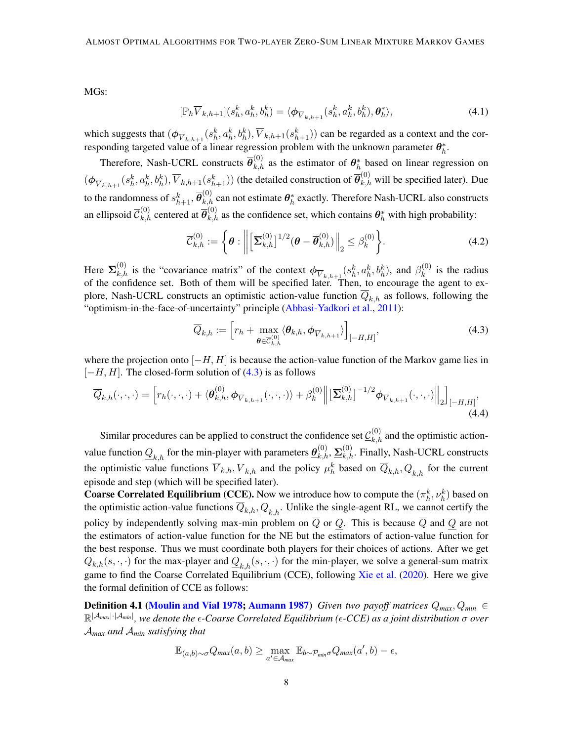MGs:

<span id="page-7-2"></span>
$$
[\mathbb{P}_h \overline{V}_{k,h+1}](s_h^k, a_h^k, b_h^k) = \langle \boldsymbol{\phi}_{\overline{V}_{k,h+1}}(s_h^k, a_h^k, b_h^k), \boldsymbol{\theta}_h^* \rangle, \tag{4.1}
$$

which suggests that  $(\phi_{\overline{V}_{k,h+1}}(s_h^k, a_h^k, b_h^k), \overline{V}_{k,h+1}(s_{h+1}^k))$  can be regarded as a context and the corresponding targeted value of a linear regression problem with the unknown parameter  $\theta_h^*$ .

Therefore, Nash-UCRL constructs  $\bar{\theta}_{k,h}^{(0)}$  as the estimator of  $\theta_h^*$  based on linear regression on  $(\phi_{\overline{V}_{k,h+1}}(s_h^k, a_h^k, b_h^k), \overline{V}_{k,h+1}(s_{h+1}^k))$  (the detailed construction of  $\overline{\theta}_{k,h}^{(0)}$  will be specified later). Due to the randomness of  $s_{h+1}^k, \overline{\theta}_{k,h}^{(0)}$  can not estimate  $\bm{\theta}_h^*$  exactly. Therefore Nash-UCRL also constructs an ellipsoid  $\overline{C}_{k,h}^{(0)}$  centered at  $\overline{\theta}_{k,h}^{(0)}$  as the confidence set, which contains  $\theta_h^*$  with high probability:

<span id="page-7-3"></span>
$$
\overline{\mathcal{C}}_{k,h}^{(0)} := \left\{ \boldsymbol{\theta} : \left\| \left[ \overline{\mathbf{\Sigma}}_{k,h}^{(0)} \right]^{1/2} (\boldsymbol{\theta} - \overline{\boldsymbol{\theta}}_{k,h}^{(0)}) \right\|_2 \leq \beta_k^{(0)} \right\}.
$$
 (4.2)

Here  $\overline{\Sigma}_{k,h}^{(0)}$  is the "covariance matrix" of the context  $\phi_{\overline{V}_{k,h+1}}(s_h^k, a_h^k, b_h^k)$ , and  $\beta_k^{(0)}$  $\kappa^{(0)}$  is the radius of the confidence set. Both of them will be specified later. Then, to encourage the agent to explore, Nash-UCRL constructs an optimistic action-value function  $\overline{Q}_{k,h}$  as follows, following the "optimism-in-the-face-of-uncertainty" principle [\(Abbasi-Yadkori et al.,](#page-12-4) [2011\)](#page-12-4):

<span id="page-7-1"></span><span id="page-7-0"></span>
$$
\overline{Q}_{k,h} := \left[ r_h + \max_{\boldsymbol{\theta} \in \overline{\mathcal{C}}_{k,h}^{(0)}} \langle \boldsymbol{\theta}_{k,h}, \boldsymbol{\phi}_{\overline{V}_{k,h+1}} \rangle \right]_{[-H,H]},
$$
\n(4.3)

where the projection onto  $[-H, H]$  is because the action-value function of the Markov game lies in  $[-H, H]$ . The closed-form solution of  $(4.3)$  is as follows

$$
\overline{Q}_{k,h}(\cdot,\cdot,\cdot) = \left[r_h(\cdot,\cdot,\cdot) + \langle \overline{\theta}_{k,h}^{(0)}, \phi_{\overline{V}_{k,h+1}}(\cdot,\cdot,\cdot) \rangle + \beta_k^{(0)} \right] \left[ \overline{\Sigma}_{k,h}^{(0)} \right]^{-1/2} \phi_{\overline{V}_{k,h+1}}(\cdot,\cdot,\cdot) \Big\|_2 \Big]_{[-H,H]},\tag{4.4}
$$

Similar procedures can be applied to construct the confidence set  $\underline{\mathcal{C}}_{k,h}^{(0)}$  and the optimistic actionvalue function  $Q_{k,h}$  for the min-player with parameters  $\underline{\theta}_{k,h}^{(0)}, \Sigma_{k,h}^{(0)}$ . Finally, Nash-UCRL constructs the optimistic value functions  $\overline{V}_{k,h}$ ,  $\underline{V}_{k,h}$  and the policy  $\mu_h^k$  based on  $\overline{Q}_{k,h}$ ,  $\underline{Q}_{k,h}$  for the current episode and step (which will be specified later).

**Coarse Correlated Equilibrium (CCE).** Now we introduce how to compute the  $(\pi_h^k, \nu_h^k)$  based on the optimistic action-value functions  $\overline{Q}_{k,h}, Q_{k,h}$ . Unlike the single-agent RL, we cannot certify the policy by independently solving max-min problem on  $\overline{Q}$  or Q. This is because  $\overline{Q}$  and Q are not the estimators of action-value function for the NE but the estimators of action-value function for the best response. Thus we must coordinate both players for their choices of actions. After we get  $\overline{Q}_{k,h}(s,\cdot,\cdot)$  for the max-player and  $Q_{k,h}(s,\cdot,\cdot)$  for the min-player, we solve a general-sum matrix game to find the Coarse Correlated Equilibrium (CCE), following [Xie et al.](#page-15-3) [\(2020\)](#page-15-3). Here we give the formal definition of CCE as follows:

**Definition 4.1 [\(Moulin and Vial](#page-14-13) [1978;](#page-14-13) [Aumann](#page-12-5) [1987\)](#page-12-5)** *Given two payoff matrices*  $Q_{max}$ ,  $Q_{min}$  ∈ R |A*max*|·|A*min*| *, we denote the -Coarse Correlated Equilibrium (-CCE) as a joint distribution* σ *over* A*max and* A*min satisfying that*

$$
\mathbb{E}_{(a,b)\sim\sigma}Q_{max}(a,b)\geq \max_{a'\in\mathcal{A}_{max}}\mathbb{E}_{b\sim\mathcal{P}_{min}\sigma}Q_{max}(a',b)-\epsilon,
$$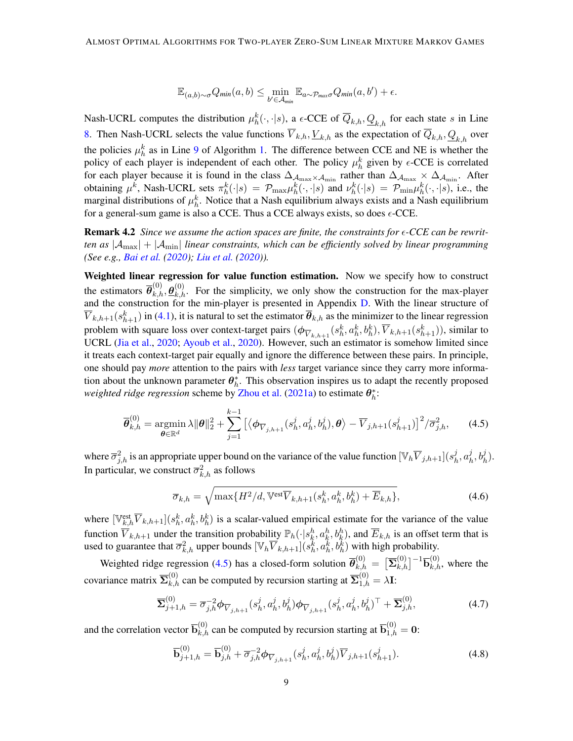$$
\mathbb{E}_{(a,b)\sim\sigma}Q_{min}(a,b)\leq \min_{b'\in\mathcal{A}_{min}}\mathbb{E}_{a\sim\mathcal{P}_{max}\sigma}Q_{min}(a,b')+\epsilon.
$$

Nash-UCRL computes the distribution  $\mu_h^k(\cdot, \cdot | s)$ , a  $\epsilon$ -CCE of  $\overline{Q}_{k,h}, \underline{Q}_{k,h}$  for each state s in Line [8.](#page-6-1) Then Nash-UCRL selects the value functions  $\overline{V}_{k,h}$ ,  $\underline{V}_{k,h}$  as the expectation of  $\overline{Q}_{k,h}$ ,  $Q_{k,h}$  over the policies  $\mu_h^k$  as in Line [9](#page-6-2) of Algorithm [1.](#page-6-0) The difference between CCE and NE is whether the policy of each player is independent of each other. The policy  $\mu_h^k$  given by  $\epsilon$ -CCE is correlated for each player because it is found in the class  $\Delta_{A_{\rm max}} \times A_{\rm min}$  rather than  $\Delta_{A_{\rm max}} \times \Delta_{A_{\rm min}}$ . After obtaining  $\mu^k$ , Nash-UCRL sets  $\pi^k_h(\cdot|s) = \mathcal{P}_{\max}\mu^k_h(\cdot,\cdot|s)$  and  $\nu^k_h(\cdot|s) = \mathcal{P}_{\min}\mu^k_h(\cdot,\cdot|s)$ , i.e., the marginal distributions of  $\mu_h^k$ . Notice that a Nash equilibrium always exists and a Nash equilibrium for a general-sum game is also a CCE. Thus a CCE always exists, so does  $\epsilon$ -CCE.

Remark 4.2 *Since we assume the action spaces are finite, the constraints for -CCE can be rewritten as* |Amax| + |Amin| *linear constraints, which can be efficiently solved by linear programming (See e.g., [Bai et al.](#page-12-2) [\(2020\)](#page-12-2); [Liu et al.](#page-14-8) [\(2020\)](#page-14-8)).*

Weighted linear regression for value function estimation. Now we specify how to construct the estimators  $\bar{\theta}_{k,h}^{(0)}$ ,  $\theta_{k,h}^{(0)}$ . For the simplicity, we only show the construction for the max-player and the construction for the min-player is presented in Appendix [D.](#page-30-0) With the linear structure of  $\overline{V}_{k,h+1}(s_{h+1}^k)$  in [\(4.1\)](#page-7-2), it is natural to set the estimator  $\overline{\theta}_{k,h}$  as the minimizer to the linear regression problem with square loss over context-target pairs  $(\phi_{\overline{V}_{k,h+1}}(s_h^k, a_h^k, b_h^k), \overline{V}_{k,h+1}(s_{h+1}^k))$ , similar to UCRL [\(Jia et al.,](#page-13-6) [2020;](#page-13-6) [Ayoub et al.,](#page-12-3) [2020\)](#page-12-3). However, such an estimator is somehow limited since it treats each context-target pair equally and ignore the difference between these pairs. In principle, one should pay *more* attention to the pairs with *less* target variance since they carry more information about the unknown parameter  $\theta_h^*$ . This observation inspires us to adapt the recently proposed *weighted ridge regression* scheme by [Zhou et al.](#page-15-12) [\(2021a\)](#page-15-12) to estimate  $\theta_h^*$ :

$$
\overline{\boldsymbol{\theta}}_{k,h}^{(0)} = \underset{\boldsymbol{\theta} \in \mathbb{R}^d}{\operatorname{argmin}} \lambda \|\boldsymbol{\theta}\|_2^2 + \sum_{j=1}^{k-1} \left[ \langle \boldsymbol{\phi}_{\overline{V}_{j,h+1}}(s_h^j, a_h^j, b_h^j), \boldsymbol{\theta} \rangle - \overline{V}_{j,h+1}(s_{h+1}^j) \right]^2 / \overline{\sigma}_{j,h}^2, \tag{4.5}
$$

where  $\overline{\sigma}_{j,h}^2$  is an appropriate upper bound on the variance of the value function  $[\mathbb{V}_h\overline{V}_{j,h+1}](s_h^j)$  $_{h}^{j},a_{h}^{j}$  $\frac{j}{h}, b_h^j$ ). In particular, we construct  $\overline{\sigma}_{k,h}^2$  as follows

<span id="page-8-3"></span><span id="page-8-0"></span>
$$
\overline{\sigma}_{k,h} = \sqrt{\max\{H^2/d, \mathbb{V}^{\text{est}}\overline{V}_{k,h+1}(s_h^k, a_h^k, b_h^k) + \overline{E}_{k,h}\}},\tag{4.6}
$$

where  $[\mathbb{V}_{k,h}^{\text{est}}\overline{V}_{k,h+1}](s_h^k, a_h^k, b_h^k)$  is a scalar-valued empirical estimate for the variance of the value function  $\overline{V}_{k,h+1}$  under the transition probability  $\mathbb{P}_h(\cdot|s_k^h, a_k^h, b_k^h)$ , and  $\overline{E}_{k,h}$  is an offset term that is used to guarantee that  $\overline{\sigma}_{k,h}^2$  upper bounds  $[\mathbb{V}_h \overline{V}_{k,h+1}](s_h^k, a_h^k, b_h^k)$  with high probability.

Weighted ridge regression [\(4.5\)](#page-8-3) has a closed-form solution  $\overline{\theta}_{k,h}^{(0)} = [\overline{\Sigma}_{k,h}^{(0)}]^{-1} \overline{\mathbf{b}}_{k,h}^{(0)}$ , where the covariance matrix  $\overline{\Sigma}_{k,h}^{(0)}$  can be computed by recursion starting at  $\overline{\Sigma}_{1,h}^{(0)} = \lambda \mathbf{I}$ :

$$
\overline{\Sigma}_{j+1,h}^{(0)} = \overline{\sigma}_{j,h}^{-2} \phi_{\overline{V}_{j,h+1}}(s_h^j, a_h^j, b_h^j) \phi_{\overline{V}_{j,h+1}}(s_h^j, a_h^j, b_h^j)^\top + \overline{\Sigma}_{j,h}^{(0)},
$$
(4.7)

and the correlation vector  $\overline{\mathbf{b}}_{k,h}^{(0)}$  can be computed by recursion starting at  $\overline{\mathbf{b}}_{1,h}^{(0)} = \mathbf{0}$ :

<span id="page-8-2"></span><span id="page-8-1"></span>
$$
\overline{\mathbf{b}}_{j+1,h}^{(0)} = \overline{\mathbf{b}}_{j,h}^{(0)} + \overline{\sigma}_{j,h}^{-2} \phi_{\overline{V}_{j,h+1}}(s_h^j, a_h^j, b_h^j) \overline{V}_{j,h+1}(s_{h+1}^j). \tag{4.8}
$$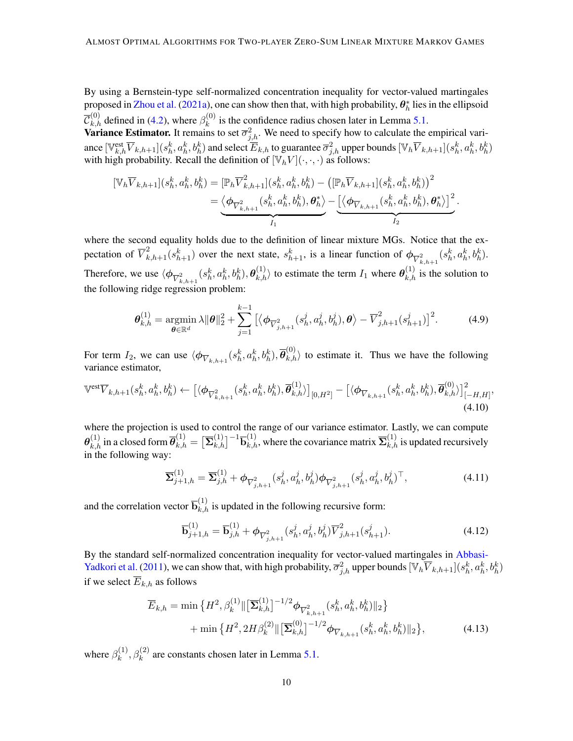By using a Bernstein-type self-normalized concentration inequality for vector-valued martingales proposed in [Zhou et al.](#page-15-12) [\(2021a\)](#page-15-12), one can show then that, with high probability,  $\theta_h^*$  lies in the ellipsoid  $\overline{\mathcal{C}}_{k,h}^{(0)}$  defined in [\(4.2\)](#page-7-3), where  $\beta_k^{(0)}$  $\kappa_k^{(0)}$  is the confidence radius chosen later in Lemma [5.1.](#page-10-0)

**Variance Estimator.** It remains to set  $\overline{\sigma}_{j,h}^2$ . We need to specify how to calculate the empirical variance  $[\mathbb{V}_{k,h}^{\text{est}}\overline{V}_{k,h+1}](s_h^k, a_h^k, b_h^k)$  and select  $\overline{E}_{k,h}$  to guarantee  $\overline{\sigma}_{j,h}^2$  upper bounds  $[\mathbb{V}_h\overline{V}_{k,h+1}](s_h^k, a_h^k, b_h^k)$ with high probability. Recall the definition of  $[\mathbb{V}_h V](\cdot,\cdot,\cdot)$  as follows:

$$
\begin{split} [\mathbb{V}_{h}\overline{V}_{k,h+1}](s_{h}^{k}, a_{h}^{k}, b_{h}^{k}) &= [\mathbb{P}_{h}\overline{V}_{k,h+1}^{2}](s_{h}^{k}, a_{h}^{k}, b_{h}^{k}) - \left([\mathbb{P}_{h}\overline{V}_{k,h+1}](s_{h}^{k}, a_{h}^{k}, b_{h}^{k})\right)^{2} \\ &= \underbrace{\langle \boldsymbol{\phi}_{\overline{V}_{k,h+1}^{2}}(s_{h}^{k}, a_{h}^{k}, b_{h}^{k}), \boldsymbol{\theta}_{h}^{*} \rangle - \underbrace{\left[\langle \boldsymbol{\phi}_{\overline{V}_{k,h+1}}(s_{h}^{k}, a_{h}^{k}, b_{h}^{k}), \boldsymbol{\theta}_{h}^{*} \rangle\right]^{2}}_{I_{2}} \end{split}
$$

where the second equality holds due to the definition of linear mixture MGs. Notice that the expectation of  $\overline{V}_{k,h+1}^2(s_{h+1}^k)$  over the next state,  $s_{h+1}^k$ , is a linear function of  $\phi_{\overline{V}_{k,h+1}^2}(s_h^k, a_h^k, b_h^k)$ . Therefore, we use  $\langle \phi_{\overline{V}_{k,h+1}^2}(s_h^k, a_h^k, b_h^k), \theta_{k,h}^{(1)}\rangle$  to estimate the term  $I_1$  where  $\theta_{k,h}^{(1)}$  is the solution to the following ridge regression problem:

$$
\boldsymbol{\theta}_{k,h}^{(1)} = \underset{\boldsymbol{\theta} \in \mathbb{R}^d}{\text{argmin}} \ \lambda \|\boldsymbol{\theta}\|_2^2 + \sum_{j=1}^{k-1} \left[ \langle \boldsymbol{\phi}_{\overline{V}_{j,h+1}^2}(s_h^j, a_h^j, b_h^j), \boldsymbol{\theta} \rangle - \overline{V}_{j,h+1}^2(s_{h+1}^j) \right]^2. \tag{4.9}
$$

<span id="page-9-4"></span><span id="page-9-2"></span><span id="page-9-0"></span>.

For term  $I_2$ , we can use  $\langle \phi_{\overline{V}_{k,h+1}}(s_h^k, a_h^k, b_h^k), \overline{\theta}_{k,h}^{(0)} \rangle$  to estimate it. Thus we have the following variance estimator,

$$
\mathbb{V}^{\text{est}}\overline{V}_{k,h+1}(s_h^k, a_h^k, b_h^k) \leftarrow \left[ \langle \phi_{\overline{V}_{k,h+1}^2}(s_h^k, a_h^k, b_h^k), \overline{\theta}_{k,h}^{(1)} \rangle \right]_{[0,H^2]} - \left[ \langle \phi_{\overline{V}_{k,h+1}}(s_h^k, a_h^k, b_h^k), \overline{\theta}_{k,h}^{(0)} \rangle \right]_{[-H,H]}^2, \tag{4.10}
$$

where the projection is used to control the range of our variance estimator. Lastly, we can compute  $\bm{\theta}_{k,h}^{(1)}$  in a closed form  $\overline{\bm{\theta}}_{k,h}^{(1)} = [\overline{\bm{\Sigma}}_{k,h}^{(1)}]^{-1}\overline{\bm{\mathsf{b}}}_{k,h}^{(1)}$ , where the covariance matrix  $\overline{\bm{\Sigma}}_{k,h}^{(1)}$  is updated recursively in the following way:

$$
\overline{\Sigma}_{j+1,h}^{(1)} = \overline{\Sigma}_{j,h}^{(1)} + \phi_{\overline{V}_{j,h+1}^2}(s_h^j, a_h^j, b_h^j) \phi_{\overline{V}_{j,h+1}^2}(s_h^j, a_h^j, b_h^j)^\top,
$$
\n(4.11)

and the correlation vector  $\overline{b}_{k,h}^{(1)}$  is updated in the following recursive form:

<span id="page-9-3"></span><span id="page-9-1"></span>
$$
\overline{\mathbf{b}}_{j+1,h}^{(1)} = \overline{\mathbf{b}}_{j,h}^{(1)} + \phi_{\overline{V}_{j,h+1}^2}(s_h^j, a_h^j, b_h^j) \overline{V}_{j,h+1}^2(s_{h+1}^j). \tag{4.12}
$$

By the standard self-normalized concentration inequality for vector-valued martingales in [Abbasi-](#page-12-4)[Yadkori et al.](#page-12-4) [\(2011\)](#page-12-4), we can show that, with high probability,  $\overline{\sigma}_{j,h}^2$  upper bounds  $[\mathbb{V}_h \overline{V}_{k,h+1}](s_h^k, a_h^k, b_h^k)$ if we select  $\overline{E}_{k,h}$  as follows

$$
\overline{E}_{k,h} = \min \left\{ H^2, \beta_k^{(1)} \|\left[\overline{\mathbf{\Sigma}}_{k,h}^{(1)}\right]^{-1/2} \phi_{\overline{V}_{k,h+1}^2}(s_h^k, a_h^k, b_h^k) \|_{2} \right\} + \min \left\{ H^2, 2H \beta_k^{(2)} \|\left[\overline{\mathbf{\Sigma}}_{k,h}^{(0)}\right]^{-1/2} \phi_{\overline{V}_{k,h+1}}(s_h^k, a_h^k, b_h^k) \|_{2} \right\},\tag{4.13}
$$

where  $\beta_k^{(1)}$  $k_k^{(1)}, \beta_k^{(2)}$  are constants chosen later in Lemma [5.1.](#page-10-0)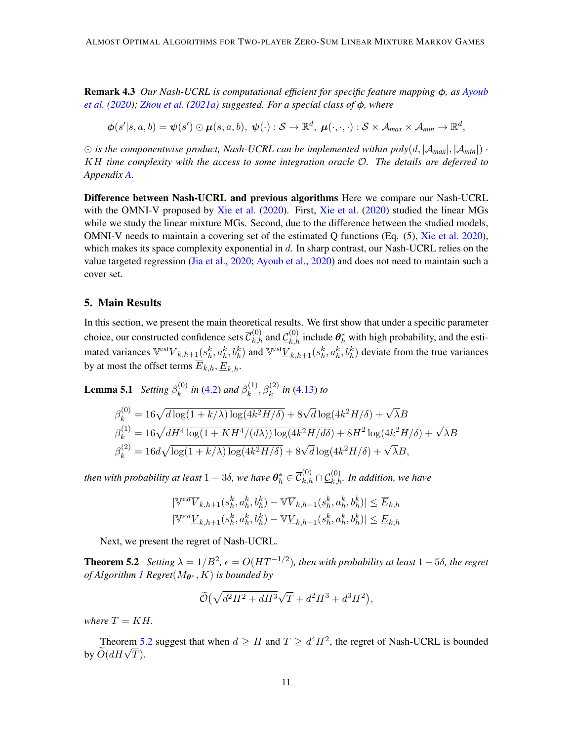Remark 4.3 *Our Nash-UCRL is computational efficient for specific feature mapping* φ*, as [Ayoub](#page-12-3) [et al.](#page-12-3) [\(2020\)](#page-12-3); [Zhou et al.](#page-15-12) [\(2021a\)](#page-15-12) suggested. For a special class of* φ*, where*

 $\bm{\phi}(s'|s,a,b) = \bm{\psi}(s') \odot \bm{\mu}(s,a,b), \ \bm{\psi}(\cdot) : \mathcal{S} \rightarrow \mathbb{R}^d, \ \bm{\mu}(\cdot,\cdot,\cdot) : \mathcal{S} \times \mathcal{A}_{max} \times \mathcal{A}_{min} \rightarrow \mathbb{R}^d,$ 

 $\odot$  *is the componentwise product, Nash-UCRL can be implemented within poly*(*d,*  $|\mathcal{A}_{max}|$ ,  $|\mathcal{A}_{min}|$ ) · KH *time complexity with the access to some integration oracle* O*. The details are deferred to Appendix [A.](#page-15-13)*

Difference between Nash-UCRL and previous algorithms Here we compare our Nash-UCRL with the OMNI-V proposed by [Xie et al.](#page-15-3) [\(2020\)](#page-15-3). First, [Xie et al.](#page-15-3) [\(2020\)](#page-15-3) studied the linear MGs while we study the linear mixture MGs. Second, due to the difference between the studied models, OMNI-V needs to maintain a covering set of the estimated Q functions (Eq. (5), [Xie et al.](#page-15-3) [2020\)](#page-15-3), which makes its space complexity exponential in  $d$ . In sharp contrast, our Nash-UCRL relies on the value targeted regression [\(Jia et al.,](#page-13-6) [2020;](#page-13-6) [Ayoub et al.,](#page-12-3) [2020\)](#page-12-3) and does not need to maintain such a cover set.

### <span id="page-10-2"></span>5. Main Results

In this section, we present the main theoretical results. We first show that under a specific parameter choice, our constructed confidence sets  $\overline{C}_{k,h}^{(0)}$  and  $\underline{C}_{k,h}^{(0)}$  include  $\theta_h^*$  with high probability, and the estimated variances  $\mathbb{V}^{\text{est}}\overline{V}_{k,h+1}(s_h^k, a_h^k, b_h^k)$  and  $\mathbb{V}^{\text{est}}\underline{V}_{k,h+1}(s_h^k, a_h^k, b_h^k)$  deviate from the true variances by at most the offset terms  $\overline{E}_{k,h}$ ,  $\underline{E}_{k,h}$ .

**Lemma 5.1** *Setting* 
$$
\beta_k^{(0)}
$$
 *in* (4.2) *and*  $\beta_k^{(1)}$ ,  $\beta_k^{(2)}$  *in* (4.13) *to*  
\n
$$
\beta_k^{(0)} = 16\sqrt{d \log(1 + k/\lambda) \log(4k^2H/\delta)} + 8\sqrt{d} \log(4k^2H/\delta) + \sqrt{\lambda}B
$$
\n
$$
\beta_k^{(1)} = 16\sqrt{dH^4 \log(1 + KH^4/(d\lambda)) \log(4k^2H/d\delta)} + 8H^2 \log(4k^2H/\delta) + \sqrt{\lambda}B
$$
\n
$$
\beta_k^{(2)} = 16d\sqrt{\log(1 + k/\lambda) \log(4k^2H/\delta)} + 8\sqrt{d} \log(4k^2H/\delta) + \sqrt{\lambda}B,
$$

then with probability at least  $1-3\delta$ , we have  $\bm{\theta}_h^*\in \overline{\mathcal{C}}_{k,h}^{(0)}\cap \underline{\mathcal{C}}_{k,h}^{(0)}$ . In addition, we have

<span id="page-10-0"></span>
$$
\begin{aligned} |\mathbb{V}^{est}\overline{V}_{k,h+1}(s_h^k,a_h^k,b_h^k) - \mathbb{V}\overline{V}_{k,h+1}(s_h^k,a_h^k,b_h^k)| &\leq \overline{E}_{k,h} \\ |\mathbb{V}^{est}\underline{V}_{k,h+1}(s_h^k,a_h^k,b_h^k) - \mathbb{V}\underline{V}_{k,h+1}(s_h^k,a_h^k,b_h^k)| &\leq \underline{E}_{k,h} \end{aligned}
$$

Next, we present the regret of Nash-UCRL.

**Theorem 5.2** *Setting*  $\lambda = 1/B^2$ ,  $\epsilon = O(HT^{-1/2})$ , then with probability at least  $1-5\delta$ , the regret *of Algorithm [1](#page-6-0) Regret*( $M_{\theta^*}$ , K) *is bounded by* 

<span id="page-10-1"></span>
$$
\widetilde{\mathcal{O}}\left(\sqrt{d^2H^2+dH^3}\sqrt{T}+d^2H^3+d^3H^2\right),
$$

*where*  $T = KH$ .

Theorem [5.2](#page-10-1) suggest that when  $d \geq H$  and  $T \geq d^4 H^2$ , the regret of Nash-UCRL is bounded  $\overline{O}(dH\sqrt{T}).$ <br>by  $\overline{O}(dH\sqrt{T}).$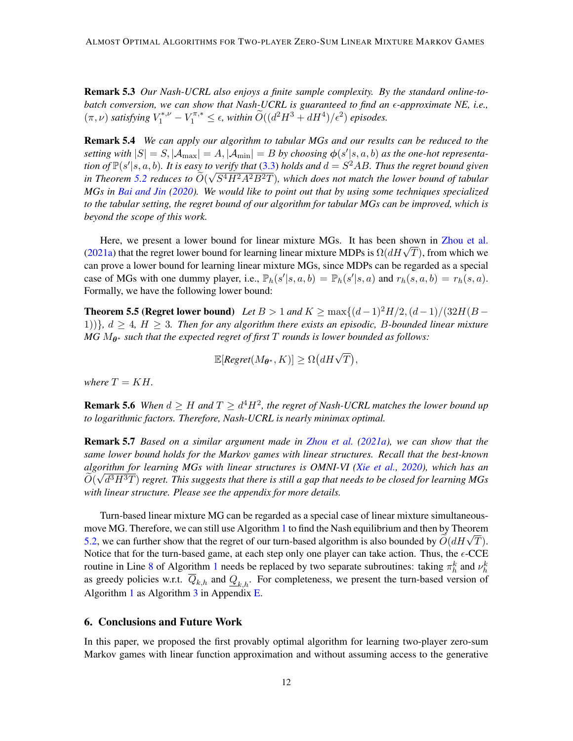Remark 5.3 *Our Nash-UCRL also enjoys a finite sample complexity. By the standard online-tobatch conversion, we can show that Nash-UCRL is guaranteed to find an -approximate NE, i.e.,*  $(\pi, \nu)$  *satisfying*  $V_1^{*, \nu} - V_1^{\pi,*} \leq \epsilon$ , *within*  $\widetilde{O}((d^2H^3 + dH^4)/\epsilon^2)$  *episodes.* 

Remark 5.4 *We can apply our algorithm to tabular MGs and our results can be reduced to the* setting with  $|S| = S$ ,  $|\mathcal{A}_{\text{max}}| = A$ ,  $|\mathcal{A}_{\text{min}}| = B$  by choosing  $\phi(s'|s, a, b)$  as the one-hot representation of  $\mathbb{P}(s'|s, a, b)$ . It is easy to verify that [\(3.3\)](#page-5-0) holds and  $d = S^2AB$ . Thus the regret bound given *in Theorem [5.2](#page-10-1) reduces to*  $\dot{O}(\sqrt{S^4H^2A^2B^2T})$ *, which does not match the lower bound of tabular MGs in [Bai and Jin](#page-12-1) [\(2020\)](#page-12-1). We would like to point out that by using some techniques specialized to the tabular setting, the regret bound of our algorithm for tabular MGs can be improved, which is beyond the scope of this work.*

Here, we present a lower bound for linear mixture MGs. It has been shown in [Zhou et al.](#page-15-12) Here, we present a lower bound for linear mixture MOs. It has been shown in Zhou et al.<br>[\(2021a\)](#page-15-12) that the regret lower bound for learning linear mixture MDPs is  $\Omega(dH\sqrt{T})$ , from which we can prove a lower bound for learning linear mixture MGs, since MDPs can be regarded as a special case of MGs with one dummy player, i.e.,  $\mathbb{P}_h(s'|s, a, b) = \mathbb{P}_h(s'|s, a)$  and  $r_h(s, a, b) = r_h(s, a)$ . Formally, we have the following lower bound:

**Theorem 5.5 (Regret lower bound)** Let  $B > 1$  and  $K \ge \max\{(d-1)^2H/2, (d-1)/(32H(B -$ 1)) $\}$ ,  $d \geq 4$ ,  $H \geq 3$ . Then for any algorithm there exists an episodic, B-bounded linear mixture *MG*  $M_{\theta^*}$  *such that the expected regret of first* T *rounds is lower bounded as follows:* 

<span id="page-11-0"></span>
$$
\mathbb{E}[\textit{Regret}(M_{\theta^*}, K)] \geq \Omega\big(dH\sqrt{T}\big),
$$

*where*  $T = KH$ .

**Remark 5.6** When  $d \geq H$  and  $T \geq d^4H^2$ , the regret of Nash-UCRL matches the lower bound up *to logarithmic factors. Therefore, Nash-UCRL is nearly minimax optimal.*

Remark 5.7 *Based on a similar argument made in [Zhou et al.](#page-15-12) [\(2021a\)](#page-15-12), we can show that the same lower bound holds for the Markov games with linear structures. Recall that the best-known algorithm for learning MGs with linear structures is OMNI-VI [\(Xie et al.,](#page-15-3) [2020\)](#page-15-3), which has an* √  $\tilde O(\sqrt{d^3}H^3T)$  regret. This suggests that there is still a gap that needs to be closed for learning MGs *with linear structure. Please see the appendix for more details.*

Turn-based linear mixture MG can be regarded as a special case of linear mixture simultaneousmove MG. Therefore, we can still use Algorithm [1](#page-6-0) to find the Nash equilibrium and then by Theorem move MG. I herefore, we can suff use Algorithm 1 to find the Nash equilibrium and then by Theorem [5.2,](#page-10-1) we can further show that the regret of our turn-based algorithm is also bounded by  $\widetilde{O}(dH\sqrt{T})$ . Notice that for the turn-based game, at each step only one player can take action. Thus, the  $\epsilon$ -CCE routine in Line [8](#page-6-1) of Algorithm [1](#page-6-0) needs be replaced by two separate subroutines: taking  $\pi_h^k$  and  $\nu_h^k$ as greedy policies w.r.t.  $\overline{Q}_{k,h}$  and  $Q_{k,h}$ . For completeness, we present the turn-based version of Algorithm [1](#page-6-0) as Algorithm [3](#page-33-0) in Appendix [E.](#page-32-0)

# 6. Conclusions and Future Work

In this paper, we proposed the first provably optimal algorithm for learning two-player zero-sum Markov games with linear function approximation and without assuming access to the generative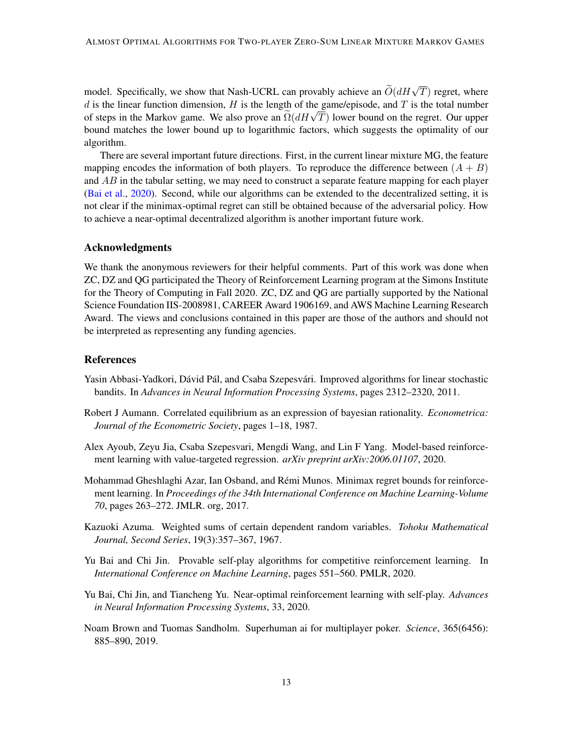model. Specifically, we show that Nash-UCRL can provably achieve an  $\widetilde{O}(dH\sqrt{T})$  regret, where d is the linear function dimension,  $H$  is the length of the game/episode, and  $T$  is the total number a is the inear function dimension, *H* is the length of the game/episode, and *I* is the total number<br>of steps in the Markov game. We also prove an  $\Omega(dH\sqrt{T})$  lower bound on the regret. Our upper bound matches the lower bound up to logarithmic factors, which suggests the optimality of our algorithm.

There are several important future directions. First, in the current linear mixture MG, the feature mapping encodes the information of both players. To reproduce the difference between  $(A + B)$ and  $AB$  in the tabular setting, we may need to construct a separate feature mapping for each player [\(Bai et al.,](#page-12-2) [2020\)](#page-12-2). Second, while our algorithms can be extended to the decentralized setting, it is not clear if the minimax-optimal regret can still be obtained because of the adversarial policy. How to achieve a near-optimal decentralized algorithm is another important future work.

### Acknowledgments

We thank the anonymous reviewers for their helpful comments. Part of this work was done when ZC, DZ and QG participated the Theory of Reinforcement Learning program at the Simons Institute for the Theory of Computing in Fall 2020. ZC, DZ and QG are partially supported by the National Science Foundation IIS-2008981, CAREER Award 1906169, and AWS Machine Learning Research Award. The views and conclusions contained in this paper are those of the authors and should not be interpreted as representing any funding agencies.

### References

- <span id="page-12-4"></span>Yasin Abbasi-Yadkori, Dávid Pál, and Csaba Szepesvári. Improved algorithms for linear stochastic bandits. In *Advances in Neural Information Processing Systems*, pages 2312–2320, 2011.
- <span id="page-12-5"></span>Robert J Aumann. Correlated equilibrium as an expression of bayesian rationality. *Econometrica: Journal of the Econometric Society*, pages 1–18, 1987.
- <span id="page-12-3"></span>Alex Ayoub, Zeyu Jia, Csaba Szepesvari, Mengdi Wang, and Lin F Yang. Model-based reinforcement learning with value-targeted regression. *arXiv preprint arXiv:2006.01107*, 2020.
- <span id="page-12-7"></span>Mohammad Gheshlaghi Azar, Ian Osband, and Remi Munos. Minimax regret bounds for reinforce- ´ ment learning. In *Proceedings of the 34th International Conference on Machine Learning-Volume 70*, pages 263–272. JMLR. org, 2017.
- <span id="page-12-6"></span>Kazuoki Azuma. Weighted sums of certain dependent random variables. *Tohoku Mathematical Journal, Second Series*, 19(3):357–367, 1967.
- <span id="page-12-1"></span>Yu Bai and Chi Jin. Provable self-play algorithms for competitive reinforcement learning. In *International Conference on Machine Learning*, pages 551–560. PMLR, 2020.
- <span id="page-12-2"></span>Yu Bai, Chi Jin, and Tiancheng Yu. Near-optimal reinforcement learning with self-play. *Advances in Neural Information Processing Systems*, 33, 2020.
- <span id="page-12-0"></span>Noam Brown and Tuomas Sandholm. Superhuman ai for multiplayer poker. *Science*, 365(6456): 885–890, 2019.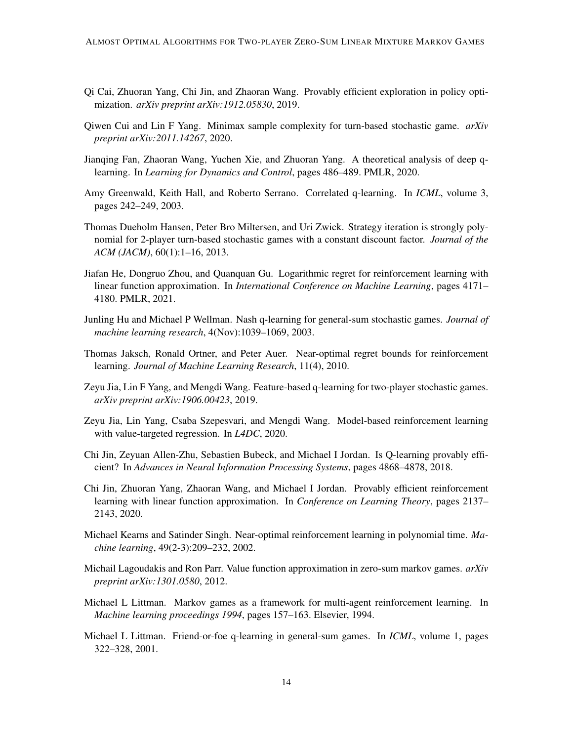- <span id="page-13-14"></span>Qi Cai, Zhuoran Yang, Chi Jin, and Zhaoran Wang. Provably efficient exploration in policy optimization. *arXiv preprint arXiv:1912.05830*, 2019.
- <span id="page-13-2"></span>Qiwen Cui and Lin F Yang. Minimax sample complexity for turn-based stochastic game. *arXiv preprint arXiv:2011.14267*, 2020.
- <span id="page-13-11"></span>Jianqing Fan, Zhaoran Wang, Yuchen Xie, and Zhuoran Yang. A theoretical analysis of deep qlearning. In *Learning for Dynamics and Control*, pages 486–489. PMLR, 2020.
- <span id="page-13-8"></span>Amy Greenwald, Keith Hall, and Roberto Serrano. Correlated q-learning. In *ICML*, volume 3, pages 242–249, 2003.
- <span id="page-13-10"></span>Thomas Dueholm Hansen, Peter Bro Miltersen, and Uri Zwick. Strategy iteration is strongly polynomial for 2-player turn-based stochastic games with a constant discount factor. *Journal of the ACM (JACM)*, 60(1):1–16, 2013.
- <span id="page-13-13"></span>Jiafan He, Dongruo Zhou, and Quanquan Gu. Logarithmic regret for reinforcement learning with linear function approximation. In *International Conference on Machine Learning*, pages 4171– 4180. PMLR, 2021.
- <span id="page-13-9"></span>Junling Hu and Michael P Wellman. Nash q-learning for general-sum stochastic games. *Journal of machine learning research*, 4(Nov):1039–1069, 2003.
- <span id="page-13-5"></span>Thomas Jaksch, Ronald Ortner, and Peter Auer. Near-optimal regret bounds for reinforcement learning. *Journal of Machine Learning Research*, 11(4), 2010.
- <span id="page-13-1"></span>Zeyu Jia, Lin F Yang, and Mengdi Wang. Feature-based q-learning for two-player stochastic games. *arXiv preprint arXiv:1906.00423*, 2019.
- <span id="page-13-6"></span>Zeyu Jia, Lin Yang, Csaba Szepesvari, and Mengdi Wang. Model-based reinforcement learning with value-targeted regression. In *L4DC*, 2020.
- <span id="page-13-15"></span>Chi Jin, Zeyuan Allen-Zhu, Sebastien Bubeck, and Michael I Jordan. Is Q-learning provably efficient? In *Advances in Neural Information Processing Systems*, pages 4868–4878, 2018.
- <span id="page-13-12"></span>Chi Jin, Zhuoran Yang, Zhaoran Wang, and Michael I Jordan. Provably efficient reinforcement learning with linear function approximation. In *Conference on Learning Theory*, pages 2137– 2143, 2020.
- <span id="page-13-4"></span>Michael Kearns and Satinder Singh. Near-optimal reinforcement learning in polynomial time. *Machine learning*, 49(2-3):209–232, 2002.
- <span id="page-13-3"></span>Michail Lagoudakis and Ron Parr. Value function approximation in zero-sum markov games. *arXiv preprint arXiv:1301.0580*, 2012.
- <span id="page-13-0"></span>Michael L Littman. Markov games as a framework for multi-agent reinforcement learning. In *Machine learning proceedings 1994*, pages 157–163. Elsevier, 1994.
- <span id="page-13-7"></span>Michael L Littman. Friend-or-foe q-learning in general-sum games. In *ICML*, volume 1, pages 322–328, 2001.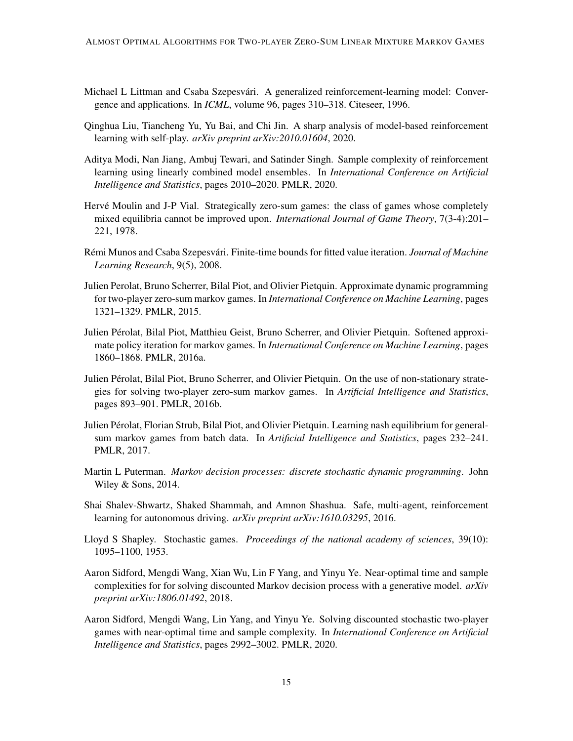- <span id="page-14-10"></span>Michael L Littman and Csaba Szepesvári. A generalized reinforcement-learning model: Convergence and applications. In *ICML*, volume 96, pages 310–318. Citeseer, 1996.
- <span id="page-14-8"></span>Qinghua Liu, Tiancheng Yu, Yu Bai, and Chi Jin. A sharp analysis of model-based reinforcement learning with self-play. *arXiv preprint arXiv:2010.01604*, 2020.
- <span id="page-14-9"></span>Aditya Modi, Nan Jiang, Ambuj Tewari, and Satinder Singh. Sample complexity of reinforcement learning using linearly combined model ensembles. In *International Conference on Artificial Intelligence and Statistics*, pages 2010–2020. PMLR, 2020.
- <span id="page-14-13"></span>Hervé Moulin and J-P Vial. Strategically zero-sum games: the class of games whose completely mixed equilibria cannot be improved upon. *International Journal of Game Theory*, 7(3-4):201– 221, 1978.
- <span id="page-14-12"></span>Rémi Munos and Csaba Szepesvári. Finite-time bounds for fitted value iteration. *Journal of Machine Learning Research*, 9(5), 2008.
- <span id="page-14-4"></span>Julien Perolat, Bruno Scherrer, Bilal Piot, and Olivier Pietquin. Approximate dynamic programming for two-player zero-sum markov games. In *International Conference on Machine Learning*, pages 1321–1329. PMLR, 2015.
- <span id="page-14-5"></span>Julien Perolat, Bilal Piot, Matthieu Geist, Bruno Scherrer, and Olivier Pietquin. Softened approxi- ´ mate policy iteration for markov games. In *International Conference on Machine Learning*, pages 1860–1868. PMLR, 2016a.
- <span id="page-14-6"></span>Julien Perolat, Bilal Piot, Bruno Scherrer, and Olivier Pietquin. On the use of non-stationary strate- ´ gies for solving two-player zero-sum markov games. In *Artificial Intelligence and Statistics*, pages 893–901. PMLR, 2016b.
- <span id="page-14-7"></span>Julien Perolat, Florian Strub, Bilal Piot, and Olivier Pietquin. Learning nash equilibrium for general- ´ sum markov games from batch data. In *Artificial Intelligence and Statistics*, pages 232–241. PMLR, 2017.
- <span id="page-14-2"></span>Martin L Puterman. *Markov decision processes: discrete stochastic dynamic programming*. John Wiley & Sons, 2014.
- <span id="page-14-0"></span>Shai Shalev-Shwartz, Shaked Shammah, and Amnon Shashua. Safe, multi-agent, reinforcement learning for autonomous driving. *arXiv preprint arXiv:1610.03295*, 2016.
- <span id="page-14-1"></span>Lloyd S Shapley. Stochastic games. *Proceedings of the national academy of sciences*, 39(10): 1095–1100, 1953.
- <span id="page-14-11"></span>Aaron Sidford, Mengdi Wang, Xian Wu, Lin F Yang, and Yinyu Ye. Near-optimal time and sample complexities for for solving discounted Markov decision process with a generative model. *arXiv preprint arXiv:1806.01492*, 2018.
- <span id="page-14-3"></span>Aaron Sidford, Mengdi Wang, Lin Yang, and Yinyu Ye. Solving discounted stochastic two-player games with near-optimal time and sample complexity. In *International Conference on Artificial Intelligence and Statistics*, pages 2992–3002. PMLR, 2020.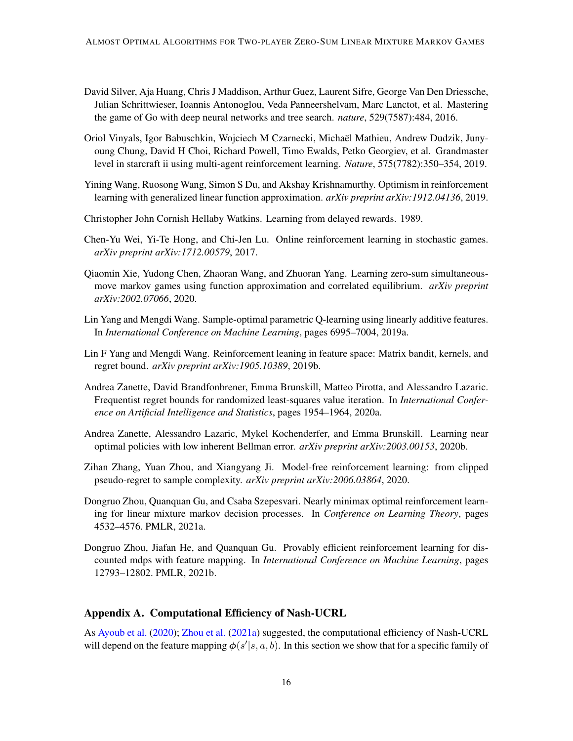- <span id="page-15-0"></span>David Silver, Aja Huang, Chris J Maddison, Arthur Guez, Laurent Sifre, George Van Den Driessche, Julian Schrittwieser, Ioannis Antonoglou, Veda Panneershelvam, Marc Lanctot, et al. Mastering the game of Go with deep neural networks and tree search. *nature*, 529(7587):484, 2016.
- <span id="page-15-1"></span>Oriol Vinyals, Igor Babuschkin, Wojciech M Czarnecki, Michael Mathieu, Andrew Dudzik, Juny- ¨ oung Chung, David H Choi, Richard Powell, Timo Ewalds, Petko Georgiev, et al. Grandmaster level in starcraft ii using multi-agent reinforcement learning. *Nature*, 575(7782):350–354, 2019.
- <span id="page-15-8"></span>Yining Wang, Ruosong Wang, Simon S Du, and Akshay Krishnamurthy. Optimism in reinforcement learning with generalized linear function approximation. *arXiv preprint arXiv:1912.04136*, 2019.
- <span id="page-15-5"></span>Christopher John Cornish Hellaby Watkins. Learning from delayed rewards. 1989.
- <span id="page-15-2"></span>Chen-Yu Wei, Yi-Te Hong, and Chi-Jen Lu. Online reinforcement learning in stochastic games. *arXiv preprint arXiv:1712.00579*, 2017.
- <span id="page-15-3"></span>Qiaomin Xie, Yudong Chen, Zhaoran Wang, and Zhuoran Yang. Learning zero-sum simultaneousmove markov games using function approximation and correlated equilibrium. *arXiv preprint arXiv:2002.07066*, 2020.
- <span id="page-15-7"></span>Lin Yang and Mengdi Wang. Sample-optimal parametric Q-learning using linearly additive features. In *International Conference on Machine Learning*, pages 6995–7004, 2019a.
- <span id="page-15-11"></span>Lin F Yang and Mengdi Wang. Reinforcement leaning in feature space: Matrix bandit, kernels, and regret bound. *arXiv preprint arXiv:1905.10389*, 2019b.
- <span id="page-15-9"></span>Andrea Zanette, David Brandfonbrener, Emma Brunskill, Matteo Pirotta, and Alessandro Lazaric. Frequentist regret bounds for randomized least-squares value iteration. In *International Conference on Artificial Intelligence and Statistics*, pages 1954–1964, 2020a.
- <span id="page-15-10"></span>Andrea Zanette, Alessandro Lazaric, Mykel Kochenderfer, and Emma Brunskill. Learning near optimal policies with low inherent Bellman error. *arXiv preprint arXiv:2003.00153*, 2020b.
- <span id="page-15-6"></span>Zihan Zhang, Yuan Zhou, and Xiangyang Ji. Model-free reinforcement learning: from clipped pseudo-regret to sample complexity. *arXiv preprint arXiv:2006.03864*, 2020.
- <span id="page-15-12"></span>Dongruo Zhou, Quanquan Gu, and Csaba Szepesvari. Nearly minimax optimal reinforcement learning for linear mixture markov decision processes. In *Conference on Learning Theory*, pages 4532–4576. PMLR, 2021a.
- <span id="page-15-4"></span>Dongruo Zhou, Jiafan He, and Quanquan Gu. Provably efficient reinforcement learning for discounted mdps with feature mapping. In *International Conference on Machine Learning*, pages 12793–12802. PMLR, 2021b.

# <span id="page-15-13"></span>Appendix A. Computational Efficiency of Nash-UCRL

As [Ayoub et al.](#page-12-3) [\(2020\)](#page-12-3); [Zhou et al.](#page-15-12) [\(2021a\)](#page-15-12) suggested, the computational efficiency of Nash-UCRL will depend on the feature mapping  $\phi(s'|s, a, b)$ . In this section we show that for a specific family of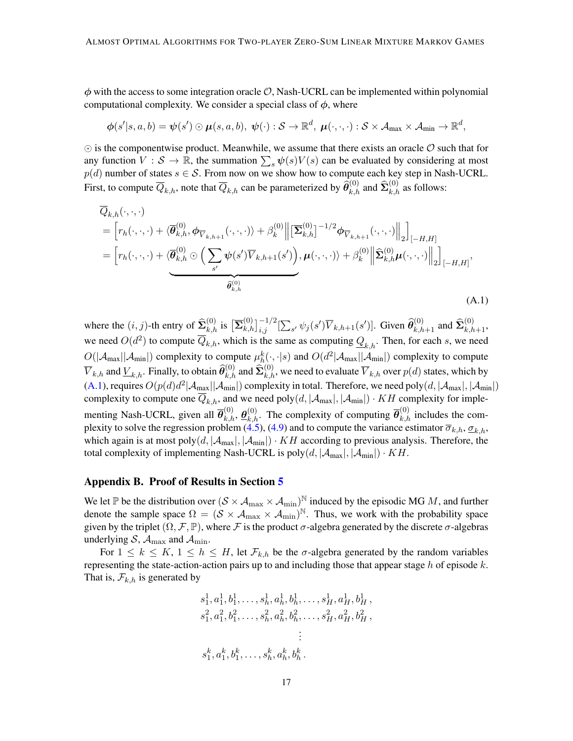$\phi$  with the access to some integration oracle  $\mathcal{O}$ , Nash-UCRL can be implemented within polynomial computational complexity. We consider a special class of  $\phi$ , where

$$
\boldsymbol{\phi}(s'|s,a,b)=\boldsymbol{\psi}(s')\odot\boldsymbol{\mu}(s,a,b),\ \boldsymbol{\psi}(\cdot):\mathcal{S}\rightarrow\mathbb{R}^d,\ \boldsymbol{\mu}(\cdot,\cdot,\cdot):\mathcal{S}\times\mathcal{A}_{\max}\times\mathcal{A}_{\min}\rightarrow\mathbb{R}^d,
$$

 $\odot$  is the componentwise product. Meanwhile, we assume that there exists an oracle  $\mathcal O$  such that for any function  $V : S \to \mathbb{R}$ , the summation  $\sum_s \psi(s) V(s)$  can be evaluated by considering at most  $p(d)$  number of states  $s \in \mathcal{S}$ . From now on we show how to compute each key step in Nash-UCRL. First, to compute  $\overline{Q}_{k,h}$ , note that  $\overline{Q}_{k,h}$  can be parameterized by  $\widehat{\theta}_{k,h}^{(0)}$  and  $\widehat{\Sigma}_{k,h}^{(0)}$  as follows:

<span id="page-16-0"></span>
$$
\overline{Q}_{k,h}(\cdot,\cdot,\cdot)
$$
\n
$$
= \left[ r_h(\cdot,\cdot,\cdot) + \langle \overline{\theta}_{k,h}^{(0)}, \phi_{\overline{V}_{k,h+1}}(\cdot,\cdot,\cdot) \rangle + \beta_k^{(0)} \right] \left[ \overline{\Sigma}_{k,h}^{(0)} \right]^{-1/2} \phi_{\overline{V}_{k,h+1}}(\cdot,\cdot,\cdot) \Big\|_2 \Big]_{[-H,H]}
$$
\n
$$
= \left[ r_h(\cdot,\cdot,\cdot) + \langle \overline{\theta}_{k,h}^{(0)} \odot \left( \sum_{s'} \psi(s') \overline{V}_{k,h+1}(s') \right), \mu(\cdot,\cdot,\cdot) \rangle + \beta_k^{(0)} \left\| \widehat{\Sigma}_{k,h}^{(0)} \mu(\cdot,\cdot,\cdot) \right\|_2 \right]_{[-H,H]},
$$
\n
$$
\overline{\widehat{\theta}_{k,h}^{(0)}}
$$
\n(A.1)

where the  $(i, j)$ -th entry of  $\widehat{\mathbf{\Sigma}}_{k,h}^{(0)}$  is  $\left[\overline{\mathbf{\Sigma}}_{k,h}^{(0)}\right]_{i,j}^{-1/2}[\sum_{s'} \psi_j(s')\overline{V}_{k,h+1}(s')]$ . Given  $\widehat{\theta}_{k,h+1}^{(0)}$  and  $\widehat{\mathbf{\Sigma}}_{k,h+1}^{(0)}$ , we need  $O(d^2)$  to compute  $\overline{Q}_{k,h}$ , which is the same as computing  $\underline{Q}_{k,h}$ . Then, for each s, we need  $O(|A_{\text{max}}||A_{\text{min}}|)$  complexity to compute  $\mu_h^k(\cdot, \cdot|s)$  and  $O(d^2|A_{\text{max}}||A_{\text{min}}|)$  complexity to compute  $\overline{V}_{k,h}$  and  $\underline{V}_{k,h}.$  Finally, to obtain  $\widehat{\theta}_{k,h}^{(0)}$  and  $\widehat{\Sigma}_{k,h}^{(0)}$ , we need to evaluate  $\overline{V}_{k,h}$  over  $p(d)$  states, which by [\(A.1\)](#page-16-0), requires  $O(p(d)d^2|\mathcal{A}_{\max}||\mathcal{A}_{\min}|)$  complexity in total. Therefore, we need poly $(d, |\mathcal{A}_{\max}|, |\mathcal{A}_{\min}|)$ complexity to compute one  $\overline{Q}_{k,h}$ , and we need poly $(d, |\mathcal{A}_{max}|, |\mathcal{A}_{min}|) \cdot KH$  complexity for implementing Nash-UCRL, given all  $\overline{\theta}_{k,h}^{(0)}$ ,  $\underline{\theta}_{k,h}^{(0)}$ . The complexity of computing  $\overline{\theta}_{k,h}^{(0)}$  includes the com-plexity to solve the regression problem [\(4.5\)](#page-8-3), [\(4.9\)](#page-9-4) and to compute the variance estimator  $\overline{\sigma}_{k,h}$ ,  $\underline{\sigma}_{k,h}$ , which again is at most poly $(d, |A_{max}|, |A_{min}|) \cdot KH$  according to previous analysis. Therefore, the total complexity of implementing Nash-UCRL is  $poly(d, |A_{max}|, |A_{min}|) \cdot KH$ .

#### <span id="page-16-1"></span>Appendix B. Proof of Results in Section [5](#page-10-2)

We let P be the distribution over  $(S \times A_{\text{max}} \times A_{\text{min}})^N$  induced by the episodic MG M, and further denote the sample space  $\Omega = (\mathcal{S} \times \mathcal{A}_{\text{max}} \times \mathcal{A}_{\text{min}})^{\mathbb{N}}$ . Thus, we work with the probability space given by the triplet  $(\Omega, \mathcal{F}, \mathbb{P})$ , where  $\mathcal F$  is the product  $\sigma$ -algebra generated by the discrete  $\sigma$ -algebras underlying  $S$ ,  $A_{\text{max}}$  and  $A_{\text{min}}$ .

For  $1 \leq k \leq K$ ,  $1 \leq h \leq H$ , let  $\mathcal{F}_{k,h}$  be the  $\sigma$ -algebra generated by the random variables representing the state-action-action pairs up to and including those that appear stage  $h$  of episode  $k$ . That is,  $\mathcal{F}_{k,h}$  is generated by

$$
s_1^1, a_1^1, b_1^1, \ldots, s_h^1, a_h^1, b_h^1, \ldots, s_H^1, a_H^1, b_H^1, s_1^2, a_1^2, b_1^2, \ldots, s_h^2, a_h^2, b_h^2, \ldots, s_H^2, a_H^2, b_H^2, \vdots s_1^k, a_1^k, b_1^k, \ldots, s_h^k, a_h^k, b_h^k.
$$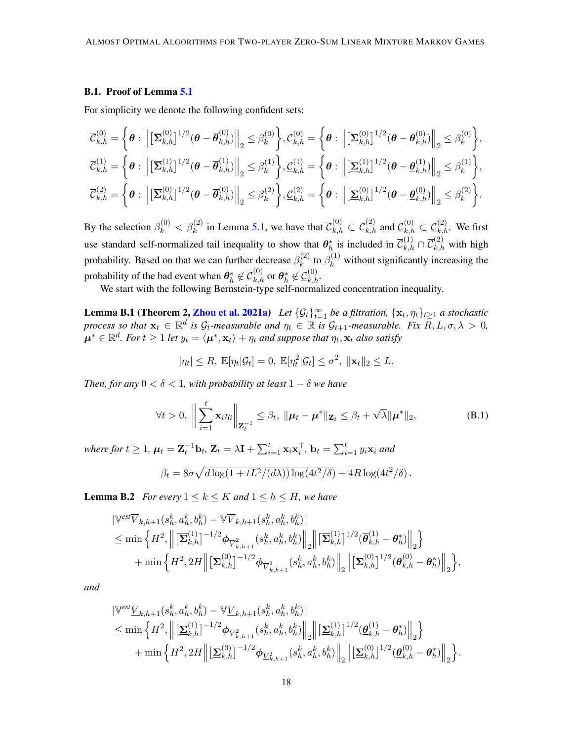### B.1. Proof of Lemma [5.1](#page-10-0)

For simplicity we denote the following confident sets:

$$
\overline{\mathcal{C}}_{k,h}^{(0)} = \left\{ \theta : \left\| \left[ \overline{\mathbf{\Sigma}}_{k,h}^{(0)} \right]^{1/2} (\theta - \overline{\theta}_{k,h}^{(0)}) \right\|_2 \leq \beta_k^{(0)} \right\}, \underline{\mathcal{C}}_{k,h}^{(0)} = \left\{ \theta : \left\| \left[ \underline{\mathbf{\Sigma}}_{k,h}^{(0)} \right]^{1/2} (\theta - \underline{\theta}_{k,h}^{(0)}) \right\|_2 \leq \beta_k^{(0)} \right\}, \n\overline{\mathcal{C}}_{k,h}^{(1)} = \left\{ \theta : \left\| \left[ \overline{\mathbf{\Sigma}}_{k,h}^{(1)} \right]^{1/2} (\theta - \overline{\theta}_{k,h}^{(1)}) \right\|_2 \leq \beta_k^{(1)} \right\}, \underline{\mathcal{C}}_{k,h}^{(1)} = \left\{ \theta : \left\| \left[ \underline{\mathbf{\Sigma}}_{k,h}^{(1)} \right]^{1/2} (\theta - \underline{\theta}_{k,h}^{(1)}) \right\|_2 \leq \beta_k^{(1)} \right\}, \n\overline{\mathcal{C}}_{k,h}^{(2)} = \left\{ \theta : \left\| \left[ \overline{\mathbf{\Sigma}}_{k,h}^{(0)} \right]^{1/2} (\theta - \overline{\theta}_{k,h}^{(0)}) \right\|_2 \leq \beta_k^{(2)} \right\}, \underline{\mathcal{C}}_{k,h}^{(2)} = \left\{ \theta : \left\| \left[ \underline{\mathbf{\Sigma}}_{k,h}^{(0)} \right]^{1/2} (\theta - \underline{\theta}_{k,h}^{(0)}) \right\|_2 \leq \beta_k^{(2)} \right\}.
$$

By the selection  $\beta_k^{(0)} < \beta_k^{(2)}$  in Lemma [5.1,](#page-10-0) we have that  $\overline{\mathcal{C}}_{k,h}^{(0)} \subset \overline{\mathcal{C}}_{k,h}^{(2)}$  and  $\underline{\mathcal{C}}_{k,h}^{(0)} \subset \underline{\mathcal{C}}_{k,h}^{(2)}$ . We first use standard self-normalized tail inequality to show that  $\theta_h^*$  is included in  $\overline{C}_{k,h}^{(1)} \cap \overline{C}_{k,h}^{(2)}$  with high probability. Based on that we can further decrease  $\beta_k^{(2)}$  $k_k^{(2)}$  to  $\beta_k^{(1)}$  without significantly increasing the probability of the bad event when  $\bm{\theta}_h^* \not\in \overline{\mathcal{C}}_{k,h}^{(0)}$  or  $\bm{\theta}_h^* \not\in \underline{\mathcal{C}}_{k,h}^{(0)}$ .

We start with the following Bernstein-type self-normalized concentration inequality.

<span id="page-17-0"></span>**Lemma B.1 (Theorem 2, [Zhou et al.](#page-15-12) [2021a\)](#page-15-12)** *Let*  $\{\mathcal{G}_t\}_{t=1}^{\infty}$  *be a filtration*,  $\{\mathbf{x}_t, \eta_t\}_{t\geq 1}$  *a stochastic process so that*  $\mathbf{x}_t \in \mathbb{R}^d$  *is*  $\mathcal{G}_t$ *-measurable and*  $\eta_t \in \mathbb{R}$  *is*  $\mathcal{G}_{t+1}$ *-measurable. Fix*  $\overline{R}, L, \sigma, \lambda > 0$ *,*  $\mu^* \in \mathbb{R}^d$ . For  $t \ge 1$  let  $y_t = \langle \mu^*, \mathbf{x}_t \rangle + \eta_t$  and suppose that  $\eta_t, \mathbf{x}_t$  also satisfy

$$
|\eta_t| \leq R, \ \mathbb{E}[\eta_t|\mathcal{G}_t] = 0, \ \mathbb{E}[\eta_t^2|\mathcal{G}_t] \leq \sigma^2, \ \|\mathbf{x}_t\|_2 \leq L.
$$

*Then, for any*  $0 < \delta < 1$ *, with probability at least*  $1 - \delta$  *we have* 

$$
\forall t > 0, \left\| \sum_{i=1}^t \mathbf{x}_i \eta_i \right\|_{\mathbf{Z}_t^{-1}} \leq \beta_t, \|\boldsymbol{\mu}_t - \boldsymbol{\mu}^*\|_{\mathbf{Z}_t} \leq \beta_t + \sqrt{\lambda} \|\boldsymbol{\mu}^*\|_2,
$$
 (B.1)

where for  $t \geq 1$ ,  $\boldsymbol{\mu}_t = \mathbf{Z}_t^{-1} \mathbf{b}_t$ ,  $\mathbf{Z}_t = \lambda \mathbf{I} + \sum_{i=1}^t \mathbf{x}_i \mathbf{x}_i^\top$ ,  $\mathbf{b}_t = \sum_{i=1}^t y_i \mathbf{x}_i$  and

$$
\beta_t = 8\sigma \sqrt{d \log(1 + tL^2/(d\lambda)) \log(4t^2/\delta)} + 4R \log(4t^2/\delta).
$$

<span id="page-17-1"></span>**Lemma B.2** *For every*  $1 \leq k \leq K$  *and*  $1 \leq h \leq H$ *, we have* 

$$
\begin{split} &\left\|\mathbb{V}^{est}\overline{V}_{k,h+1}(s_{h}^{k}, a_{h}^{k}, b_{h}^{k})-\mathbb{V}\overline{V}_{k,h+1}(s_{h}^{k}, a_{h}^{k}, b_{h}^{k})\right\| \\ &\leq \min\left\{H^{2},\left\|\left[\overline{\mathbf{\Sigma}}_{k,h}^{(1)}\right]^{-1/2}\boldsymbol{\phi}_{\overline{V}_{k,h+1}^{2}}(s_{h}^{k}, a_{h}^{k}, b_{h}^{k})\right\|_{2}\right\}\|\left[\overline{\mathbf{\Sigma}}_{k,h}^{(1)}\right]^{1/2}(\overline{\boldsymbol{\theta}}_{k,h}^{(1)}-\boldsymbol{\theta}_{h}^{*})\right\|_{2}\right\} \\ &+\min\left\{H^{2}, 2H\left\|\left[\overline{\mathbf{\Sigma}}_{k,h}^{(0)}\right]^{-1/2}\boldsymbol{\phi}_{\overline{V}_{k,h+1}^{2}}(s_{h}^{k}, a_{h}^{k}, b_{h}^{k})\right\|_{2}\left\|\left[\overline{\mathbf{\Sigma}}_{k,h}^{(0)}\right]^{1/2}(\overline{\boldsymbol{\theta}}_{k,h}^{(0)}-\boldsymbol{\theta}_{h}^{*})\right\|_{2}\right\},\end{split}
$$

*and*

$$
\label{eq:31} \begin{split} &\lVert \mathbb{V}^{est} \underline{V}_{k,h+1}(s_h^k,a_h^k,b_h^k) - \mathbb{V} \underline{V}_{k,h+1}(s_h^k,a_h^k,b_h^k) \rVert \\ &\leq \min \left\{ H^2, \left\lVert \left[\underline{\boldsymbol{\Sigma}}_{k,h}^{(1)}\right]^{-1/2}\boldsymbol{\phi}_{\underline{V}_{k,h+1}^2}(s_h^k,a_h^k,b_h^k) \right\rVert_2 \right\rVert \left[\underline{\boldsymbol{\Sigma}}_{k,h}^{(1)}\right]^{1/2} (\underline{\boldsymbol{\theta}}_{k,h}^{(1)}-\boldsymbol{\theta}_h^*) \right\rVert_2 \right\} \\ &\quad + \min \left\{ H^2, 2H \right\lVert \left[\underline{\boldsymbol{\Sigma}}_{k,h}^{(0)}\right]^{-1/2} \boldsymbol{\phi}_{\underline{V}_{k,h+1}^2}(s_h^k,a_h^k,b_h^k) \right\rVert_2 \left\lVert \left[\underline{\boldsymbol{\Sigma}}_{k,h}^{(0)}\right]^{1/2} (\underline{\boldsymbol{\theta}}_{k,h}^{(0)}-\boldsymbol{\theta}_h^*) \right\rVert_2 \right\} . \end{split}
$$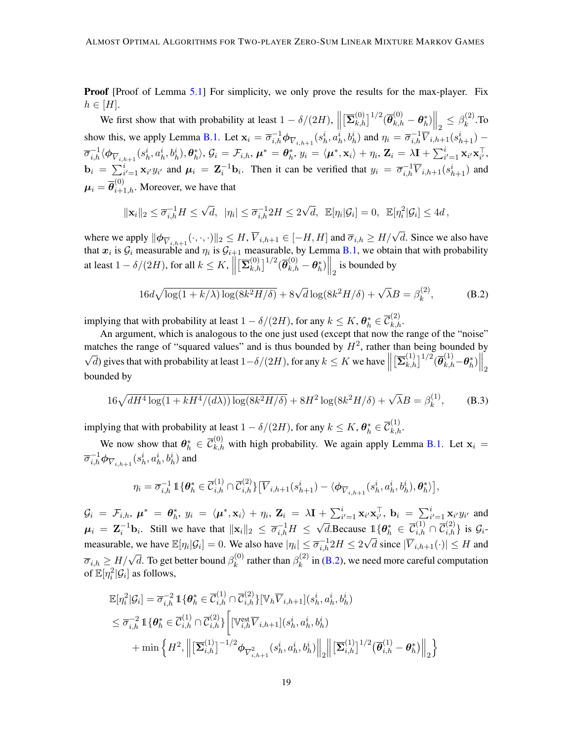**Proof** [Proof of Lemma [5.1\]](#page-10-0) For simplicity, we only prove the results for the max-player. Fix  $h \in [H].$ 

We first show that with probability at least  $1 - \delta/(2H)$ ,  $\left\| \left[ \overline{\Sigma}_{k,h}^{(0)} \right]^{1/2} (\overline{\theta}_{k,h}^{(0)} - \theta_h^*) \right\|_{2} \leq \beta_k^{(2)}$  $\begin{array}{ccc} \|\mathfrak{l} - \kappa, n\| & \langle -\kappa, n \rangle & \|\mathfrak{r}\| \end{array}$  $k^{\left( 2\right) }$ .To show this, we apply Lemma [B.1.](#page-17-0) Let  $\mathbf{x}_i = \overline{\sigma}_{i,h}^{-1} \phi_{\overline{V}_{i,h+1}}(s_h^i, a_h^i, b_h^i)$  and  $\eta_i = \overline{\sigma}_{i,h}^{-1} \overline{V}_{i,h+1}(s_{h+1}^i)$  $\overline{\sigma}_{i,h}^{-1} \langle \phi_{\overline{V}_{i,h+1}}(s_{h}^{i},a_{h}^{i},b_{h}^{i}), \theta_{h}^{*} \rangle, \mathcal{G}_{i} = \mathcal{F}_{i,h}, \boldsymbol{\mu}^{*} = \boldsymbol{\theta}_{h}^{*}, y_{i} = \langle \boldsymbol{\mu}^{*}, \mathbf{x}_{i} \rangle + \eta_{i}, \mathbf{Z}_{i} = \lambda \mathbf{I} + \sum_{i'=1}^{i} \mathbf{x}_{i'} \mathbf{x}_{i'}^{\top},$  $\mathbf{b}_i = \sum_{i'=1}^i \mathbf{x}_{i'} y_{i'}$  and  $\boldsymbol{\mu}_i = \mathbf{Z}_i^{-1} \mathbf{b}_i$ . Then it can be verified that  $y_i = \overline{\sigma}_{i,h}^{-1} \overline{V}_{i,h+1}(s_{h+1}^i)$  and  $\boldsymbol{\mu}_i = \overline{\boldsymbol{\theta}}_{i+1,h}^{(0)}$ . Moreover, we have that

$$
\|\mathbf{x}_i\|_2 \leq \overline{\sigma}_{i,h}^{-1} H \leq \sqrt{d}, \ \ |\eta_i| \leq \overline{\sigma}_{i,h}^{-1} 2H \leq 2\sqrt{d}, \ \ \mathbb{E}[\eta_i|\mathcal{G}_i] = 0, \ \ \mathbb{E}[\eta_i^2|\mathcal{G}_i] \leq 4d,
$$

where we apply  $\|\phi_{\overline{V}_{i,h+1}}(\cdot,\cdot,\cdot)\|_2 \leq H, \overline{V}_{i,h+1} \in [-H,H]$  and  $\overline{\sigma}_{i,h} \geq H/\sqrt{d}$ . Since we also have that  $x_i$  is  $\mathcal{G}_i$  measurable and  $\eta_i$  is  $\mathcal{G}_{i+1}$  measurable, by Lemma [B.1,](#page-17-0) we obtain that with probability at least  $1 - \delta/(2H)$ , for all  $k \leq K$ ,  $\parallel$  $\left\| \sum_{k,h}^{(0)} \right\|^{1/2} (\overline{\theta}_{k,h}^{(0)} - \theta_h^*) \Big\|_2$  is bounded by

<span id="page-18-1"></span><span id="page-18-0"></span>
$$
16d\sqrt{\log(1+k/\lambda)\log(8k^2H/\delta)} + 8\sqrt{d}\log(8k^2H/\delta) + \sqrt{\lambda}B = \beta_k^{(2)},\tag{B.2}
$$

implying that with probability at least  $1 - \delta/(2H)$ , for any  $k \leq K$ ,  $\boldsymbol{\theta}_h^* \in \overline{\mathcal{C}}_{k,h}^{(2)}$ .

An argument, which is analogous to the one just used (except that now the range of the "noise" matches the range of "squared values" and is thus bounded by  $H^2$ , rather than being bounded by √  $\overline{d}$ ) gives that with probability at least  $1-\delta/(2H)$ , for any  $k \leq K$  we have  $\parallel$  $\left. \left[\overline{\mathbf{\Sigma}}_{k,h}^{(1)}\right]^{1/2} (\overline{\boldsymbol{\theta}}_{k,h}^{(1)}\!-\!\boldsymbol{\theta}_h^*) \right\|_2$ bounded by

$$
16\sqrt{dH^4\log(1+kH^4/(d\lambda))\log(8k^2H/\delta)} + 8H^2\log(8k^2H/\delta) + \sqrt{\lambda}B = \beta_k^{(1)},\tag{B.3}
$$

implying that with probability at least  $1 - \delta/(2H)$ , for any  $k \leq K$ ,  $\boldsymbol{\theta}_h^* \in \overline{\mathcal{C}}_{k,h}^{(1)}$ .

We now show that  $\theta_h^* \in \overline{\mathcal{C}}_{k,h}^{(0)}$  with high probability. We again apply Lemma [B.1.](#page-17-0) Let  $\mathbf{x}_i =$  $\overline{\sigma}_{i,h}^{-1} \phi_{\overline{V}_{i,h+1}}(s_h^i,a_h^i,b_h^i)$  and

$$
\eta_i = \overline{\sigma}_{i,h}^{-1} \mathbb{1}\{\theta_h^* \in \overline{\mathcal{C}}_{i,h}^{(1)} \cap \overline{\mathcal{C}}_{i,h}^{(2)}\} \big[\overline{V}_{i,h+1}(s_{h+1}^i) - \langle \phi_{\overline{V}_{i,h+1}}(s_h^i, a_h^i, b_h^i), \theta_h^* \rangle \big],
$$

 $\mathcal{G}_i = \mathcal{F}_{i,h}, \ \boldsymbol{\mu}^* = \boldsymbol{\theta}_h^*, \ y_i = \langle \boldsymbol{\mu}^*, \mathbf{x}_i \rangle + \eta_i, \ \mathbf{Z}_i = \lambda \mathbf{I} + \sum_{i'=1}^i \mathbf{x}_{i'} \mathbf{x}_{i'}^\top, \ \mathbf{b}_i = \sum_{i'=1}^i \mathbf{x}_{i'} y_{i'}$  and  $\mu_i = \mathbf{Z}_i^{-1} \mathbf{b}_i$ . Still we have that  $\|\mathbf{x}_i\|_2 \le \overline{\sigma}_{i,h}^{-1} H \le$  $\sqrt{d}$ .Because  $\mathbb{1}\{\theta_h^* \in \overline{\mathcal{C}}_{i,h}^{(1)} \cap \overline{\mathcal{C}}_{i,h}^{(2)}\}$  is  $\mathcal{G}_i$ . measurable, we have  $\mathbb{E}[\eta_i|\mathcal{G}_i]=0$ . We also have  $|\eta_i|\leq \overline{\sigma}_{i,h}^{-1}2H\leq 2\sqrt{d}$  since  $|\overline{V}_{i,h+1}(\cdot)|\leq H$  and  $\overline{\sigma}_{i,h} \geq H/\sqrt{d}$ . To get better bound  $\beta_k^{(0)}$  $\mathcal{B}_k^{(0)}$  rather than  $\beta_k^{(2)}$  $\binom{1}{k}$  in [\(B.2\)](#page-18-0), we need more careful computation of  $\mathbb{E}[\eta_i^2 | \mathcal{G}_i]$  as follows,

$$
\mathbb{E}[\eta_i^2 | \mathcal{G}_i] = \overline{\sigma}_{i,h}^{-2} \mathbb{1} \{ \theta_h^* \in \overline{\mathcal{C}}_{i,h}^{(1)} \cap \overline{\mathcal{C}}_{i,h}^{(2)} \} [\mathbb{V}_h \overline{V}_{i,h+1}] (s_h^i, a_h^i, b_h^i)
$$
  
\n
$$
\leq \overline{\sigma}_{i,h}^{-2} \mathbb{1} \{ \theta_h^* \in \overline{\mathcal{C}}_{i,h}^{(1)} \cap \overline{\mathcal{C}}_{i,h}^{(2)} \} \Big[ [\mathbb{V}_{i,h}^{\text{est}} \overline{V}_{i,h+1}] (s_h^i, a_h^i, b_h^i)
$$
  
\n
$$
+ \min \Big\{ H^2, \Big\\| \big[ \overline{\mathbf{\Sigma}}_{i,h}^{(1)} \big]^{-1/2} \boldsymbol{\phi}_{\overline{V}_{i,h+1}^2} (s_h^i, a_h^i, b_h^i) \Big\|_2 \Big\| \big[ \overline{\mathbf{\Sigma}}_{i,h}^{(1)} \big]^{1/2} \big( \overline{\theta}_{i,h}^{(1)} - \theta_h^* \big) \Big\|_2 \Big\}
$$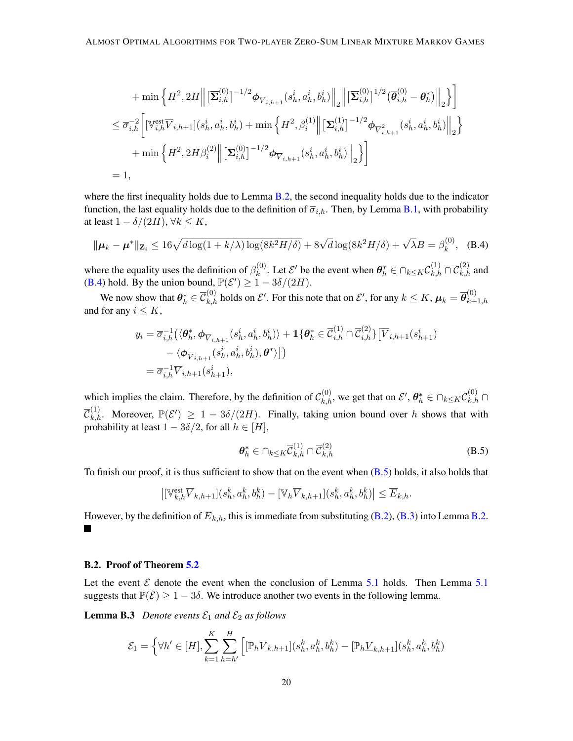$$
+ \min \left\{ H^2, 2H \middle\| \left[ \overline{\mathbf{\Sigma}}_{i,h}^{(0)} \right]^{-1/2} \phi_{\overline{V}_{i,h+1}}(s_h^i, a_h^i, b_h^i) \middle\|_2 \right\| \left[ \overline{\mathbf{\Sigma}}_{i,h}^{(0)} \right]^{1/2} (\overline{\theta}_{i,h}^{(0)} - \theta_h^*) \middle\|_2 \right\} \right] \n\leq \overline{\sigma}_{i,h}^{-2} \bigg[ \left[ \mathbb{V}_{i,h}^{\text{est}} \overline{V}_{i,h+1} \right] (s_h^i, a_h^i, b_h^i) + \min \left\{ H^2, \beta_i^{(1)} \middle\| \left[ \mathbf{\Sigma}_{i,h}^{(1)} \right]^{-1/2} \phi_{\overline{V}_{i,h+1}^2}(s_h^i, a_h^i, b_h^i) \middle\|_2 \right\} \right] \n+ \min \left\{ H^2, 2H \beta_i^{(2)} \middle\| \left[ \mathbf{\Sigma}_{i,h}^{(0)} \right]^{-1/2} \phi_{\overline{V}_{i,h+1}}(s_h^i, a_h^i, b_h^i) \middle\|_2 \right\} \bigg] \n= 1,
$$

where the first inequality holds due to Lemma [B.2,](#page-17-1) the second inequality holds due to the indicator function, the last equality holds due to the definition of  $\overline{\sigma}_{i,h}$ . Then, by Lemma [B.1,](#page-17-0) with probability at least  $1 - \delta/(2H)$ ,  $\forall k \leq K$ ,

$$
\|\mu_k - \mu^*\|_{\mathbf{Z}_i} \le 16\sqrt{d\log(1 + k/\lambda)\log(8k^2H/\delta)} + 8\sqrt{d}\log(8k^2H/\delta) + \sqrt{\lambda}B = \beta_k^{(0)}, \quad (B.4)
$$

where the equality uses the definition of  $\beta_k^{(0)}$ <sup>(0)</sup>. Let  $\mathcal{E}'$  be the event when  $\boldsymbol{\theta}_h^* \in \bigcap_{k \leq K} \overline{\mathcal{C}}_{k,h}^{(1)} \cap \overline{\mathcal{C}}_{k,h}^{(2)}$  and [\(B.4\)](#page-19-0) hold. By the union bound,  $\mathbb{P}(\mathcal{E}') \geq 1 - 3\delta/(2H)$ .

We now show that  $\bm{\theta}_h^* \in \overline{\mathcal{C}}_{k,h}^{(0)}$  holds on  $\mathcal{E}'.$  For this note that on  $\mathcal{E}'.$  for any  $k \leq K$ ,  $\bm{\mu}_k = \overline{\bm{\theta}}_{k+1}^{(0)}$  $_{k+1,h}$ and for any  $i \leq K$ ,

$$
y_i = \overline{\sigma}_{i,h}^{-1} \left( \langle \boldsymbol{\theta}_h^*, \boldsymbol{\phi}_{\overline{V}_{i,h+1}}(s_h^i, a_h^i, b_h^i) \rangle + \mathbb{1} \{ \boldsymbol{\theta}_h^* \in \overline{\mathcal{C}}_{i,h}^{(1)} \cap \overline{\mathcal{C}}_{i,h}^{(2)} \} [\overline{V}_{i,h+1}(s_h^i, a_h^i, a_h^i, b_h^i), \boldsymbol{\theta}^* \rangle] \right) = \overline{\sigma}_{i,h}^{-1} \overline{V}_{i,h+1}(s_{h+1}^i),
$$

which implies the claim. Therefore, by the definition of  $\mathcal{C}_{k,h}^{(0)}$ , we get that on  $\mathcal{E}', \theta_h^* \in \bigcap_{k \le K} \overline{\mathcal{C}}_{k,h}^{(0)} \cap$  $\overline{\mathcal{C}}^{(1)}_{k,h}$ . Moreover,  $\mathbb{P}(\mathcal{E}') \geq 1 - 3\delta/(2H)$ . Finally, taking union bound over h shows that with probability at least  $1 - 3\delta/2$ , for all  $h \in [H]$ ,

<span id="page-19-2"></span><span id="page-19-1"></span><span id="page-19-0"></span>
$$
\boldsymbol{\theta}_h^* \in \bigcap_{k \le K} \overline{\mathcal{C}}_{k,h}^{(1)} \cap \overline{\mathcal{C}}_{k,h}^{(2)} \tag{B.5}
$$

To finish our proof, it is thus sufficient to show that on the event when  $(B.5)$  holds, it also holds that

$$
\left| \left[ \mathbb{V}_{k,h}^{\text{est}} \overline{V}_{k,h+1} \right] (s_h^k, a_h^k, b_h^k) - \left[ \mathbb{V}_h \overline{V}_{k,h+1} \right] (s_h^k, a_h^k, b_h^k) \right| \le \overline{E}_{k,h}.
$$

However, by the definition of  $\overline{E}_{k,h}$ , this is immediate from substituting [\(B.2\)](#page-18-0), [\(B.3\)](#page-18-1) into Lemma [B.2.](#page-17-1) ٠

#### B.2. Proof of Theorem [5.2](#page-10-1)

Let the event  $\mathcal E$  denote the event when the conclusion of Lemma [5.1](#page-10-0) holds. Then Lemma 5.1 suggests that  $\mathbb{P}(\mathcal{E}) \geq 1 - 3\delta$ . We introduce another two events in the following lemma.

**Lemma B.3** *Denote events*  $\mathcal{E}_1$  *and*  $\mathcal{E}_2$  *as follows* 

$$
\mathcal{E}_1 = \left\{ \forall h' \in [H], \sum_{k=1}^K \sum_{h=h'}^H \left[ [\mathbb{P}_h \overline{V}_{k,h+1}] (s_h^k, a_h^k, b_h^k) - [\mathbb{P}_h \underline{V}_{k,h+1}] (s_h^k, a_h^k, b_h^k) \right] \right\}
$$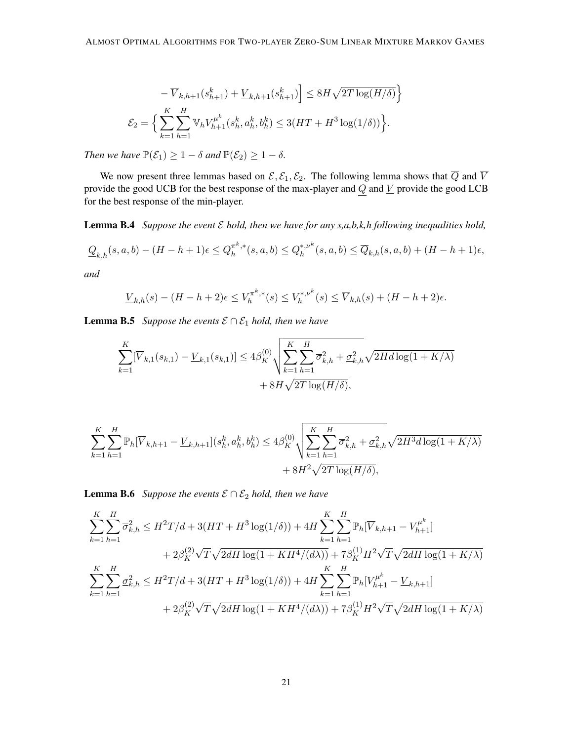$$
-\overline{V}_{k,h+1}(s_{h+1}^k) + \underline{V}_{k,h+1}(s_{h+1}^k) \le 8H\sqrt{2T\log(H/\delta)} \Big\}
$$
  

$$
\mathcal{E}_2 = \Big\{ \sum_{k=1}^K \sum_{h=1}^H \mathbb{V}_h V_{h+1}^{\mu^k}(s_h^k, a_h^k, b_h^k) \le 3(HT + H^3 \log(1/\delta)) \Big\}.
$$

*Then we have*  $\mathbb{P}(\mathcal{E}_1) \geq 1 - \delta$  *and*  $\mathbb{P}(\mathcal{E}_2) \geq 1 - \delta$ *.* 

We now present three lemmas based on  $\mathcal{E}, \mathcal{E}_1, \mathcal{E}_2$ . The following lemma shows that  $\overline{Q}$  and  $\overline{V}$ provide the good UCB for the best response of the max-player and  $Q$  and  $\underline{V}$  provide the good LCB for the best response of the min-player.

<span id="page-20-0"></span>Lemma B.4 *Suppose the event* E *hold, then we have for any s,a,b,k,h following inequalities hold,*

$$
\mathcal{Q}_{k,h}(s,a,b) - (H-h+1)\epsilon \leq Q_h^{\pi^k,*}(s,a,b) \leq Q_h^{*,\nu^k}(s,a,b) \leq \overline{Q}_{k,h}(s,a,b) + (H-h+1)\epsilon,
$$

*and*

$$
\underline{V}_{k,h}(s) - (H - h + 2)\epsilon \le V_h^{\pi^k,*}(s) \le V_h^{*,\nu^k}(s) \le \overline{V}_{k,h}(s) + (H - h + 2)\epsilon.
$$

<span id="page-20-1"></span>**Lemma B.5** *Suppose the events*  $\mathcal{E} \cap \mathcal{E}_1$  *hold, then we have* 

$$
\sum_{k=1}^{K} [\overline{V}_{k,1}(s_{k,1}) - \underline{V}_{k,1}(s_{k,1})] \le 4\beta_K^{(0)} \sqrt{\sum_{k=1}^{K} \sum_{h=1}^{H} \overline{\sigma}_{k,h}^2 + \underline{\sigma}_{k,h}^2} \sqrt{2Hd\log(1 + K/\lambda)}
$$
  
+ 8H\sqrt{2T\log(H/\delta)},

$$
\sum_{k=1}^{K} \sum_{h=1}^{H} \mathbb{P}_{h}[\overline{V}_{k,h+1} - \underline{V}_{k,h+1}](s_{h}^{k}, a_{h}^{k}, b_{h}^{k}) \le 4\beta_{K}^{(0)} \sqrt{\sum_{k=1}^{K} \sum_{h=1}^{H} \overline{\sigma}_{k,h}^{2} + \underline{\sigma}_{k,h}^{2} \sqrt{2H^{3}d \log(1 + K/\lambda)}} + 8H^{2} \sqrt{2T \log(H/\delta)},
$$

<span id="page-20-2"></span>**Lemma B.6** *Suppose the events*  $\mathcal{E} \cap \mathcal{E}_2$  *hold, then we have* 

$$
\sum_{k=1}^{K} \sum_{h=1}^{H} \overline{\sigma}_{k,h}^{2} \leq H^{2}T/d + 3(HT + H^{3}\log(1/\delta)) + 4H \sum_{k=1}^{K} \sum_{h=1}^{H} \mathbb{P}_{h}[\overline{V}_{k,h+1} - V_{h+1}^{\mu^{k}}] \n+ 2\beta_{K}^{(2)}\sqrt{T}\sqrt{2dH\log(1 + KH^{4}/(d\lambda))} + 7\beta_{K}^{(1)}H^{2}\sqrt{T}\sqrt{2dH\log(1 + K/\lambda)} \n\sum_{k=1}^{K} \sum_{h=1}^{H} \underline{\sigma}_{k,h}^{2} \leq H^{2}T/d + 3(HT + H^{3}\log(1/\delta)) + 4H \sum_{k=1}^{K} \sum_{h=1}^{H} \mathbb{P}_{h}[V_{h+1}^{\mu^{k}} - \underline{V}_{k,h+1}] \n+ 2\beta_{K}^{(2)}\sqrt{T}\sqrt{2dH\log(1 + KH^{4}/(d\lambda))} + 7\beta_{K}^{(1)}H^{2}\sqrt{T}\sqrt{2dH\log(1 + K/\lambda)}
$$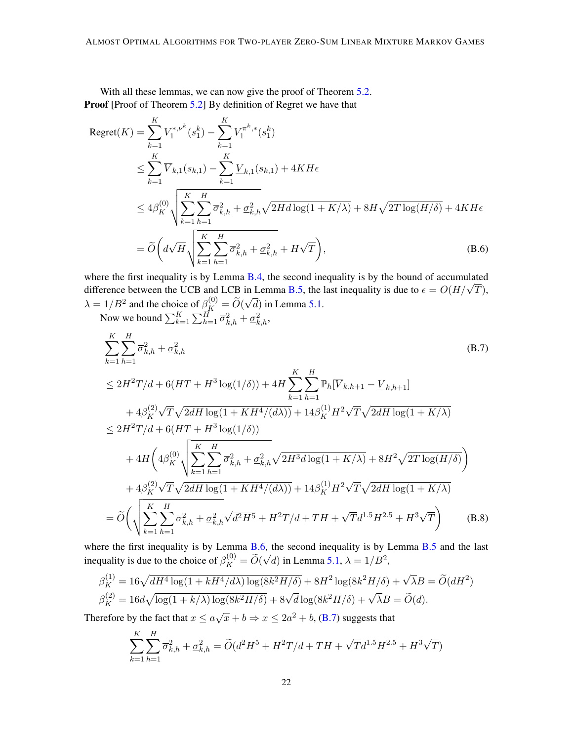With all these lemmas, we can now give the proof of Theorem [5.2.](#page-10-1) Proof [Proof of Theorem [5.2\]](#page-10-1) By definition of Regret we have that

$$
\begin{split} \text{Regret}(K) &= \sum_{k=1}^{K} V_{1}^{*,\nu^{k}}(s_{1}^{k}) - \sum_{k=1}^{K} V_{1}^{\pi^{k,*}}(s_{1}^{k}) \\ &\leq \sum_{k=1}^{K} \overline{V}_{k,1}(s_{k,1}) - \sum_{k=1}^{K} \underline{V}_{k,1}(s_{k,1}) + 4KH\epsilon \\ &\leq 4\beta_{K}^{(0)} \sqrt{\sum_{k=1}^{K} \sum_{h=1}^{H} \overline{\sigma}_{k,h}^{2} + \underline{\sigma}_{k,h}^{2} \sqrt{2Hd\log(1 + K/\lambda)} + 8H\sqrt{2T\log(H/\delta)} + 4KH\epsilon} \\ &= \widetilde{O}\left(d\sqrt{H}\sqrt{\sum_{k=1}^{K} \sum_{h=1}^{H} \overline{\sigma}_{k,h}^{2} + \underline{\sigma}_{k,h}^{2} + H\sqrt{T}}\right), \end{split} \tag{B.6}
$$

where the first inequality is by Lemma [B.4,](#page-20-0) the second inequality is by the bound of accumulated where the first inequality is by Lemma B.4, the second inequality is by the bound of accumulated difference between the UCB and LCB in Lemma [B.5,](#page-20-1) the last inequality is due to  $\epsilon = O(H/\sqrt{T})$ ,  $\lambda = 1/B^2$  and the choice of  $\beta_K^{(0)} = \widetilde{O}(\frac{1}{K})$ √  $(d)$  in Lemma [5.1.](#page-10-0)

Now we bound  $\sum_{k=1}^{K} \sum_{h=1}^{H} \overline{\sigma}_{k,h}^2 + \underline{\sigma}_{k,h}^2$ ,

<span id="page-21-1"></span><span id="page-21-0"></span>
$$
\sum_{k=1}^{K} \sum_{h=1}^{H} \overline{\sigma}_{k,h}^{2} + \underline{\sigma}_{k,h}^{2}
$$
\n
$$
\leq 2H^{2}T/d + 6(HT + H^{3}\log(1/\delta)) + 4H \sum_{k=1}^{K} \sum_{h=1}^{H} \mathbb{P}_{h}[\overline{V}_{k,h+1} - \underline{V}_{k,h+1}]
$$
\n
$$
+ 4\beta_{K}^{(2)}\sqrt{T}\sqrt{2dH\log(1 + KH^{4}/(d\lambda))} + 14\beta_{K}^{(1)}H^{2}\sqrt{T}\sqrt{2dH\log(1 + K/\lambda)}
$$
\n
$$
\leq 2H^{2}T/d + 6(HT + H^{3}\log(1/\delta))
$$
\n
$$
+ 4H\left(4\beta_{K}^{(0)}\sqrt{\sum_{k=1}^{K} \sum_{h=1}^{H} \overline{\sigma}_{k,h}^{2} + \underline{\sigma}_{k,h}^{2}\sqrt{2H^{3}d\log(1 + K/\lambda)} + 8H^{2}\sqrt{2T\log(H/\delta)}}\right)
$$
\n
$$
+ 4\beta_{K}^{(2)}\sqrt{T}\sqrt{2dH\log(1 + KH^{4}/(d\lambda))} + 14\beta_{K}^{(1)}H^{2}\sqrt{T}\sqrt{2dH\log(1 + K/\lambda)}
$$
\n
$$
= \widetilde{O}\left(\sqrt{\sum_{k=1}^{K} \sum_{h=1}^{H} \overline{\sigma}_{k,h}^{2} + \underline{\sigma}_{k,h}^{2}\sqrt{d^{2}H^{5}} + H^{2}T/d + TH + \sqrt{T}d^{1.5}H^{2.5} + H^{3}\sqrt{T}}\right) \quad (B.8)
$$

where the first inequality is by Lemma  $B.6$ , the second inequality is by Lemma  $B.5$  and the last inequality is due to the choice of  $\beta_K^{(0)} = \widetilde{O}(\frac{1}{K})$  $\sqrt{d}$ ) in Lemma [5.1,](#page-10-0)  $\lambda = 1/B^2$ ,

$$
\beta_K^{(1)} = 16\sqrt{dH^4 \log(1 + kH^4/d\lambda) \log(8k^2H/\delta)} + 8H^2 \log(8k^2H/\delta) + \sqrt{\lambda}B = \tilde{O}(dH^2)
$$
  

$$
\beta_K^{(2)} = 16d\sqrt{\log(1 + k/\lambda) \log(8k^2H/\delta)} + 8\sqrt{d}\log(8k^2H/\delta) + \sqrt{\lambda}B = \tilde{O}(d).
$$

Therefore by the fact that  $x \le a\sqrt{x} + b \Rightarrow x \le 2a^2 + b$ , [\(B.7\)](#page-21-0) suggests that

$$
\sum_{k=1}^{K} \sum_{h=1}^{H} \overline{\sigma}_{k,h}^{2} + \underline{\sigma}_{k,h}^{2} = \widetilde{O}(d^{2}H^{5} + H^{2}T/d + TH + \sqrt{T}d^{1.5}H^{2.5} + H^{3}\sqrt{T})
$$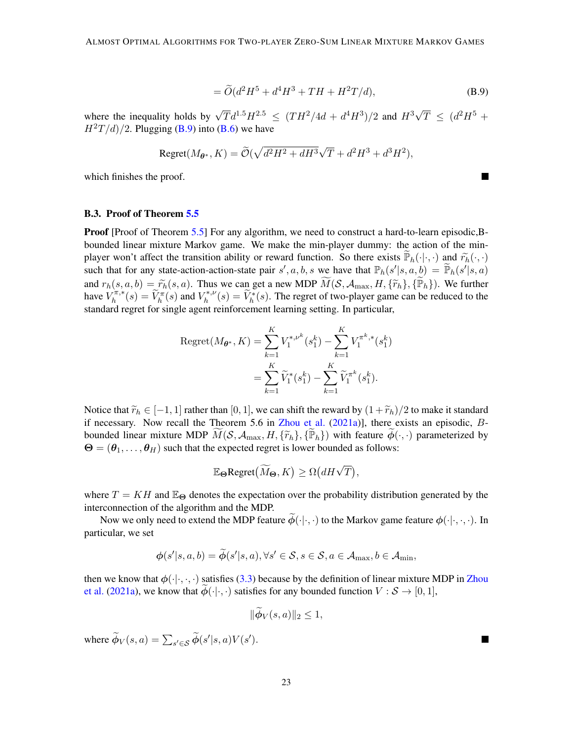$$
= \widetilde{O}(d^2H^5 + d^4H^3 + TH + H^2T/d), \tag{B.9}
$$

where the inequality holds by  $\sqrt{T}d^{1.5}H^{2.5} \leq (TH^2/4d + d^4H^3)/2$  and  $H^3\sqrt{ }$  $\overline{T}$   $\leq$   $(d^2H^5 +$  $H<sup>2</sup>T/d$ /2. Plugging [\(B.9\)](#page-22-0) into [\(B.6\)](#page-21-1) we have

$$
\text{Regret}(M_{\theta^*}, K) = \widetilde{\mathcal{O}}(\sqrt{d^2 H^2 + dH^3} \sqrt{T} + d^2 H^3 + d^3 H^2),
$$

which finishes the proof.

#### B.3. Proof of Theorem [5.5](#page-11-0)

**Proof** [Proof of Theorem [5.5\]](#page-11-0) For any algorithm, we need to construct a hard-to-learn episodic, Bbounded linear mixture Markov game. We make the min-player dummy: the action of the minplayer won't affect the transition ability or reward function. So there exists  $\widetilde{\mathbb{P}}_h(\cdot|\cdot,\cdot)$  and  $\widetilde{r}_h(\cdot,\cdot)$ such that for any state-action-action-state pair  $s', a, b, s$  we have that  $\mathbb{P}_h(s'|s, a, b) = \widetilde{\mathbb{P}}_h(s'|s, a)$ and  $r_h(s, a, b) = \widetilde{r}_h(s, a)$ . Thus we can get a new MDP  $\widetilde{M}(S, A_{\text{max}}, H, {\{\widetilde{r}_h\}}, {\{\widetilde{\mathbb{P}}_h\}})$ . We further have  $V^{\pi,*}_h$  $\widetilde{V}_h^{\pi,*}(s) = \widetilde{V}_h^{\pi}(s)$  and  $V_h^{*,\nu}$  $\widetilde{h}_h^{*,\nu}(s) = \widetilde{V}_h^*(s)$ . The regret of two-player game can be reduced to the standard regret for single agent reinforcement learning setting. In particular,

Regret
$$
(M_{\theta^*}, K) = \sum_{k=1}^K V_1^{*,\nu^k}(s_1^k) - \sum_{k=1}^K V_1^{\pi^k, *}(s_1^k)
$$
  

$$
= \sum_{k=1}^K \widetilde{V}_1^*(s_1^k) - \sum_{k=1}^K \widetilde{V}_1^{\pi^k}(s_1^k).
$$

Notice that  $\widetilde{r}_h \in [-1, 1]$  rather than [0, 1], we can shift the reward by  $(1 + \widetilde{r}_h)/2$  to make it standard if necessary. Now recall the Theorem 5.6 in [Zhou et al.](#page-15-12)  $(2021a)$ ], there exists an episodic,  $B$ bounded linear mixture MDP  $\widetilde{M}(S, A_{\text{max}}, H, {\{\widetilde{r}_h\}, {\{\widetilde{\mathbb{P}}_h\}}})$  with feature  $\widetilde{\phi}(\cdot, \cdot)$  parameterized by  $\Theta = (\theta - \theta_{\text{min}})$  such that the expected regret is lower bounded as follows:  $\Theta = (\theta_1, \dots, \theta_H)$  such that the expected regret is lower bounded as follows:

$$
\mathbb{E}_{\Theta} \mathrm{Regret}(\widetilde{M}_{\Theta}, K) \geq \Omega(dH\sqrt{T}),
$$

where  $T = KH$  and  $\mathbb{E}_{\Theta}$  denotes the expectation over the probability distribution generated by the interconnection of the algorithm and the MDP.

Now we only need to extend the MDP feature  $\widetilde{\phi}(\cdot|\cdot,\cdot)$  to the Markov game feature  $\phi(\cdot|\cdot,\cdot,\cdot)$ . In particular, we set

$$
\boldsymbol{\phi}(s' | s, a, b) = \widetilde{\boldsymbol{\phi}}(s' | s, a), \forall s' \in \mathcal{S}, s \in \mathcal{S}, a \in \mathcal{A}_{\max}, b \in \mathcal{A}_{\min},
$$

then we know that  $\phi(\cdot|\cdot,\cdot,\cdot)$  satisfies [\(3.3\)](#page-5-0) because by the definition of linear mixture MDP in [Zhou](#page-15-12) [et al.](#page-15-12) [\(2021a\)](#page-15-12), we know that  $\phi(\cdot|\cdot,\cdot)$  satisfies for any bounded function  $V : \mathcal{S} \to [0,1],$ 

$$
\|\phi_V(s,a)\|_2\leq 1,
$$

where  $\widetilde{\phi}_V(s, a) = \sum_{s' \in \mathcal{S}} \widetilde{\phi}(s'|s, a)V(s')$ .

<span id="page-22-0"></span>■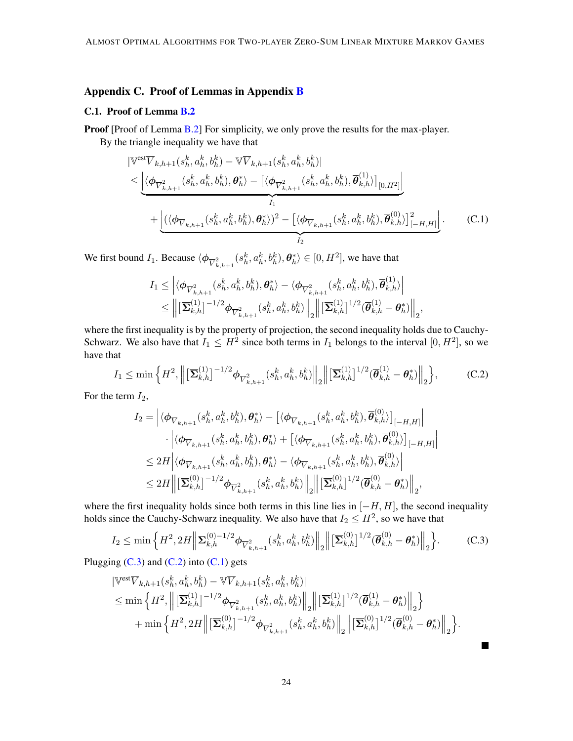# Appendix C. Proof of Lemmas in Appendix [B](#page-16-1)

### C.1. Proof of Lemma [B.2](#page-17-1)

 $\overline{\phantom{a}}$ 

**Proof** [Proof of Lemma [B.2\]](#page-17-1) For simplicity, we only prove the results for the max-player.

By the triangle inequality we have that

$$
\begin{split}\n &\nabla^{\text{est}}\overline{V}_{k,h+1}(s_h^k, a_h^k, b_h^k) - \nabla \overline{V}_{k,h+1}(s_h^k, a_h^k, b_h^k)| \\
&\leq \left| \langle \phi_{\overline{V}_{k,h+1}^2}(s_h^k, a_h^k, b_h^k), \theta_h^* \rangle - \left[ \langle \phi_{\overline{V}_{k,h+1}^2}(s_h^k, a_h^k, b_h^k), \overline{\theta}_{k,h}^{(1)} \rangle \right]_{[0,H^2]} \right| \\
&\quad + \left| \langle \langle \phi_{\overline{V}_{k,h+1}}(s_h^k, a_h^k, b_h^k), \theta_h^* \rangle \rangle^2 - \left[ \langle \phi_{\overline{V}_{k,h+1}}(s_h^k, a_h^k, b_h^k), \overline{\theta}_{k,h}^{(0)} \rangle \right]_{[-H,H]}^2 \right].\n\end{split} \tag{C.1}
$$

We first bound  $I_1$ . Because  $\langle \phi_{\overline{V}^2_{k,h+1}}(s_h^k, a_h^k, b_h^k), \theta_h^* \rangle \in [0, H^2]$ , we have that

<span id="page-23-2"></span>
$$
\begin{aligned} I_1 &\leq \left| \langle \boldsymbol{\phi}_{\overline{V}_{k,h+1}^2}(s_h^k,a_h^k,b_h^k), \boldsymbol{\theta}_h^* \rangle - \langle \boldsymbol{\phi}_{\overline{V}_{k,h+1}^2}(s_h^k,a_h^k,b_h^k), \overline{\boldsymbol{\theta}}_{k,h}^{(1)} \rangle \right| \\ &\leq \left\| \left[\overline{\boldsymbol{\Sigma}}_{k,h}^{(1)}\right]^{-1/2} \boldsymbol{\phi}_{\overline{V}_{k,h+1}^2}(s_h^k,a_h^k,b_h^k) \right\|_2 \left\| \left[\overline{\boldsymbol{\Sigma}}_{k,h}^{(1)}\right]^{1/2} (\overline{\boldsymbol{\theta}}_{k,h}^{(1)}-\boldsymbol{\theta}_h^*) \right\|_2, \end{aligned}
$$

where the first inequality is by the property of projection, the second inequality holds due to Cauchy-Schwarz. We also have that  $I_1 \n\t\leq H^2$  since both terms in  $I_1$  belongs to the interval  $[0, H^2]$ , so we have that

$$
I_1 \le \min\left\{H^2, \left\|\left[\overline{\mathbf{\Sigma}}_{k,h}^{(1)}\right]^{-1/2}\phi_{\overline{V}_{k,h+1}^2}(s_h^k, a_h^k, b_h^k)\right\|_2\right\|\left[\overline{\mathbf{\Sigma}}_{k,h}^{(1)}\right]^{1/2}(\overline{\theta}_{k,h}^{(1)} - \theta_h^*)\right\|_2\right\},\tag{C.2}
$$

For the term  $I_2$ ,

$$
I_2 = \left| \langle \phi_{\overline{V}_{k,h+1}}(s_h^k, a_h^k, b_h^k), \theta_h^* \rangle - \left[ \langle \phi_{\overline{V}_{k,h+1}}(s_h^k, a_h^k, b_h^k), \overline{\theta}_{k,h}^{(0)} \rangle \right]_{[-H,H]} \right|
$$
  

$$
\cdot \left| \langle \phi_{\overline{V}_{k,h+1}}(s_h^k, a_h^k, b_h^k), \theta_h^* \rangle + \left[ \langle \phi_{\overline{V}_{k,h+1}}(s_h^k, a_h^k, b_h^k), \overline{\theta}_{k,h}^{(0)} \rangle \right]_{[-H,H]} \right|
$$
  

$$
\leq 2H \left| \langle \phi_{\overline{V}_{k,h+1}}(s_h^k, a_h^k, b_h^k), \theta_h^* \rangle - \langle \phi_{\overline{V}_{k,h+1}}(s_h^k, a_h^k, b_h^k), \overline{\theta}_{k,h}^{(0)} \rangle \right|
$$
  

$$
\leq 2H \left\| \left[ \overline{\mathbf{\Sigma}}_{k,h}^{(0)} \right]^{-1/2} \phi_{\overline{V}_{k,h+1}^2}(s_h^k, a_h^k, b_h^k) \right\|_2 \left\| \left[ \overline{\mathbf{\Sigma}}_{k,h}^{(0)} \right]^{1/2} (\overline{\theta}_{k,h}^{(0)} - \theta_h^*) \right\|_2, \right\}
$$

where the first inequality holds since both terms in this line lies in  $[-H, H]$ , the second inequality holds since the Cauchy-Schwarz inequality. We also have that  $I_2 \leq H^2$ , so we have that

$$
I_2 \le \min\left\{H^2, 2H \left\| \sum_{k,h}^{(0)-1/2} \phi_{\overline{V}_{k,h+1}^2}(s_h^k, a_h^k, b_h^k) \right\|_2 \left\| \left[\overline{\Sigma}_{k,h}^{(0)}\right]^{1/2} (\overline{\theta}_{k,h}^{(0)} - \theta_h^*) \right\|_2 \right\}.
$$
 (C.3)

Plugging  $(C.3)$  and  $(C.2)$  into  $(C.1)$  gets

$$
\begin{split} &\left|\mathbb{V}^{\text{est}}\overline{V}_{k,h+1}(s_{h}^{k},a_{h}^{k},b_{h}^{k})-\mathbb{V}\overline{V}_{k,h+1}(s_{h}^{k},a_{h}^{k},b_{h}^{k})\right| \\ &\leq \min\left\{H^{2},\left\|\left[\overline{\mathbf{\Sigma}}_{k,h}^{(1)}\right]^{-1/2}\boldsymbol{\phi}_{\overline{V}_{k,h+1}^{2}}(s_{h}^{k},a_{h}^{k},b_{h}^{k})\right\|_{2}\right\}\|\left[\overline{\mathbf{\Sigma}}_{k,h}^{(1)}\right]^{1/2}(\overline{\boldsymbol{\theta}}_{k,h}^{(1)}-\boldsymbol{\theta}_{h}^{*})\right\|_{2}\right\} \\ &+\min\left\{H^{2},2H\left\|\left[\overline{\mathbf{\Sigma}}_{k,h}^{(0)}\right]^{-1/2}\boldsymbol{\phi}_{\overline{V}_{k,h+1}^{2}}(s_{h}^{k},a_{h}^{k},b_{h}^{k})\right\|_{2}\right\}\|\left[\overline{\mathbf{\Sigma}}_{k,h}^{(0)}\right]^{1/2}(\overline{\boldsymbol{\theta}}_{k,h}^{(0)}-\boldsymbol{\theta}_{h}^{*})\right\|_{2}\right\}.\end{split}
$$

<span id="page-23-1"></span><span id="page-23-0"></span>П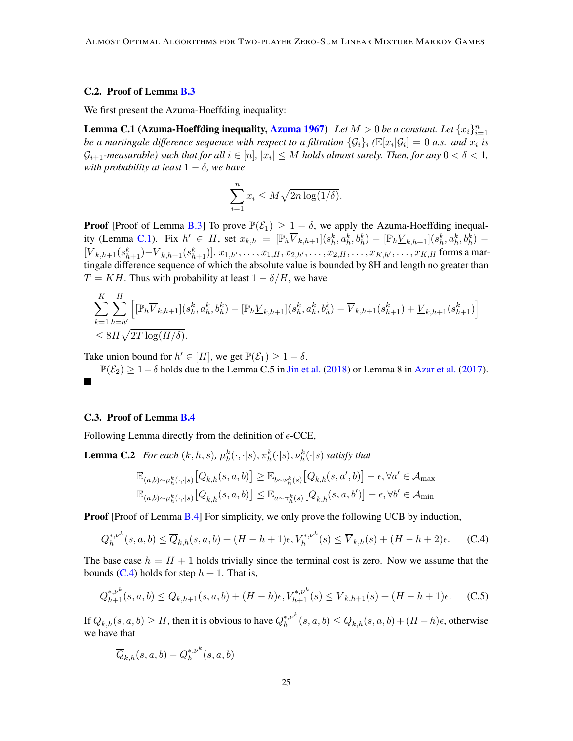### C.2. Proof of Lemma [B.3](#page-19-2)

We first present the Azuma-Hoeffding inequality:

**Lemma C.1** ([Azuma](#page-12-6)-Hoeffding inequality, Azuma [1967\)](#page-12-6) Let  $M > 0$  be a constant. Let  $\{x_i\}_{i=1}^n$ *be a martingale difference sequence with respect to a filtration*  $\{\mathcal{G}_i\}_i$  ( $\mathbb{E}[x_i|\mathcal{G}_i] = 0$  a.s. and  $x_i$  is  $\mathcal{G}_{i+1}$ -measurable) such that for all  $i\in [n],\, |x_i|\leq M$  holds almost surely. Then, for any  $0<\delta< 1,$ *with probability at least*  $1 - \delta$ *, we have* 

<span id="page-24-0"></span>
$$
\sum_{i=1}^{n} x_i \le M\sqrt{2n\log(1/\delta)}.
$$

**Proof** [Proof of Lemma [B.3\]](#page-19-2) To prove  $\mathbb{P}(\mathcal{E}_1) \geq 1 - \delta$ , we apply the Azuma-Hoeffding inequal-ity (Lemma [C.1\)](#page-24-0). Fix  $h' \in H$ , set  $x_{k,h} = [\mathbb{P}_h \overline{V}_{k,h+1}](s_h^k, a_h^k, b_h^k) - [\mathbb{P}_h \underline{V}_{k,h+1}](s_h^k, a_h^k, b_h^k) [\overline{V}_{k,h+1}(s_{h+1}^k)-\underline{V}_{k,h+1}(s_{h+1}^k)]$ .  $x_{1,h'},\ldots,x_{1,H},x_{2,h'},\ldots,x_{2,H},\ldots,x_{K,h'},\ldots,x_{K,H}$  forms a martingale difference sequence of which the absolute value is bounded by 8H and length no greater than  $T = KH$ . Thus with probability at least  $1 - \delta/H$ , we have

$$
\sum_{k=1}^{K} \sum_{h=h'}^{H} \left[ [\mathbb{P}_h \overline{V}_{k,h+1}](s_h^k, a_h^k, b_h^k) - [\mathbb{P}_h \underline{V}_{k,h+1}](s_h^k, a_h^k, b_h^k) - \overline{V}_{k,h+1}(s_{h+1}^k) + \underline{V}_{k,h+1}(s_{h+1}^k) \right] \leq 8H\sqrt{2T \log(H/\delta)}.
$$

Take union bound for  $h' \in [H]$ , we get  $\mathbb{P}(\mathcal{E}_1) \geq 1 - \delta$ .

 $\mathbb{P}(\mathcal{E}_2) \geq 1-\delta$  holds due to the Lemma C.5 in [Jin et al.](#page-13-15) [\(2018\)](#page-13-15) or Lemma 8 in [Azar et al.](#page-12-7) [\(2017\)](#page-12-7).  $\mathcal{L}(\mathcal{A})$ 

### C.3. Proof of Lemma [B.4](#page-20-0)

Following Lemma directly from the definition of  $\epsilon$ -CCE,

**Lemma C.2** *For each*  $(k, h, s)$ ,  $\mu_h^k(\cdot, \cdot | s)$ ,  $\pi_h^k(\cdot | s)$ ,  $\nu_h^k(\cdot | s)$  *satisfy that* 

<span id="page-24-2"></span><span id="page-24-1"></span>
$$
\mathbb{E}_{(a,b)\sim\mu_h^k(\cdot,\cdot|s)}\left[\overline{Q}_{k,h}(s,a,b)\right] \geq \mathbb{E}_{b\sim\nu_h^k(s)}\left[\overline{Q}_{k,h}(s,a',b)\right] - \epsilon, \forall a' \in \mathcal{A}_{\max}
$$
  

$$
\mathbb{E}_{(a,b)\sim\mu_h^k(\cdot,\cdot|s)}\left[\underline{Q}_{k,h}(s,a,b)\right] \leq \mathbb{E}_{a\sim\pi_h^k(s)}\left[\underline{Q}_{k,h}(s,a,b')\right] - \epsilon, \forall b' \in \mathcal{A}_{\min}
$$

**Proof** [Proof of Lemma [B.4\]](#page-20-0) For simplicity, we only prove the following UCB by induction,

$$
Q_h^{*,\nu^k}(s,a,b) \le \overline{Q}_{k,h}(s,a,b) + (H-h+1)\epsilon, V_h^{*,\nu^k}(s) \le \overline{V}_{k,h}(s) + (H-h+2)\epsilon. \tag{C.4}
$$

The base case  $h = H + 1$  holds trivially since the terminal cost is zero. Now we assume that the bounds [\(C.4\)](#page-24-1) holds for step  $h + 1$ . That is,

$$
Q_{h+1}^{*,\nu^k}(s,a,b) \le \overline{Q}_{k,h+1}(s,a,b) + (H-h)\epsilon, V_{h+1}^{*,\nu^k}(s) \le \overline{V}_{k,h+1}(s) + (H-h+1)\epsilon. \tag{C.5}
$$

If  $\overline{Q}_{k,h}(s,a,b) \geq H,$  then it is obvious to have  $Q_h^{*,\nu^k}$  $\overline{h}_h^{*,p^{\infty}}(s,a,b) \leq \overline{Q}_{k,h}(s,a,b) + (H-h)\epsilon$ , otherwise we have that

$$
\overline{Q}_{k,h}(s,a,b) - Q_h^{*,\nu^k}(s,a,b)
$$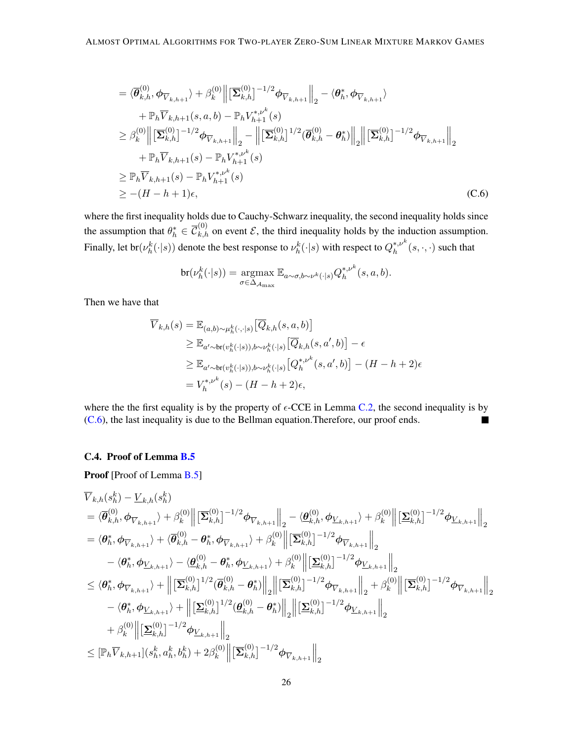$$
= \langle \overline{\theta}_{k,h}^{(0)}, \phi_{\overline{V}_{k,h+1}} \rangle + \beta_k^{(0)} \left\| \left[ \overline{\Sigma}_{k,h}^{(0)} \right]^{-1/2} \phi_{\overline{V}_{k,h+1}} \right\|_2 - \langle \theta_h^*, \phi_{\overline{V}_{k,h+1}} \rangle + \mathbb{P}_h \overline{V}_{k,h+1}(s, a, b) - \mathbb{P}_h V_{h+1}^{*,\nu^k}(s) \geq \beta_k^{(0)} \left\| \left[ \overline{\Sigma}_{k,h}^{(0)} \right]^{-1/2} \phi_{\overline{V}_{k,h+1}} \right\|_2 - \left\| \left[ \overline{\Sigma}_{k,h}^{(0)} \right]^{1/2} (\overline{\theta}_{k,h}^{(0)} - \theta_h^*) \right\|_2 \left\| \left[ \overline{\Sigma}_{k,h}^{(0)} \right]^{-1/2} \phi_{\overline{V}_{k,h+1}} \right\|_2 + \mathbb{P}_h \overline{V}_{k,h+1}(s) - \mathbb{P}_h V_{h+1}^{*,\nu^k}(s) \geq \mathbb{P}_h \overline{V}_{k,h+1}(s) - \mathbb{P}_h V_{h+1}^{*,\nu^k}(s) \geq -(H - h + 1)\epsilon, \tag{C.6}
$$

where the first inequality holds due to Cauchy-Schwarz inequality, the second inequality holds since the assumption that  $\theta_h^* \in \overline{\mathcal{C}}_{k,h}^{(0)}$  on event  $\mathcal{E}$ , the third inequality holds by the induction assumption. Finally, let br $(\nu_h^k(\cdot|s))$  denote the best response to  $\nu_h^k(\cdot|s)$  with respect to  $Q_h^{*,\nu^k}$  $h^{*,\nu^*}(s,\cdot,\cdot)$  such that

<span id="page-25-0"></span>
$$
\mathrm{br}(\nu^k_h(\cdot|s)) = \underset{\sigma \in \Delta_{\mathcal{A}_{\mathrm{max}}}}{\operatorname{argmax}} \mathbb{E}_{a \sim \sigma, b \sim \nu^k(\cdot|s)} Q^{\ast,\nu^k}_h(s, a, b).
$$

Then we have that

$$
\overline{V}_{k,h}(s) = \mathbb{E}_{(a,b)\sim\mu_h^k(\cdot, \cdot|s)} [\overline{Q}_{k,h}(s, a, b)]
$$
\n
$$
\geq \mathbb{E}_{a'\sim br(v_h^k(\cdot|s)), b\sim\nu_h^k(\cdot|s)} [\overline{Q}_{k,h}(s, a', b)] - \epsilon
$$
\n
$$
\geq \mathbb{E}_{a'\sim br(v_h^k(\cdot|s)), b\sim\nu_h^k(\cdot|s)} [Q_h^{*,\nu^k}(s, a', b)] - (H - h + 2)\epsilon
$$
\n
$$
= V_h^{*,\nu^k}(s) - (H - h + 2)\epsilon,
$$

where the the first equality is by the property of  $\epsilon$ -CCE in Lemma [C.2,](#page-24-2) the second inequality is by [\(C.6\)](#page-25-0), the last inequality is due to the Bellman equation.Therefore, our proof ends. ٦

### C.4. Proof of Lemma [B.5](#page-20-1)

Proof [Proof of Lemma [B.5\]](#page-20-1)

$$
\overline{V}_{k,h}(s_h^k) - \underline{V}_{k,h}(s_h^k) \n= \langle \overline{\theta}_{k,h}^{(0)}, \overline{\phi}_{\overline{V}_{k,h+1}} \rangle + \beta_k^{(0)} \left\| \left[ \overline{\Sigma}_{k,h}^{(0)} \right]^{-1/2} \phi_{\overline{V}_{k,h+1}} \right\|_2 - \langle \underline{\theta}_{k,h}^{(0)}, \phi_{\underline{V}_{k,h+1}} \rangle + \beta_k^{(0)} \left\| \left[ \underline{\Sigma}_{k,h}^{(0)} \right]^{-1/2} \phi_{\underline{V}_{k,h+1}} \right\|_2 \n= \langle \theta_h^*, \phi_{\overline{V}_{k,h+1}} \rangle + \langle \overline{\theta}_{k,h}^{(0)} - \theta_h^*, \phi_{\overline{V}_{k,h+1}} \rangle + \beta_k^{(0)} \left\| \left[ \overline{\Sigma}_{k,h}^{(0)} \right]^{-1/2} \phi_{\overline{V}_{k,h+1}} \right\|_2 \n- \langle \theta_h^*, \phi_{\underline{V}_{k,h+1}} \rangle - \langle \underline{\theta}_{k,h}^{(0)} - \theta_h^*, \phi_{\underline{V}_{k,h+1}} \rangle + \beta_k^{(0)} \left\| \left[ \underline{\Sigma}_{k,h}^{(0)} \right]^{-1/2} \phi_{\underline{V}_{k,h+1}} \right\|_2 \n\leq \langle \theta_h^*, \phi_{\overline{V}_{k,h+1}} \rangle + \left\| \left[ \overline{\Sigma}_{k,h}^{(0)} \right]^{1/2} (\overline{\theta}_{k,h}^{(0)} - \theta_h^*) \right\|_2 \left\| \left[ \overline{\Sigma}_{k,h}^{(0)} \right]^{-1/2} \phi_{\overline{V}_{k,h+1}} \right\|_2 + \beta_k^{(0)} \left\| \left[ \overline{\Sigma}_{k,h}^{(0)} \right]^{-1/2} \phi_{\overline{V}_{k,h+1}} \right\|_2 \n- \langle \theta_h^*, \phi_{\underline{V}_{k,h+1}} \rangle + \left\| \left[ \underline{\Sigma}_{k,h}^{(0)} \right]^{1/2} (\underline{\theta}_{k,h}^{(0)} - \theta_h^*) \right\|_2 \left\| \left[ \underline{\Sigma}_{k,h}^{(0)} \right]^{-1/2} \phi_{\underline{V}_{k,h+1}} \right\|_2 <
$$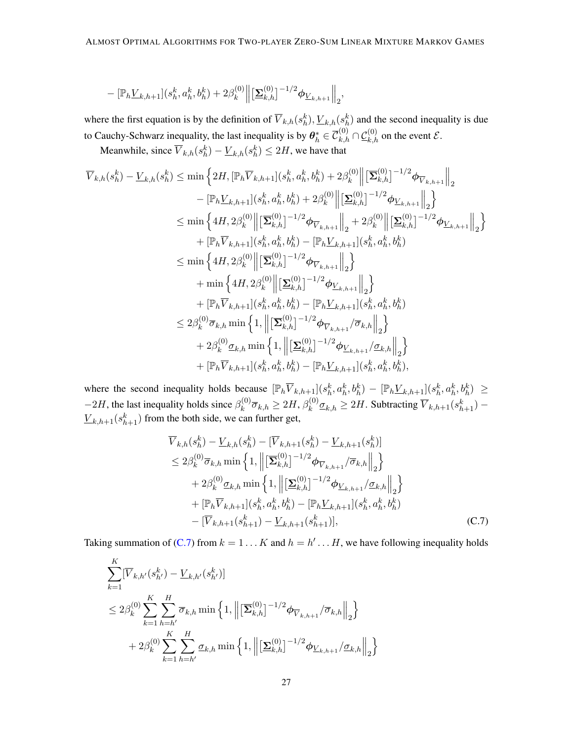$$
-\left[\mathbb{P}_{h}\underline{V}_{k,h+1}\right](s_{h}^{k}, a_{h}^{k}, b_{h}^{k})+2\beta_{k}^{(0)}\left\|\left[\underline{\Sigma}_{k,h}^{(0)}\right]^{-1/2}\phi_{\underline{V}_{k,h+1}}\right\|_{2},
$$

where the first equation is by the definition of  $\overline{V}_{k,h}(s_h^k), \underline{V}_{k,h}(s_h^k)$  and the second inequality is due to Cauchy-Schwarz inequality, the last inequality is by  $\theta_h^* \in \overline{\mathcal{C}}_{k,h}^{(0)} \cap \mathcal{L}_{k,h}^{(0)}$  on the event  $\mathcal{E}$ .

Meanwhile, since  $\overline{V}_{k,h}(s_h^k) - \underline{V}_{k,h}(s_h^k) \leq 2H$ , we have that

$$
\overline{V}_{k,h}(s_h^k) - \underline{V}_{k,h}(s_h^k) \le \min \left\{ 2H, [\mathbb{P}_h \overline{V}_{k,h+1}](s_h^k, a_h^k, b_h^k) + 2\beta_k^{(0)} \middle\| [\overline{\mathbf{\Sigma}}_{k,h}^{(0)}]^{-1/2} \phi_{\overline{V}_{k,h+1}} \middle\|_2 \right\} \n- [\mathbb{P}_h \underline{V}_{k,h+1}](s_h^k, a_h^k, b_h^k) + 2\beta_k^{(0)} \middle\| [\underline{\mathbf{\Sigma}}_{k,h}^{(0)}]^{-1/2} \phi_{\underline{V}_{k,h+1}} \middle\|_2 \right\} \n\le \min \left\{ 4H, 2\beta_k^{(0)} \middle\| [\overline{\mathbf{\Sigma}}_{k,h}^{(0)}]^{-1/2} \phi_{\overline{V}_{k,h+1}} \middle\|_2 + 2\beta_k^{(0)} \middle\| [\underline{\mathbf{\Sigma}}_{k,h}^{(0)}]^{-1/2} \phi_{\underline{V}_{k,h+1}} \middle\|_2 \right\} \n+ [\mathbb{P}_h \overline{V}_{k,h+1}](s_h^k, a_h^k, b_h^k) - [\mathbb{P}_h \underline{V}_{k,h+1}](s_h^k, a_h^k, b_h^k) \n\le \min \left\{ 4H, 2\beta_k^{(0)} \middle\| [\underline{\mathbf{\Sigma}}_{k,h}^{(0)}]^{-1/2} \phi_{\overline{V}_{k,h+1}} \middle\|_2 \right\} \n+ \min \left\{ 4H, 2\beta_k^{(0)} \middle\| [\underline{\mathbf{\Sigma}}_{k,h}^{(0)}]^{-1/2} \phi_{\underline{V}_{k,h+1}} \middle\|_2 \right\} \n+ [\mathbb{P}_h \overline{V}_{k,h+1}](s_h^k, a_h^k, b_h^k) - [\mathbb{P}_h \underline{V}_{k,h+1}](s_h^k, a_h^k, b_h^k) \n\le 2\beta_k^{(0)} \overline{\sigma}_{k,h} \min \left\{ 1, \left\| [\underline{\mathbf{\Sigma}}_{k,h}^{(0)}]^{-1/2} \phi_{\overline{V}_{k,h+1}} / \overline{\sigma}_{k,h} \right\|_2 \right\} \n+ 2\beta_k
$$

where the second inequality holds because  $[\mathbb{P}_h \overline{V}_{k,h+1}](s_h^k, a_h^k, b_h^k) - [\mathbb{P}_h \underline{V}_{k,h+1}](s_h^k, a_h^k, b_h^k) \geq$  $-2H$ , the last inequality holds since  $\beta_k^{(0)}$  $\overline{\sigma}_{k,h}^{(0)} \geq 2H, \beta_k^{(0)}$  $\sum_{k}^{(0)} \underline{\sigma}_{k,h} \geq 2H$ . Subtracting  $\overline{V}_{k,h+1}(s_{h+1}^k)$  –  $\underline{V}_{k,h+1}(s_{h+1}^k)$  from the both side, we can further get,

<span id="page-26-0"></span>
$$
\overline{V}_{k,h}(s_h^k) - \underline{V}_{k,h}(s_h^k) - [\overline{V}_{k,h+1}(s_h^k) - \underline{V}_{k,h+1}(s_h^k)]
$$
\n
$$
\leq 2\beta_k^{(0)} \overline{\sigma}_{k,h} \min\left\{1, \left\| \left[\overline{\Sigma}_{k,h}^{(0)}\right]^{-1/2} \phi_{\overline{V}_{k,h+1}} / \overline{\sigma}_{k,h} \right\|_2 \right\}
$$
\n
$$
+ 2\beta_k^{(0)} \underline{\sigma}_{k,h} \min\left\{1, \left\| \left[\underline{\Sigma}_{k,h}^{(0)}\right]^{-1/2} \phi_{\underline{V}_{k,h+1}} / \underline{\sigma}_{k,h} \right\|_2 \right\}
$$
\n
$$
+ [\mathbb{P}_h \overline{V}_{k,h+1}] (s_h^k, a_h^k, b_h^k) - [\mathbb{P}_h \underline{V}_{k,h+1}] (s_h^k, a_h^k, b_h^k)
$$
\n
$$
- [\overline{V}_{k,h+1}(s_{h+1}^k) - \underline{V}_{k,h+1}(s_{h+1}^k)], \tag{C.7}
$$

Taking summation of [\(C.7\)](#page-26-0) from  $k = 1...K$  and  $h = h'...H$ , we have following inequality holds

$$
\sum_{k=1}^{K} [\overline{V}_{k,h'}(s_{h'}^k) - \underline{V}_{k,h'}(s_{h'}^k)]
$$
\n
$$
\leq 2\beta_k^{(0)} \sum_{k=1}^{K} \sum_{h=h'}^{H} \overline{\sigma}_{k,h} \min \left\{ 1, \left\| \left[ \overline{\Sigma}_{k,h}^{(0)} \right]^{-1/2} \phi_{\overline{V}_{k,h+1}} / \overline{\sigma}_{k,h} \right\|_2 \right\}
$$
\n
$$
+ 2\beta_k^{(0)} \sum_{k=1}^{K} \sum_{h=h'}^{H} \underline{\sigma}_{k,h} \min \left\{ 1, \left\| \left[ \underline{\Sigma}_{k,h}^{(0)} \right]^{-1/2} \phi_{\underline{V}_{k,h+1}} / \underline{\sigma}_{k,h} \right\|_2 \right\}
$$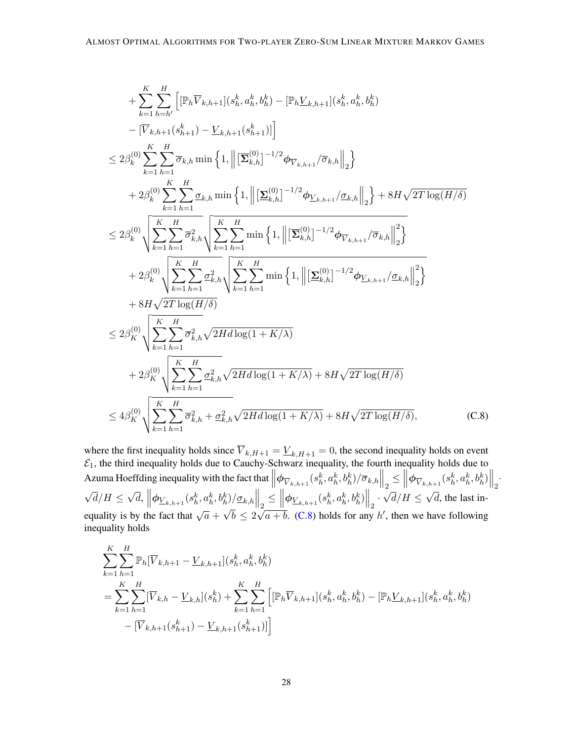+ 
$$
\sum_{k=1}^{K} \sum_{h=h'}^{H} \left[ \left[ \mathbb{P}_{h} \overline{V}_{k,h+1} \right] (s_{h}^{k}, a_{h}^{k}, b_{h}^{k}) - \left[ \mathbb{P}_{h} \underline{V}_{k,h+1} \right] (s_{h}^{k}, a_{h}^{k}, b_{h}^{k}) \right]
$$
  
\n-  $\left[ \overline{V}_{k,h+1} (s_{h+1}^{k}) - \underline{V}_{k,h+1} (s_{h+1}^{k}) \right] \right]$   
\n $\leq 2\beta_{k}^{(0)} \sum_{k=1}^{K} \sum_{h=1}^{H} \overline{\sigma}_{k,h} \min \left\{ 1, \left\| \left[ \overline{\Sigma}_{k,h}^{(0)} \right]^{-1/2} \phi_{\overline{V}_{k,h+1}} / \overline{\sigma}_{k,h} \right\|_{2} \right\}$   
\n+  $2\beta_{k}^{(0)} \sum_{k=1}^{K} \sum_{h=1}^{H} \underline{\sigma}_{k,h} \min \left\{ 1, \left\| \left[ \underline{\Sigma}_{k,h}^{(0)} \right]^{-1/2} \phi_{\underline{V}_{k,h+1}} / \underline{\sigma}_{k,h} \right\|_{2} \right\} + 8H\sqrt{2T \log(H/\delta)}$   
\n $\leq 2\beta_{k}^{(0)} \sqrt{\sum_{k=1}^{K} \sum_{h=1}^{H} \overline{\sigma}_{k,h}^{2}} \sqrt{\sum_{k=1}^{K} \sum_{h=1}^{H} \min \left\{ 1, \left\| \left[ \overline{\Sigma}_{k,h}^{(0)} \right]^{-1/2} \phi_{\overline{V}_{k,h+1}} / \overline{\sigma}_{k,h} \right\|_{2}^{2} \right\}}$   
\n+  $2\beta_{k}^{(0)} \sqrt{\sum_{k=1}^{K} \sum_{h=1}^{H} \sigma_{k,h}^{2}} \sqrt{\sum_{k=1}^{K} \sum_{h=1}^{H} \min \left\{ 1, \left\| \left[ \underline{\Sigma}_{k,h}^{(0)} \right]^{-1/2} \phi_{\underline{V}_{k,h+1}} / \overline{\sigma}_{k,h} \right\|_{2}^{2} \right\}}$   
\n+  $8H\sqrt{2T \log(H/\delta)}$   
\n $\leq 2$ 

<span id="page-27-0"></span>where the first inequality holds since  $V_{k,H+1} = V_{k,H+1} = 0$ , the second inequality holds on event  $\mathcal{E}_1$ , the third inequality holds due to Cauchy-Schwarz inequality, the fourth inequality holds due to Azuma Hoeffding inequality with the fact that  $\left\|\phi_{\overline{V}_{k,h+1}}(s_h^k, a_h^k, b_h^k)/\overline{\sigma}_{k,h}\right\|_2 \le \left\|\phi_{\overline{V}_{k,h+1}}(s_h^k, a_h^k, b_h^k)\right\|_2$ . √  $d/H \leq$ √  $\overline{d},\ \left\Vert \phi_{\underline{V}_{k,h+1}}(s_{h}^{k},a_{h}^{k},b_{h}^{k})/\underline{\sigma}_{k,h} \right\Vert _{2}\leq \left\Vert \phi_{\underline{V}_{k,h+1}}(s_{h}^{k},a_{h}^{k},b_{h}^{k})\right\Vert _{2}.$  $^{\dagger 2}$  $d/H \leq$ √ d, the last inequality is by the fact that  $\sqrt{a}$  +  $^{\prime}$ ′  $b \leq 2$ √  $\overline{a+b}$ . [\(C.8\)](#page-27-0) holds for any h', then we have following inequality holds

$$
\sum_{k=1}^{K} \sum_{h=1}^{H} \mathbb{P}_{h}[\overline{V}_{k,h+1} - \underline{V}_{k,h+1}](s_{h}^{k}, a_{h}^{k}, b_{h}^{k})
$$
\n
$$
= \sum_{k=1}^{K} \sum_{h=1}^{H} [\overline{V}_{k,h} - \underline{V}_{k,h}](s_{h}^{k}) + \sum_{k=1}^{K} \sum_{h=1}^{H} [[\mathbb{P}_{h} \overline{V}_{k,h+1}](s_{h}^{k}, a_{h}^{k}, b_{h}^{k}) - [\mathbb{P}_{h} \underline{V}_{k,h+1}](s_{h}^{k}, a_{h}^{k}, b_{h}^{k})
$$
\n
$$
- [\overline{V}_{k,h+1}(s_{h+1}^{k}) - \underline{V}_{k,h+1}(s_{h+1}^{k})]]
$$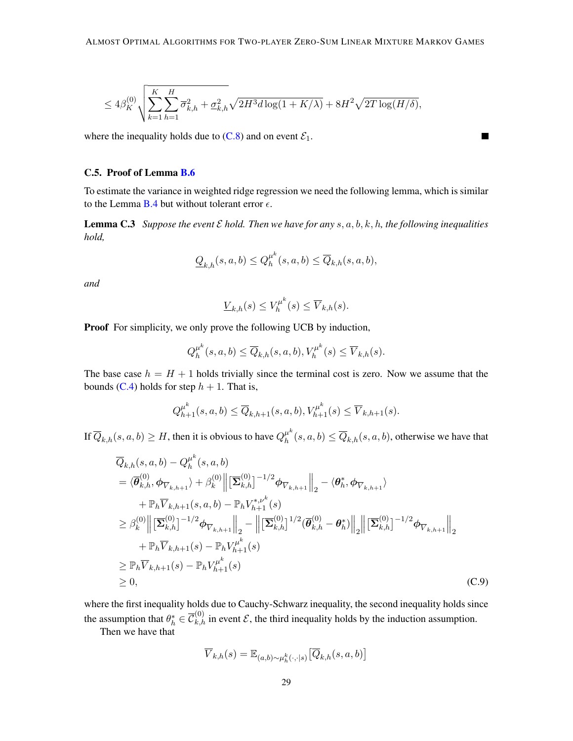$$
\leq 4\beta_K^{(0)}\sqrt{\sum_{k=1}^K\sum_{h=1}^H\overline{\sigma}_{k,h}^2+\underline{\sigma}_{k,h}^2}\sqrt{2H^3d\log(1+K/\lambda)}+8H^2\sqrt{2T\log(H/\delta)},
$$

where the inequality holds due to  $(C.8)$  and on event  $\mathcal{E}_1$ .

#### C.5. Proof of Lemma [B.6](#page-20-2)

To estimate the variance in weighted ridge regression we need the following lemma, which is similar to the Lemma [B.4](#page-20-0) but without tolerant error  $\epsilon$ .

П

**Lemma C.3** *Suppose the event*  $\mathcal E$  *hold. Then we have for any*  $s, a, b, k, h$ , the following inequalities *hold,*

<span id="page-28-1"></span>
$$
\underline{Q}_{k,h}(s,a,b)\leq Q^{\mu^k}_h(s,a,b)\leq \overline{Q}_{k,h}(s,a,b),
$$

*and*

$$
\underline{V}_{k,h}(s) \le V_h^{\mu^k}(s) \le \overline{V}_{k,h}(s).
$$

**Proof** For simplicity, we only prove the following UCB by induction,

$$
Q_h^{\mu^k}(s, a, b) \le \overline{Q}_{k,h}(s, a, b), V_h^{\mu^k}(s) \le \overline{V}_{k,h}(s).
$$

The base case  $h = H + 1$  holds trivially since the terminal cost is zero. Now we assume that the bounds [\(C.4\)](#page-24-1) holds for step  $h + 1$ . That is,

$$
Q_{h+1}^{\mu^k}(s, a, b) \le \overline{Q}_{k,h+1}(s, a, b), V_{h+1}^{\mu^k}(s) \le \overline{V}_{k,h+1}(s).
$$

If  $\overline{Q}_{k,h}(s,a,b)\geq H,$  then it is obvious to have  $Q^{\mu^k}_h$  $h_h^{\mu\nu}(s, a, b) \le \overline{Q}_{k,h}(s, a, b)$ , otherwise we have that

$$
\overline{Q}_{k,h}(s, a, b) - Q_{h}^{\mu^{k}}(s, a, b)
$$
\n
$$
= \langle \overline{\theta}_{k,h}^{(0)}, \phi_{\overline{V}_{k,h+1}} \rangle + \beta_{k}^{(0)} \left\| \left[ \overline{\Sigma}_{k,h}^{(0)} \right]^{-1/2} \phi_{\overline{V}_{k,h+1}} \right\|_{2} - \langle \theta_{h}^{*}, \phi_{\overline{V}_{k,h+1}} \rangle
$$
\n
$$
+ \mathbb{P}_{h} \overline{V}_{k,h+1}(s, a, b) - \mathbb{P}_{h} V_{h+1}^{*,\nu^{k}}(s)
$$
\n
$$
\geq \beta_{k}^{(0)} \left\| \left[ \overline{\Sigma}_{k,h}^{(0)} \right]^{-1/2} \phi_{\overline{V}_{k,h+1}} \right\|_{2} - \left\| \left[ \overline{\Sigma}_{k,h}^{(0)} \right]^{1/2} (\overline{\theta}_{k,h}^{(0)} - \theta_{h}^{*}) \right\|_{2} \left\| \left[ \overline{\Sigma}_{k,h}^{(0)} \right]^{-1/2} \phi_{\overline{V}_{k,h+1}} \right\|_{2}
$$
\n
$$
+ \mathbb{P}_{h} \overline{V}_{k,h+1}(s) - \mathbb{P}_{h} V_{h+1}^{\mu^{k}}(s)
$$
\n
$$
\geq \mathbb{P}_{h} \overline{V}_{k,h+1}(s) - \mathbb{P}_{h} V_{h+1}^{\mu^{k}}(s)
$$
\n
$$
\geq 0,
$$
\n(C.9)

where the first inequality holds due to Cauchy-Schwarz inequality, the second inequality holds since the assumption that  $\theta_h^* \in \overline{\mathcal{C}}_{k,h}^{(0)}$  in event  $\mathcal{E}$ , the third inequality holds by the induction assumption.

Then we have that

<span id="page-28-0"></span>
$$
\overline{V}_{k,h}(s) = \mathbb{E}_{(a,b)\sim\mu_h^k(\cdot,\cdot|s)}\big[\overline{Q}_{k,h}(s,a,b)\big]
$$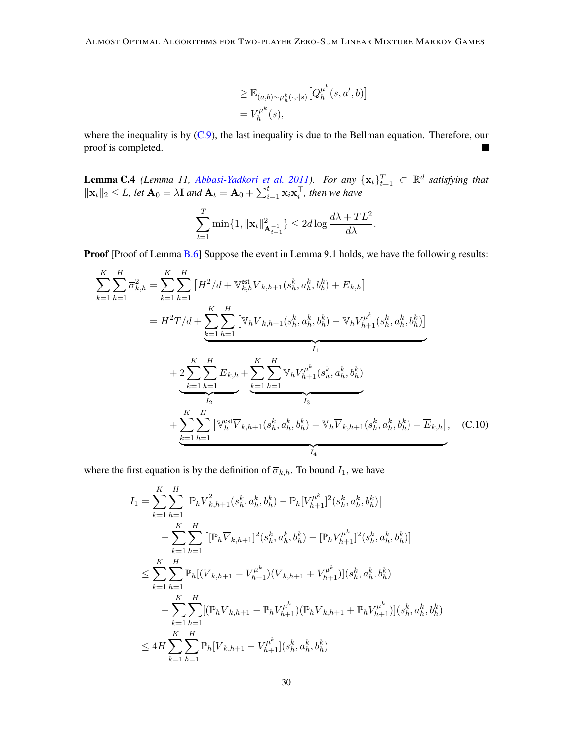$$
\geq \mathbb{E}_{(a,b)\sim\mu_h^k(\cdot,\cdot|s)}[Q^{\mu^k}_h(s,a',b)]
$$
  
=  $V^{\mu^k}_h(s)$ ,

where the inequality is by  $(C.9)$ , the last inequality is due to the Bellman equation. Therefore, our proof is completed. 

<span id="page-29-0"></span>**Lemma C.4** *(Lemma 11, [Abbasi-Yadkori et al.](#page-12-4) [2011\)](#page-12-4). For any*  $\{x_t\}_{t=1}^T \subset \mathbb{R}^d$  *satisfying that*  $\|\mathbf{x}_t\|_2 \leq L$ , let  $\mathbf{A}_0 = \lambda \mathbf{I}$  and  $\mathbf{A}_t = \mathbf{A}_0 + \sum_{i=1}^t \mathbf{x}_i \mathbf{x}_i^\top$ , then we have

<span id="page-29-1"></span>
$$
\sum_{t=1}^{T} \min\{1, \|\mathbf{x}_t\|_{\mathbf{A}_{t-1}^{-1}}^2\} \le 2d \log \frac{d\lambda + TL^2}{d\lambda}.
$$

Proof [Proof of Lemma [B.6\]](#page-20-2) Suppose the event in Lemma 9.1 holds, we have the following results:

$$
\sum_{k=1}^{K} \sum_{h=1}^{H} \overline{\sigma}_{k,h}^{2} = \sum_{k=1}^{K} \sum_{h=1}^{H} \left[ H^{2}/d + \mathbb{V}_{k,h}^{\text{est}} \overline{V}_{k,h+1}(s_{h}^{k}, a_{h}^{k}, b_{h}^{k}) + \overline{E}_{k,h} \right]
$$
  
\n
$$
= H^{2}T/d + \sum_{k=1}^{K} \sum_{h=1}^{H} \left[ \mathbb{V}_{h} \overline{V}_{k,h+1}(s_{h}^{k}, a_{h}^{k}, b_{h}^{k}) - \mathbb{V}_{h} V_{h+1}^{\mu^{k}}(s_{h}^{k}, a_{h}^{k}, b_{h}^{k}) \right]
$$
  
\n
$$
+ 2 \sum_{k=1}^{K} \sum_{h=1}^{H} \overline{E}_{k,h} + \sum_{k=1}^{K} \sum_{h=1}^{H} \mathbb{V}_{h} V_{h+1}^{\mu^{k}}(s_{h}^{k}, a_{h}^{k}, b_{h}^{k})
$$
  
\n
$$
+ \sum_{k=1}^{K} \sum_{h=1}^{H} \left[ \mathbb{V}_{h}^{\text{est}} \overline{V}_{k,h+1}(s_{h}^{k}, a_{h}^{k}, b_{h}^{k}) - \mathbb{V}_{h} \overline{V}_{k,h+1}(s_{h}^{k}, a_{h}^{k}, b_{h}^{k}) - \overline{E}_{k,h} \right], \quad \text{(C.10)}
$$

where the first equation is by the definition of  $\overline{\sigma}_{k,h}$ . To bound  $I_1$ , we have

$$
I_{1} = \sum_{k=1}^{K} \sum_{h=1}^{H} \left[ \mathbb{P}_{h} \overline{V}_{k,h+1}^{2}(s_{h}^{k}, a_{h}^{k}, b_{h}^{k}) - \mathbb{P}_{h} [V_{h+1}^{\mu^{k}}]^{2}(s_{h}^{k}, a_{h}^{k}, b_{h}^{k}) \right]
$$
  
\n
$$
- \sum_{k=1}^{K} \sum_{h=1}^{H} \left[ \left[ \mathbb{P}_{h} \overline{V}_{k,h+1} \right]^{2}(s_{h}^{k}, a_{h}^{k}, b_{h}^{k}) - \left[ \mathbb{P}_{h} V_{h+1}^{\mu^{k}} \right]^{2}(s_{h}^{k}, a_{h}^{k}, b_{h}^{k}) \right]
$$
  
\n
$$
\leq \sum_{k=1}^{K} \sum_{h=1}^{H} \mathbb{P}_{h} \left[ (\overline{V}_{k,h+1} - V_{h+1}^{\mu^{k}}) (\overline{V}_{k,h+1} + V_{h+1}^{\mu^{k}}) \right] (s_{h}^{k}, a_{h}^{k}, b_{h}^{k})
$$
  
\n
$$
- \sum_{k=1}^{K} \sum_{h=1}^{H} \left[ (\mathbb{P}_{h} \overline{V}_{k,h+1} - \mathbb{P}_{h} V_{h+1}^{\mu^{k}}) (\mathbb{P}_{h} \overline{V}_{k,h+1} + \mathbb{P}_{h} V_{h+1}^{\mu^{k}}) \right] (s_{h}^{k}, a_{h}^{k}, b_{h}^{k})
$$
  
\n
$$
\leq 4H \sum_{k=1}^{K} \sum_{h=1}^{H} \mathbb{P}_{h} \left[ \overline{V}_{k,h+1} - V_{h+1}^{\mu^{k}} \right] (s_{h}^{k}, a_{h}^{k}, b_{h}^{k})
$$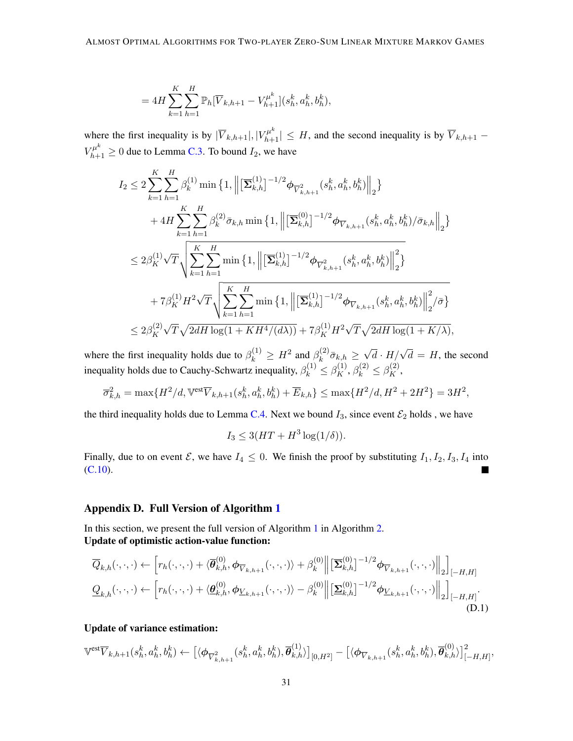$$
= 4H \sum_{k=1}^{K} \sum_{h=1}^{H} \mathbb{P}_{h}[\overline{V}_{k,h+1} - V_{h+1}^{\mu^{k}}](s_{h}^{k}, a_{h}^{k}, b_{h}^{k}),
$$

where the first inequality is by  $|\overline{V}_{k,h+1}|, |V_{h+1}^{\mu^k}| \leq H$ , and the second inequality is by  $\overline{V}_{k,h+1}$  –  $V_{h+1}^{\mu^k} \ge 0$  due to Lemma [C.3.](#page-28-1) To bound  $I_2$ , we have

$$
I_{2} \leq 2 \sum_{k=1}^{K} \sum_{h=1}^{H} \beta_{k}^{(1)} \min \left\{ 1, \left\| \left[ \overline{\Sigma}_{k,h}^{(1)} \right]^{-1/2} \phi_{\overline{V}_{k,h+1}^{2}}(s_{h}^{k}, a_{h}^{k}, b_{h}^{k}) \right\|_{2} \right\}
$$
  
+ 
$$
4H \sum_{k=1}^{K} \sum_{h=1}^{H} \beta_{k}^{(2)} \overline{\sigma}_{k,h} \min \left\{ 1, \left\| \left[ \overline{\Sigma}_{k,h}^{(0)} \right]^{-1/2} \phi_{\overline{V}_{k,h+1}}(s_{h}^{k}, a_{h}^{k}, b_{h}^{k}) / \overline{\sigma}_{k,h} \right\|_{2} \right\}
$$
  

$$
\leq 2\beta_{K}^{(1)} \sqrt{T} \sqrt{\sum_{k=1}^{K} \sum_{h=1}^{H} \min \left\{ 1, \left\| \left[ \overline{\Sigma}_{k,h}^{(1)} \right]^{-1/2} \phi_{\overline{V}_{k,h+1}^{2}}(s_{h}^{k}, a_{h}^{k}, b_{h}^{k}) \right\|_{2}^{2} \right\}}
$$
  
+ 
$$
7\beta_{K}^{(1)} H^{2} \sqrt{T} \sqrt{\sum_{k=1}^{K} \sum_{h=1}^{H} \min \left\{ 1, \left\| \left[ \overline{\Sigma}_{k,h}^{(1)} \right]^{-1/2} \phi_{\overline{V}_{k,h+1}}(s_{h}^{k}, a_{h}^{k}, b_{h}^{k}) \right\|_{2}^{2} / \overline{\sigma} \right\}}
$$
  

$$
\leq 2\beta_{K}^{(2)} \sqrt{T} \sqrt{2dH \log(1 + KH^{4}/(d\lambda))} + 7\beta_{K}^{(1)} H^{2} \sqrt{T} \sqrt{2dH \log(1 + K/\lambda)},
$$

where the first inequality holds due to  $\beta_k^{(1)} \geq H^2$  and  $\beta_k^{(2)}$  $\overline{\sigma}_{k,h}^{(2)}\overline{\sigma}_{k,h} \geq$  $\sqrt{d} \cdot H / \sqrt{d} = H$ , the second inequality holds due to Cauchy-Schwartz inequality,  $\beta_k^{(1)} \leq \beta_K^{(1)}$ ,  $\beta_k^{(2)} \leq \beta_K^{(2)}$ ,

$$
\overline{\sigma}_{k,h}^2 = \max\{H^2/d, \mathbb{V}^{\text{est}}\overline{V}_{k,h+1}(s_h^k, a_h^k, b_h^k) + \overline{E}_{k,h}\} \le \max\{H^2/d, H^2 + 2H^2\} = 3H^2,
$$

the third inequality holds due to Lemma [C.4.](#page-29-0) Next we bound  $I_3$ , since event  $\mathcal{E}_2$  holds, we have

<span id="page-30-1"></span>
$$
I_3 \leq 3(HT + H^3 \log(1/\delta)).
$$

Finally, due to on event  $\mathcal{E}$ , we have  $I_4 \leq 0$ . We finish the proof by substituting  $I_1, I_2, I_3, I_4$  into [\(C.10\)](#page-29-1).

# <span id="page-30-0"></span>Appendix D. Full Version of Algorithm [1](#page-6-0)

In this section, we present the full version of Algorithm [1](#page-6-0) in Algorithm [2.](#page-31-0) Update of optimistic action-value function:

$$
\overline{Q}_{k,h}(\cdot,\cdot,\cdot) \leftarrow \left[r_h(\cdot,\cdot,\cdot) + \langle \overline{\theta}_{k,h}^{(0)}, \phi_{\overline{V}_{k,h+1}}(\cdot,\cdot,\cdot) \rangle + \beta_k^{(0)} \right] \left[ \overline{\Sigma}_{k,h}^{(0)} \right]^{-1/2} \phi_{\overline{V}_{k,h+1}}(\cdot,\cdot,\cdot) \right]_{2} \Big]_{[-H,H]}
$$
\n
$$
\underline{Q}_{k,h}(\cdot,\cdot,\cdot) \leftarrow \left[r_h(\cdot,\cdot,\cdot) + \langle \underline{\theta}_{k,h}^{(0)}, \phi_{\underline{V}_{k,h+1}}(\cdot,\cdot,\cdot) \rangle - \beta_k^{(0)} \right] \left[ \underline{\Sigma}_{k,h}^{(0)} \right]^{-1/2} \phi_{\underline{V}_{k,h+1}}(\cdot,\cdot,\cdot) \Big]_{2} \Big]_{[-H,H]}.
$$
\n(D.1)

# Update of variance estimation:

$$
\mathbb{V}^{\text{est}}\overline{V}_{k,h+1}(s_h^k, a_h^k, b_h^k) \leftarrow \left[ \langle \boldsymbol{\phi}_{\overline{V}_{k,h+1}^2}(s_h^k, a_h^k, b_h^k), \overline{\boldsymbol{\theta}}_{k,h}^{(1)} \rangle \right]_{[0,H^2]} - \left[ \langle \boldsymbol{\phi}_{\overline{V}_{k,h+1}}(s_h^k, a_h^k, b_h^k), \overline{\boldsymbol{\theta}}_{k,h}^{(0)} \rangle \right]_{[-H,H]}^2
$$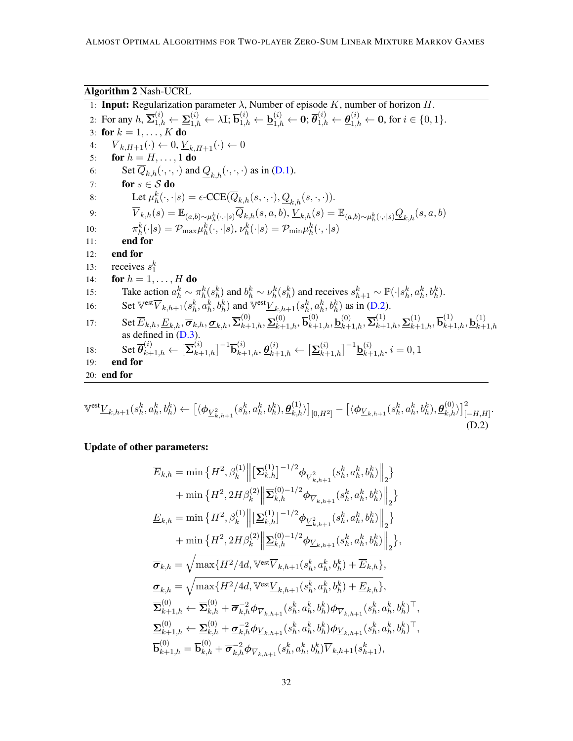<span id="page-31-2"></span><span id="page-31-0"></span>Algorithm 2 Nash-UCRL 1: **Input:** Regularization parameter  $\lambda$ , Number of episode K, number of horizon H. 2: For any  $h$ ,  $\overline{\Sigma}_{1,h}^{(i)} \leftarrow \underline{\Sigma}_{1,h}^{(i)} \leftarrow \lambda \mathbf{I}; \overline{\mathbf{b}}_{1,h}^{(i)} \leftarrow \underline{\mathbf{b}}_{1,h}^{(i)} \leftarrow \mathbf{0}; \overline{\theta}_{1,h}^{(i)} \leftarrow \underline{\theta}_{1,h}^{(i)} \leftarrow \mathbf{0}$ , for  $i \in \{0,1\}$ . 3: for  $k = 1, \ldots, K$  do 4:  $\overline{V}_{k,H+1}(\cdot) \leftarrow 0, \underline{V}_{k,H+1}(\cdot) \leftarrow 0$ 5: for  $h = H, \ldots, 1$  do 6: Set  $\overline{Q}_{k,h}(\cdot,\cdot,\cdot)$  and  $\underline{Q}_{k,h}(\cdot,\cdot,\cdot)$  as in [\(D.1\)](#page-30-1).<br>7: **for**  $s \in S$  **do** for  $s \in \mathcal{S}$  do 8: Let  $\mu_h^k(\cdot, \cdot | s) = \epsilon\text{-CCE}(\overline{Q}_{k,h}(s,\cdot, \cdot), \underline{Q}_{k,h}(s,\cdot, \cdot)).$ 9:  $\overline{V}_{k,h}(s) = \mathbb{E}_{(a,b)\sim\mu_h^k(\cdot,\cdot|s)}\overline{Q}_{k,h}(s,a,b), \underline{V}_{k,h}(s) = \mathbb{E}_{(a,b)\sim\mu_h^k(\cdot,\cdot|s)}\underline{Q}_{k,h}(s,a,b)$ 10:  $\pi_h^k(\cdot|s) = \mathcal{P}_{\text{max}} \mu_h^k(\cdot, \cdot|s), \nu_h^k(\cdot|s) = \mathcal{P}_{\text{min}} \mu_h^k(\cdot, \cdot|s)$ 11: end for 12: end for 13: receives  $s_1^k$ 14: **for**  $h = 1, ..., H$  **do** 15: Take action  $a_h^k \sim \pi_h^k(s_h^k)$  and  $b_h^k \sim \nu_h^k(s_h^k)$  and receives  $s_{h+1}^k \sim \mathbb{P}(\cdot | s_h^k, a_h^k, b_h^k)$ . 16: Set  $\overline{V}^{\text{est}}\overline{V}_{k,h+1}(s_h^k, a_h^k, b_h^k)$  and  $\overline{V}^{\text{est}}\underline{V}_{k,h+1}(s_h^k, a_h^k, b_h^k)$  as in [\(D.2\)](#page-31-1). 17:  $\mathrm{Set}\,\overline{E}_{k,h}, \underline{E}_{k,h}, \overline{\sigma}_{k,h}, \underline{\sigma}_{k,h}, \overline{\Sigma}_{k+1,h}^{(0)}, \underline{\Sigma}_{k+1,h}^{(0)}, \overline{\mathbf{b}}_{k+1,h}^{(0)}, \underline{\mathbf{b}}_{k+1,h}^{(0)}, \overline{\Sigma}_{k+1,h}^{(1)}, \underline{\Sigma}_{k+1,h}^{(1)}, \overline{\mathbf{b}}_{k+1,h}^{(1)}, \underline{\mathbf{b}}_{k+1}^{(1)}$ SUC  $E_{k,h}$ ,  $E_{k,h}$ ,  $\sigma_{k,h}$ ,  $\sigma_{k,h}$ ,  $\sigma_{k+1,h}$ ,  $\sigma_{k+1,h}$ ,  $\sigma_{k+1,h}$ ,  $\sigma_{k+1,h}$ ,  $\sigma_{k+1,h}$ ,  $\sigma_{k+1,h}$ ,  $\sigma_{k+1,h}$ ,  $\sigma_{k+1,h}$  as defined in [\(D.3\)](#page-32-1). 18: Set  $\overline{\theta}_{k+1,h}^{(i)} \leftarrow \left[\overline{\Sigma}_{k+1,h}^{(i)}\right]^{-1} \overline{\mathbf{b}}_{k+1,h}^{(i)}, \underline{\theta}_{k+1,h}^{(i)} \leftarrow \left[\underline{\Sigma}_{k+1,h}^{(i)}\right]^{-1} \underline{\mathbf{b}}_{k+1,h}^{(i)}, i = 0, 1$ 19: end for 20: end for

$$
\mathbb{V}^{\text{est}}\underline{V}_{k,h+1}(s_h^k, a_h^k, b_h^k) \leftarrow \left[ \langle \phi_{\underline{V}_{k,h+1}^2}(s_h^k, a_h^k, b_h^k), \underline{\theta}_{k,h}^{(1)} \rangle \right]_{[0,H^2]} - \left[ \langle \phi_{\underline{V}_{k,h+1}}(s_h^k, a_h^k, b_h^k), \underline{\theta}_{k,h}^{(0)} \rangle \right]_{[-H,H]}^2.
$$
\n(D.2)

Update of other parameters:

<span id="page-31-1"></span>
$$
\overline{E}_{k,h} = \min \left\{ H^2, \beta_k^{(1)} \middle\| \left[ \overline{\Sigma}_{k,h}^{(1)} \right]^{-1/2} \phi_{\overline{V}_{k,h+1}^2}(s_h^k, a_h^k, b_h^k) \middle\|_2 \right\} \n+ \min \left\{ H^2, 2H \beta_k^{(2)} \middle\| \overline{\Sigma}_{k,h}^{(0)-1/2} \phi_{\overline{V}_{k,h+1}}(s_h^k, a_h^k, b_h^k) \middle\|_2 \right\} \n\underline{E}_{k,h} = \min \left\{ H^2, \beta_k^{(1)} \middle\| \left[ \underline{\Sigma}_{k,h}^{(1)} \right]^{-1/2} \phi_{\underline{V}_{k,h+1}^2}(s_h^k, a_h^k, b_h^k) \middle\|_2 \right\} \n+ \min \left\{ H^2, 2H \beta_k^{(2)} \middle\| \underline{\Sigma}_{k,h}^{(0)-1/2} \phi_{\underline{V}_{k,h+1}}(s_h^k, a_h^k, b_h^k) \middle\|_2 \right\}, \n\overline{\sigma}_{k,h} = \sqrt{\max \{ H^2/4d, \text{Vest} \overline{V}_{k,h+1}(s_h^k, a_h^k, b_h^k) + \overline{E}_{k,h} \}}, \n\underline{\sigma}_{k,h} = \sqrt{\max \{ H^2/4d, \text{Vest} \underline{V}_{k,h+1}(s_h^k, a_h^k, b_h^k) + \underline{E}_{k,h} \}}, \n\overline{\Sigma}_{k+1,h}^{(0)} \leftarrow \overline{\Sigma}_{k,h}^{(0)} + \overline{\sigma}_{k,h}^{-2} \phi_{\overline{V}_{k,h+1}}(s_h^k, a_h^k, b_h^k) \phi_{\overline{V}_{k,h+1}}(s_h^k, a_h^k, b_h^k)^{\top}, \n\underline{\Sigma}_{k+1,h}^{(0)} \leftarrow \underline{\Sigma}_{k,h}^{(0)} + \underline{\sigma}_{k,h}^{-2} \phi_{\underline{V}_{k,h+1}}(s_h^k, a_h^k, b_h^k) \overline{V}_{k,h+1}(s_h^k, a_h^k, b_h^k)^{\top}, \n\overline{\mathbf{b}}_{k+1,h}^{(0)} = \overline{\mathbf{b}}_{k,h}^{(
$$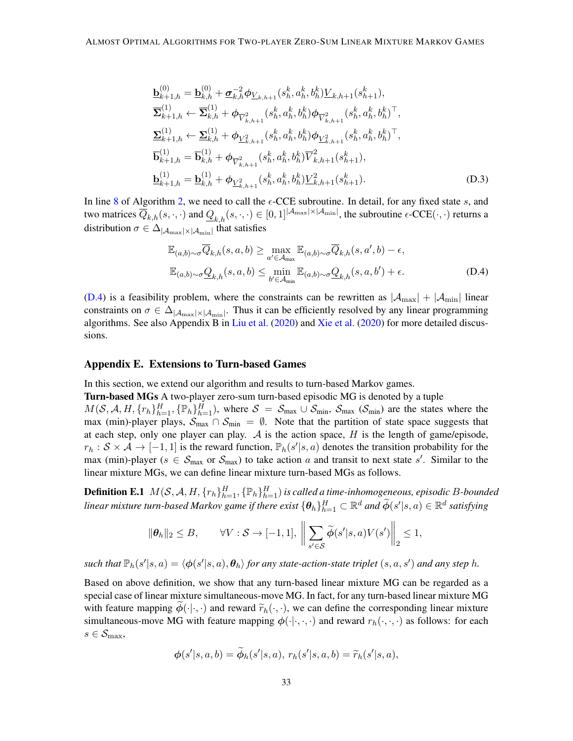$$
\mathbf{b}_{k+1,h}^{(0)} = \mathbf{b}_{k,h}^{(0)} + \sigma_{k,h}^{-2} \phi_{\mathbf{L}_{k,h+1}}(s_h^k, a_h^k, b_h^k) \mathbf{L}_{k,h+1}(s_{h+1}^k),
$$
\n
$$
\overline{\mathbf{\Sigma}}_{k+1,h}^{(1)} \leftarrow \overline{\mathbf{\Sigma}}_{k,h}^{(1)} + \phi_{\overline{V}_{k,h+1}^2}(s_h^k, a_h^k, b_h^k) \phi_{\overline{V}_{k,h+1}^2}(s_h^k, a_h^k, b_h^k)^\top,
$$
\n
$$
\mathbf{\Sigma}_{k+1,h}^{(1)} \leftarrow \mathbf{\Sigma}_{k,h}^{(1)} + \phi_{\mathbf{L}_{k,h+1}^2}(s_h^k, a_h^k, b_h^k) \phi_{\mathbf{L}_{k,h+1}^2}(s_h^k, a_h^k, b_h^k)^\top,
$$
\n
$$
\overline{\mathbf{b}}_{k+1,h}^{(1)} = \overline{\mathbf{b}}_{k,h}^{(1)} + \phi_{\overline{V}_{k,h+1}^2}(s_h^k, a_h^k, b_h^k) \overline{V}_{k,h+1}^2(s_h^k, a_{h+1}^k),
$$
\n
$$
\mathbf{\underline{b}}_{k+1,h}^{(1)} = \mathbf{\underline{b}}_{k,h}^{(1)} + \phi_{\mathbf{L}_{k,h+1}^2}(s_h^k, a_h^k, b_h^k) \mathbf{\underline{V}}_{k,h+1}^2(s_h^k, a_{h+1}^k).
$$
\n(D.3)

In line [8](#page-31-2) of Algorithm [2,](#page-31-0) we need to call the  $\epsilon$ -CCE subroutine. In detail, for any fixed state s, and two matrices  $\overline{Q}_{k,h}(s,\cdot,\cdot)$  and  $\underline{Q}_{k,h}(s,\cdot,\cdot) \in [0,1]^{|\mathcal{A}_{\text{max}}|\times|\mathcal{A}_{\text{min}}|}$ , the subroutine  $\epsilon\text{-CCE}(\cdot,\cdot)$  returns a distribution  $\sigma \in \Delta_{|\mathcal{A}_{\text{max}}| \times |\mathcal{A}_{\text{min}}|}$  that satisfies

<span id="page-32-2"></span><span id="page-32-1"></span>
$$
\mathbb{E}_{(a,b)\sim\sigma}\overline{Q}_{k,h}(s,a,b) \ge \max_{a'\in\mathcal{A}_{\text{max}}} \mathbb{E}_{(a,b)\sim\sigma}\overline{Q}_{k,h}(s,a',b) - \epsilon,
$$
  

$$
\mathbb{E}_{(a,b)\sim\sigma}\underline{Q}_{k,h}(s,a,b) \le \min_{b'\in\mathcal{A}_{\text{min}}} \mathbb{E}_{(a,b)\sim\sigma}\underline{Q}_{k,h}(s,a,b') + \epsilon.
$$
 (D.4)

[\(D.4\)](#page-32-2) is a feasibility problem, where the constraints can be rewritten as  $|\mathcal{A}_{\text{max}}| + |\mathcal{A}_{\text{min}}|$  linear constraints on  $\sigma \in \Delta_{|\mathcal{A}_{\text{max}}| \times |\mathcal{A}_{\text{min}}|}$ . Thus it can be efficiently resolved by any linear programming algorithms. See also Appendix B in [Liu et al.](#page-14-8) [\(2020\)](#page-14-8) and [Xie et al.](#page-15-3) [\(2020\)](#page-15-3) for more detailed discussions.

### <span id="page-32-0"></span>Appendix E. Extensions to Turn-based Games

In this section, we extend our algorithm and results to turn-based Markov games.

Turn-based MGs A two-player zero-sum turn-based episodic MG is denoted by a tuple  $M(S, \mathcal{A}, H, \{r_h\}_{h=1}^H, {\{\mathbb{P}_h\}}_{h=1}^H)$ , where  $S = S_{\text{max}} \cup S_{\text{min}}$ ,  $S_{\text{max}}$  ( $S_{\text{min}}$ ) are the states where the max (min)-player plays,  $S_{\text{max}} \cap S_{\text{min}} = \emptyset$ . Note that the partition of state space suggests that at each step, only one player can play. A is the action space, H is the length of game/episode,  $r_h: \mathcal{S} \times \mathcal{A} \to [-1, 1]$  is the reward function,  $\mathbb{P}_h(s'|s, a)$  denotes the transition probability for the max (min)-player ( $s \in S_{\text{max}}$  or  $S_{\text{max}}$ ) to take action a and transit to next state s'. Similar to the linear mixture MGs, we can define linear mixture turn-based MGs as follows.

**Definition E.1**  $M(\mathcal{S}, \mathcal{A}, H, \{r_h\}_{h=1}^H, \{\mathbb{P}_h\}_{h=1}^H)$  is called a time-inhomogeneous, episodic B-bounded linear mixture turn-based Markov game if there exist  $\{\bm{\theta}_h\}_{h=1}^H\subset\mathbb{R}^d$  and  $\widetilde{\bm{\phi}}(s'|s,a)\in\mathbb{R}^d$  satisfying

$$
\|\boldsymbol{\theta}_h\|_2 \leq B, \qquad \forall V: \mathcal{S} \to [-1,1], \ \bigg\|\sum_{s' \in \mathcal{S}} \widetilde{\boldsymbol{\phi}}(s'|s,a)V(s')\bigg\|_2 \leq 1,
$$

 $\mathsf{such\ that}\ \mathbb{P}_h(s'|s,a) = \langle \boldsymbol{\phi}(s'|s,a), \boldsymbol{\theta}_h\rangle$  *for any state-action-state triplet*  $(s,a,s')$  *and any step*  $h$ *.* 

Based on above definition, we show that any turn-based linear mixture MG can be regarded as a special case of linear mixture simultaneous-move MG. In fact, for any turn-based linear mixture MG with feature mapping  $\phi(\cdot|\cdot,\cdot)$  and reward  $\widetilde{r}_h(\cdot,\cdot)$ , we can define the corresponding linear mixture simultaneous-move MG with feature mapping  $\phi(\cdot|\cdot,\cdot,\cdot)$  and reward  $r_h(\cdot,\cdot,\cdot)$  as follows: for each  $s \in \mathcal{S}_{\max}$ 

$$
\phi(s'|s,a,b)=\widetilde{\phi}_h(s'|s,a),\,r_h(s'|s,a,b)=\widetilde{r}_h(s'|s,a),
$$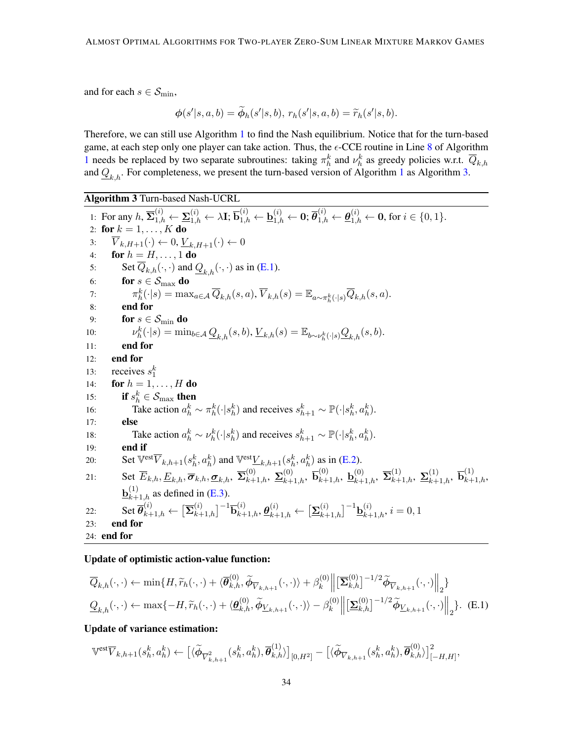and for each  $s \in \mathcal{S}_{\text{min}}$ ,

$$
\phi(s'|s,a,b)=\widetilde{\phi}_h(s'|s,b),\,r_h(s'|s,a,b)=\widetilde{r}_h(s'|s,b).
$$

Therefore, we can still use Algorithm [1](#page-6-0) to find the Nash equilibrium. Notice that for the turn-based game, at each step only one player can take action. Thus, the  $\epsilon$ -CCE routine in Line [8](#page-6-1) of Algorithm [1](#page-6-0) needs be replaced by two separate subroutines: taking  $\pi_h^k$  and  $\nu_h^k$  as greedy policies w.r.t.  $\overline{Q}_{k,h}$ and  $\underline{Q}_{k,h}$ . For completeness, we present the turn-based version of Algorithm [1](#page-6-0) as Algorithm [3.](#page-33-0)

Algorithm 3 Turn-based Nash-UCRL

<span id="page-33-0"></span>1: For any  $h, \overline{\Sigma}_{1,h}^{(i)} \leftarrow \underline{\Sigma}_{1,h}^{(i)} \leftarrow \lambda \mathbf{I}; \overline{\mathbf{b}}_{1,h}^{(i)} \leftarrow \underline{\mathbf{b}}_{1,h}^{(i)} \leftarrow \mathbf{0}; \overline{\theta}_{1,h}^{(i)} \leftarrow \underline{\theta}_{1,h}^{(i)} \leftarrow \mathbf{0}, \text{ for } i \in \{0,1\}.$ 2: for  $k = 1, \ldots, K$  do 3:  $\overline{V}_{k,H+1}(\cdot) \leftarrow 0, \underline{V}_{k,H+1}(\cdot) \leftarrow 0$ 4: **for**  $h = H, ..., 1$  **do** 5: Set  $\overline{Q}_{k,h}(\cdot,\cdot)$  and  $Q_{k,h}(\cdot,\cdot)$  as in [\(E.1\)](#page-33-1). 6: **for**  $s \in \mathcal{S}_{\text{max}}$  **do** 7:  $\pi_h^k(\cdot|s) = \max_{a \in \mathcal{A}} \overline{Q}_{k,h}(s,a), \overline{V}_{k,h}(s) = \mathbb{E}_{a \sim \pi_h^k(\cdot|s)} \overline{Q}_{k,h}(s,a).$ 8: end for 9: **for**  $s \in \mathcal{S}_{\text{min}}$  **do**  $10:$  $k_h^k(\cdot|s) = \min_{b \in \mathcal{A}} \underline{Q}_{k,h}(s,b), \underline{V}_{k,h}(s) = \mathbb{E}_{b \sim \nu_h^k(\cdot|s)} \underline{Q}_{k,h}(s,b).$ 11: end for 12: end for 13: receives  $s_1^k$ 14: **for**  $h = 1, ..., H$  **do** 15: if  $s_h^k \in \mathcal{S}_{\text{max}}$  then 16: Take action  $a_h^k \sim \pi_h^k(\cdot | s_h^k)$  and receives  $s_{h+1}^k \sim \mathbb{P}(\cdot | s_h^k, a_h^k)$ . 17: else 18: Take action  $a_h^k \sim \nu_h^k(\cdot | s_h^k)$  and receives  $s_{h+1}^k \sim \mathbb{P}(\cdot | s_h^k, a_h^k)$ . 19: end if 20: Set  $\mathbb{V}^{\text{est}}\overline{V}_{k,h+1}(s_h^k, a_h^k)$  and  $\mathbb{V}^{\text{est}}\underline{V}_{k,h+1}(s_h^k, a_h^k)$  as in [\(E.2\)](#page-34-1). 21: Set  $\overline{E}_{k,h}, \underline{E}_{k,h}, \overline{\sigma}_{k,h}, \underline{\sigma}_{k,h}, \ \overline{\Sigma}_{k+1,h}^{(0)}, \ \underline{\Sigma}_{k+1,h}^{(0)}, \ \overline{\mathbf{b}}_{k+1,h}^{(0)}, \ \underline{\mathbf{b}}_{k+1,h}^{(0)}, \ \overline{\Sigma}_{k+1,h}^{(1)}, \ \underline{\Sigma}_{k+1,h}^{(1)}, \ \overline{\mathbf{b}}_{k+1,h}^{(1)},$  $\underline{\mathbf{b}}_{k+1,h}^{(1)}$  as defined in [\(E.3\)](#page-34-2).  $\mathcal{L}22: \qquad \mathrm{Set}\,\overline{\bm{\theta}}_{k+1,h}^{(i)} \leftarrow \big[\overline{\bm{\Sigma}}_{k+1,h}^{(i)}\big]^{-1}\overline{\bm{\mathsf{b}}}_{k+1,h}^{(i)}, \bm{\theta}_{k+1,h}^{(i)} \leftarrow \big[\underline{\bm{\Sigma}}_{k+1,h}^{(i)}\big]^{-1}\underline{\bm{\mathsf{b}}}_{k+1,h}^{(i)}, i=0,1$ 23: end for 24: end for

Update of optimistic action-value function:

$$
\overline{Q}_{k,h}(\cdot,\cdot) \leftarrow \min\{H, \widetilde{r}_h(\cdot,\cdot) + \langle \overline{\theta}_{k,h}^{(0)}, \widetilde{\phi}_{\overline{V}_{k,h+1}}(\cdot,\cdot) \rangle + \beta_k^{(0)} \left\| \left[ \overline{\mathbf{\Sigma}}_{k,h}^{(0)} \right]^{-1/2} \widetilde{\phi}_{\overline{V}_{k,h+1}}(\cdot,\cdot) \right\|_2 \}
$$
\n
$$
\underline{Q}_{k,h}(\cdot,\cdot) \leftarrow \max\{-H, \widetilde{r}_h(\cdot,\cdot) + \langle \underline{\theta}_{k,h}^{(0)}, \widetilde{\phi}_{\underline{V}_{k,h+1}}(\cdot,\cdot) \rangle - \beta_k^{(0)} \left\| \left[ \underline{\mathbf{\Sigma}}_{k,h}^{(0)} \right]^{-1/2} \widetilde{\phi}_{\underline{V}_{k,h+1}}(\cdot,\cdot) \right\|_2 \}.
$$
\n(E.1)

Update of variance estimation:

<span id="page-33-1"></span>
$$
\mathbb{V}^{\text{est}}\overline{V}_{k,h+1}(s_h^k, a_h^k) \leftarrow \left[ \langle \widetilde{\phi}_{\overline{V}_{k,h+1}^2}(s_h^k, a_h^k), \overline{\theta}_{k,h}^{(1)} \rangle \right]_{[0,H^2]} - \left[ \langle \widetilde{\phi}_{\overline{V}_{k,h+1}}(s_h^k, a_h^k), \overline{\theta}_{k,h}^{(0)} \rangle \right]_{[-H,H]}^2,
$$